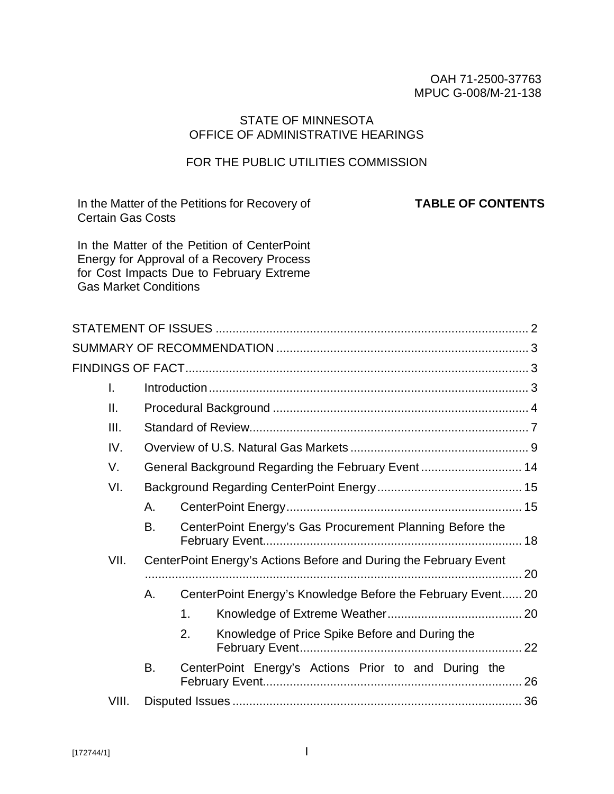#### OAH 71-2500-37763 MPUC G-008/M-21-138

#### STATE OF MINNESOTA OFFICE OF ADMINISTRATIVE HEARINGS

## FOR THE PUBLIC UTILITIES COMMISSION

In the Matter of the Petitions for Recovery of Certain Gas Costs

**TABLE OF CONTENTS**

In the Matter of the Petition of CenterPoint Energy for Approval of a Recovery Process for Cost Impacts Due to February Extreme Gas Market Conditions

| $\mathsf{L}$ |    |                                                                   |  |  |
|--------------|----|-------------------------------------------------------------------|--|--|
| II.          |    |                                                                   |  |  |
| Ш.           |    |                                                                   |  |  |
| IV.          |    |                                                                   |  |  |
| V.           |    | General Background Regarding the February Event  14               |  |  |
| VI.          |    |                                                                   |  |  |
|              | А. |                                                                   |  |  |
|              | B. | CenterPoint Energy's Gas Procurement Planning Before the          |  |  |
| VII.         |    | CenterPoint Energy's Actions Before and During the February Event |  |  |
|              |    |                                                                   |  |  |
|              | Α. | CenterPoint Energy's Knowledge Before the February Event 20       |  |  |
|              |    | 1 <sub>1</sub>                                                    |  |  |
|              |    | 2.<br>Knowledge of Price Spike Before and During the              |  |  |
|              | В. | CenterPoint Energy's Actions Prior to and During the              |  |  |
| VIII.        |    |                                                                   |  |  |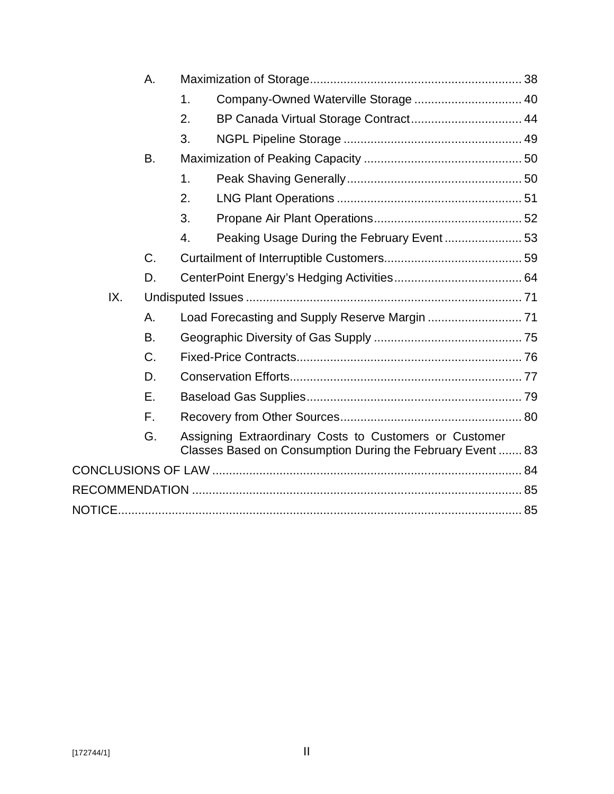|     | Α.        |                  |                                                                                                                      |  |  |
|-----|-----------|------------------|----------------------------------------------------------------------------------------------------------------------|--|--|
|     |           | 1.               | Company-Owned Waterville Storage  40                                                                                 |  |  |
|     |           | 2.               | BP Canada Virtual Storage Contract 44                                                                                |  |  |
|     |           | 3.               |                                                                                                                      |  |  |
|     | B.        |                  |                                                                                                                      |  |  |
|     |           | 1.               |                                                                                                                      |  |  |
|     |           | 2.               |                                                                                                                      |  |  |
|     |           | 3.               |                                                                                                                      |  |  |
|     |           | $\overline{4}$ . |                                                                                                                      |  |  |
|     | C.        |                  |                                                                                                                      |  |  |
|     | D.        |                  |                                                                                                                      |  |  |
| IX. |           |                  |                                                                                                                      |  |  |
|     | А.        |                  |                                                                                                                      |  |  |
|     | <b>B.</b> |                  |                                                                                                                      |  |  |
|     | C.        |                  |                                                                                                                      |  |  |
|     | D.        |                  |                                                                                                                      |  |  |
|     | Ε.        |                  |                                                                                                                      |  |  |
|     | F.        |                  |                                                                                                                      |  |  |
|     | G.        |                  | Assigning Extraordinary Costs to Customers or Customer<br>Classes Based on Consumption During the February Event  83 |  |  |
|     |           |                  |                                                                                                                      |  |  |
|     |           |                  |                                                                                                                      |  |  |
|     |           |                  |                                                                                                                      |  |  |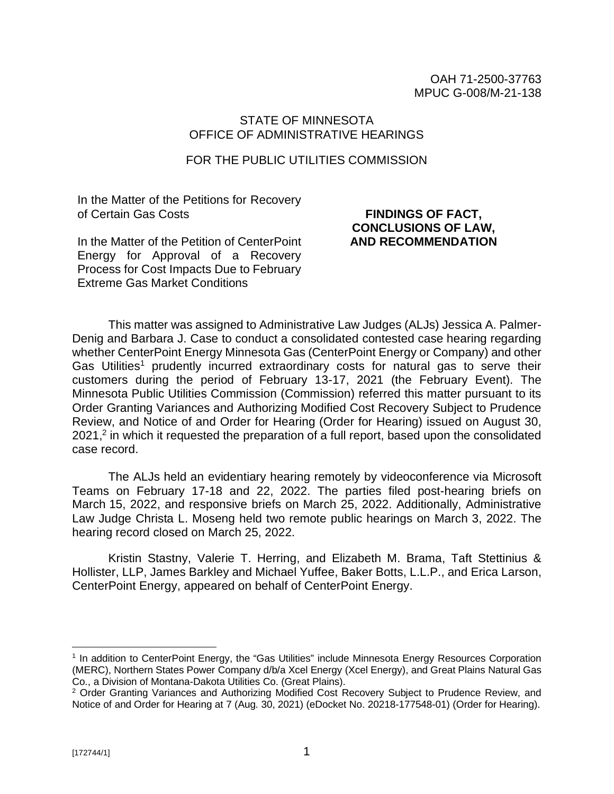OAH 71-2500-37763 MPUC G-008/M-21-138

#### STATE OF MINNESOTA OFFICE OF ADMINISTRATIVE HEARINGS

#### FOR THE PUBLIC UTILITIES COMMISSION

In the Matter of the Petitions for Recovery of Certain Gas Costs

### **FINDINGS OF FACT, CONCLUSIONS OF LAW, AND RECOMMENDATION**

In the Matter of the Petition of CenterPoint Energy for Approval of a Recovery Process for Cost Impacts Due to February Extreme Gas Market Conditions

This matter was assigned to Administrative Law Judges (ALJs) Jessica A. Palmer-Denig and Barbara J. Case to conduct a consolidated contested case hearing regarding whether CenterPoint Energy Minnesota Gas (CenterPoint Energy or Company) and other Gas Utilities<sup>1</sup> prudently incurred extraordinary costs for natural gas to serve their customers during the period of February 13-17, 2021 (the February Event). The Minnesota Public Utilities Commission (Commission) referred this matter pursuant to its Order Granting Variances and Authorizing Modified Cost Recovery Subject to Prudence Review, and Notice of and Order for Hearing (Order for Hearing) issued on August 30, 2021,<sup>2</sup> in which it requested the preparation of a full report, based upon the consolidated case record.

The ALJs held an evidentiary hearing remotely by videoconference via Microsoft Teams on February 17-18 and 22, 2022. The parties filed post-hearing briefs on March 15, 2022, and responsive briefs on March 25, 2022. Additionally, Administrative Law Judge Christa L. Moseng held two remote public hearings on March 3, 2022. The hearing record closed on March 25, 2022.

Kristin Stastny, Valerie T. Herring, and Elizabeth M. Brama, Taft Stettinius & Hollister, LLP, James Barkley and Michael Yuffee, Baker Botts, L.L.P., and Erica Larson, CenterPoint Energy, appeared on behalf of CenterPoint Energy.

<sup>&</sup>lt;sup>1</sup> In addition to CenterPoint Energy, the "Gas Utilities" include Minnesota Energy Resources Corporation (MERC), Northern States Power Company d/b/a Xcel Energy (Xcel Energy), and Great Plains Natural Gas Co., a Division of Montana-Dakota Utilities Co. (Great Plains).

<sup>&</sup>lt;sup>2</sup> Order Granting Variances and Authorizing Modified Cost Recovery Subject to Prudence Review, and Notice of and Order for Hearing at 7 (Aug. 30, 2021) (eDocket No. 20218-177548-01) (Order for Hearing).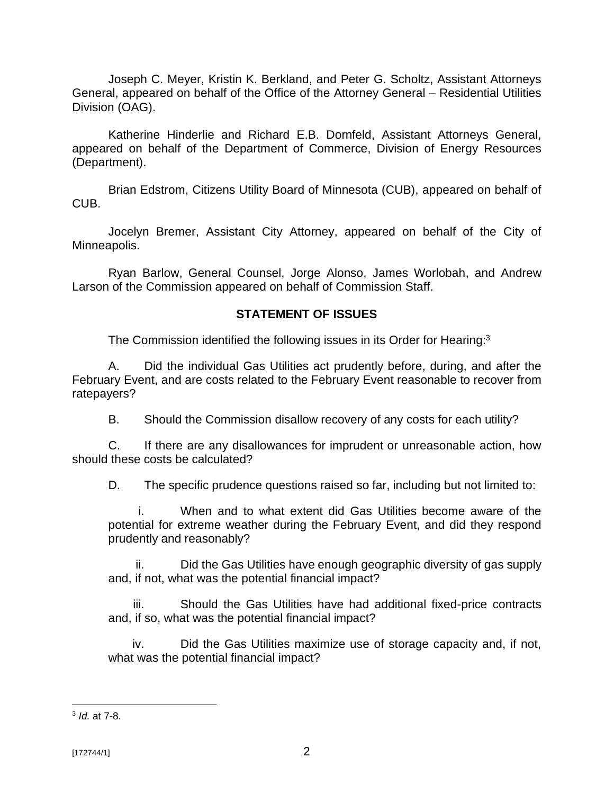Joseph C. Meyer, Kristin K. Berkland, and Peter G. Scholtz, Assistant Attorneys General, appeared on behalf of the Office of the Attorney General – Residential Utilities Division (OAG).

Katherine Hinderlie and Richard E.B. Dornfeld, Assistant Attorneys General, appeared on behalf of the Department of Commerce, Division of Energy Resources (Department).

Brian Edstrom, Citizens Utility Board of Minnesota (CUB), appeared on behalf of CUB.

Jocelyn Bremer, Assistant City Attorney, appeared on behalf of the City of Minneapolis.

Ryan Barlow, General Counsel, Jorge Alonso, James Worlobah, and Andrew Larson of the Commission appeared on behalf of Commission Staff.

### **STATEMENT OF ISSUES**

The Commission identified the following issues in its Order for Hearing:<sup>3</sup>

A. Did the individual Gas Utilities act prudently before, during, and after the February Event, and are costs related to the February Event reasonable to recover from ratepayers?

B. Should the Commission disallow recovery of any costs for each utility?

C. If there are any disallowances for imprudent or unreasonable action, how should these costs be calculated?

D. The specific prudence questions raised so far, including but not limited to:

i. When and to what extent did Gas Utilities become aware of the potential for extreme weather during the February Event, and did they respond prudently and reasonably?

ii. Did the Gas Utilities have enough geographic diversity of gas supply and, if not, what was the potential financial impact?

iii. Should the Gas Utilities have had additional fixed-price contracts and, if so, what was the potential financial impact?

iv. Did the Gas Utilities maximize use of storage capacity and, if not, what was the potential financial impact?

<sup>3</sup> *Id.* at 7-8.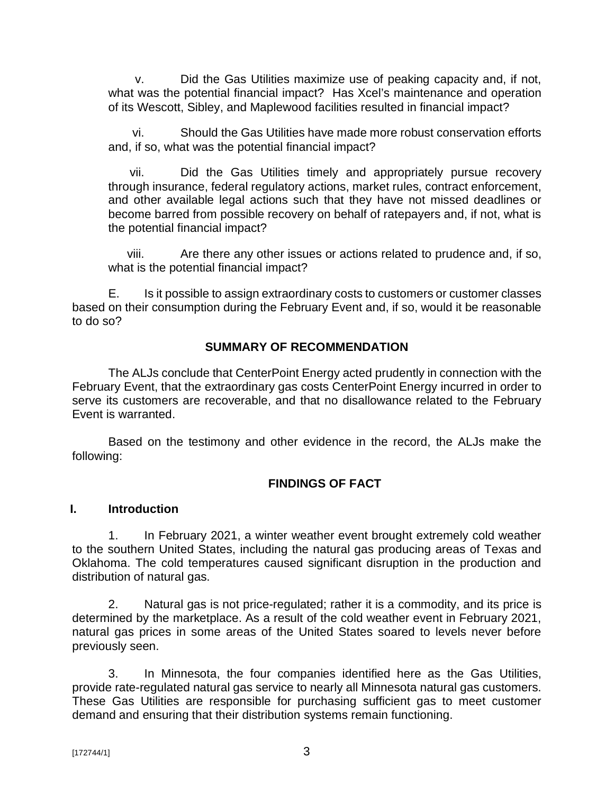v. Did the Gas Utilities maximize use of peaking capacity and, if not, what was the potential financial impact? Has Xcel's maintenance and operation of its Wescott, Sibley, and Maplewood facilities resulted in financial impact?

vi. Should the Gas Utilities have made more robust conservation efforts and, if so, what was the potential financial impact?

vii. Did the Gas Utilities timely and appropriately pursue recovery through insurance, federal regulatory actions, market rules, contract enforcement, and other available legal actions such that they have not missed deadlines or become barred from possible recovery on behalf of ratepayers and, if not, what is the potential financial impact?

viii. Are there any other issues or actions related to prudence and, if so, what is the potential financial impact?

E. Is it possible to assign extraordinary costs to customers or customer classes based on their consumption during the February Event and, if so, would it be reasonable to do so?

### **SUMMARY OF RECOMMENDATION**

The ALJs conclude that CenterPoint Energy acted prudently in connection with the February Event, that the extraordinary gas costs CenterPoint Energy incurred in order to serve its customers are recoverable, and that no disallowance related to the February Event is warranted.

Based on the testimony and other evidence in the record, the ALJs make the following:

## **FINDINGS OF FACT**

#### **I. Introduction**

1. In February 2021, a winter weather event brought extremely cold weather to the southern United States, including the natural gas producing areas of Texas and Oklahoma. The cold temperatures caused significant disruption in the production and distribution of natural gas.

2. Natural gas is not price-regulated; rather it is a commodity, and its price is determined by the marketplace. As a result of the cold weather event in February 2021, natural gas prices in some areas of the United States soared to levels never before previously seen.

3. In Minnesota, the four companies identified here as the Gas Utilities, provide rate-regulated natural gas service to nearly all Minnesota natural gas customers. These Gas Utilities are responsible for purchasing sufficient gas to meet customer demand and ensuring that their distribution systems remain functioning.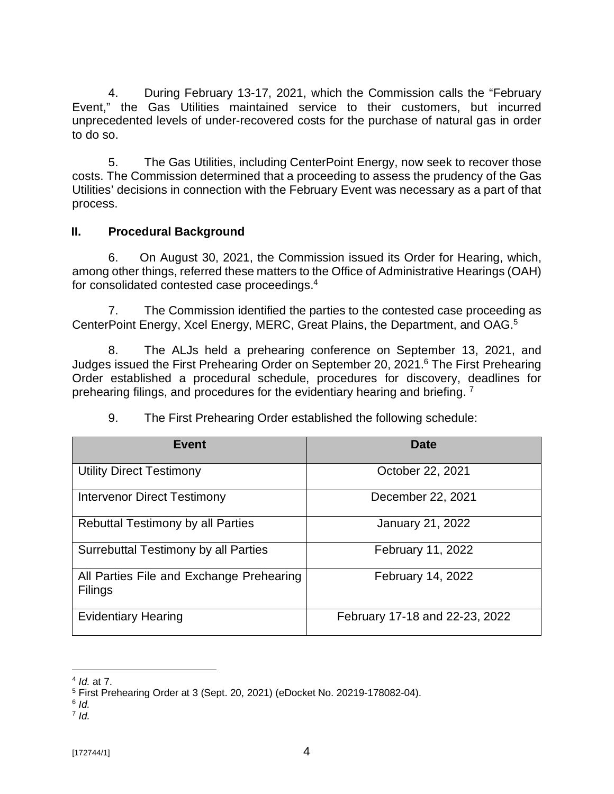4. During February 13-17, 2021, which the Commission calls the "February Event," the Gas Utilities maintained service to their customers, but incurred unprecedented levels of under-recovered costs for the purchase of natural gas in order to do so.

5. The Gas Utilities, including CenterPoint Energy, now seek to recover those costs. The Commission determined that a proceeding to assess the prudency of the Gas Utilities' decisions in connection with the February Event was necessary as a part of that process.

## **II. Procedural Background**

6. On August 30, 2021, the Commission issued its Order for Hearing, which, among other things, referred these matters to the Office of Administrative Hearings (OAH) for consolidated contested case proceedings.<sup>4</sup>

7. The Commission identified the parties to the contested case proceeding as CenterPoint Energy, Xcel Energy, MERC, Great Plains, the Department, and OAG.<sup>5</sup>

8. The ALJs held a prehearing conference on September 13, 2021, and Judges issued the First Prehearing Order on September 20, 2021.<sup>6</sup> The First Prehearing Order established a procedural schedule, procedures for discovery, deadlines for prehearing filings, and procedures for the evidentiary hearing and briefing. <sup>7</sup>

| <b>Event</b>                                               | Date                           |
|------------------------------------------------------------|--------------------------------|
| <b>Utility Direct Testimony</b>                            | October 22, 2021               |
| <b>Intervenor Direct Testimony</b>                         | December 22, 2021              |
| <b>Rebuttal Testimony by all Parties</b>                   | <b>January 21, 2022</b>        |
| Surrebuttal Testimony by all Parties                       | February 11, 2022              |
| All Parties File and Exchange Prehearing<br><b>Filings</b> | February 14, 2022              |
| <b>Evidentiary Hearing</b>                                 | February 17-18 and 22-23, 2022 |

# 9. The First Prehearing Order established the following schedule:

<sup>4</sup> *Id.* at 7.

<sup>5</sup> First Prehearing Order at 3 (Sept. 20, 2021) (eDocket No. 20219-178082-04).

<sup>6</sup> *Id.*

<sup>7</sup> *Id.*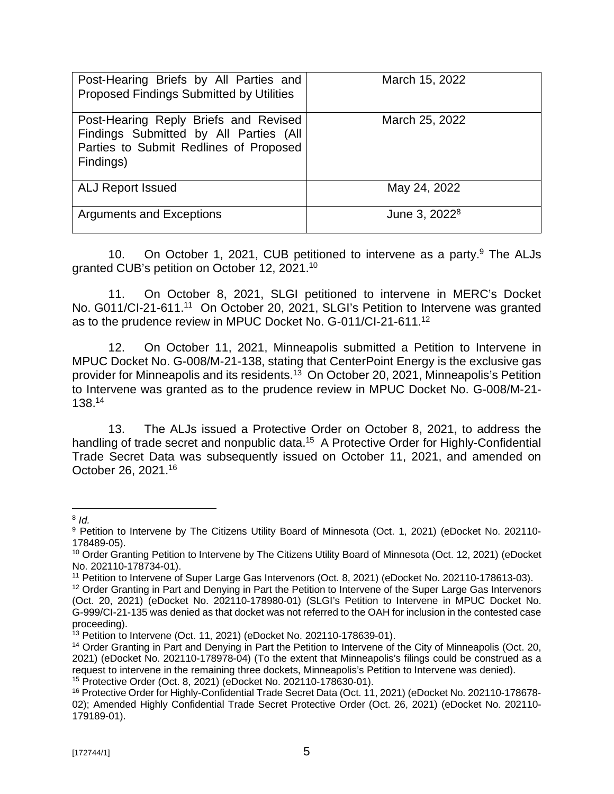| Post-Hearing Briefs by All Parties and<br><b>Proposed Findings Submitted by Utilities</b>                                              | March 15, 2022            |
|----------------------------------------------------------------------------------------------------------------------------------------|---------------------------|
| Post-Hearing Reply Briefs and Revised<br>Findings Submitted by All Parties (All<br>Parties to Submit Redlines of Proposed<br>Findings) | March 25, 2022            |
| <b>ALJ Report Issued</b>                                                                                                               | May 24, 2022              |
| <b>Arguments and Exceptions</b>                                                                                                        | June 3, 2022 <sup>8</sup> |

10. On October 1, 2021, CUB petitioned to intervene as a party.<sup>9</sup> The ALJs granted CUB's petition on October 12, 2021.<sup>10</sup>

11. On October 8, 2021, SLGI petitioned to intervene in MERC's Docket No. G011/CI-21-611.<sup>11</sup> On October 20, 2021, SLGI's Petition to Intervene was granted as to the prudence review in MPUC Docket No. G-011/CI-21-611.<sup>12</sup>

12. On October 11, 2021, Minneapolis submitted a Petition to Intervene in MPUC Docket No. G-008/M-21-138, stating that CenterPoint Energy is the exclusive gas provider for Minneapolis and its residents.<sup>13</sup> On October 20, 2021, Minneapolis's Petition to Intervene was granted as to the prudence review in MPUC Docket No. G-008/M-21- 138.<sup>14</sup>

13. The ALJs issued a Protective Order on October 8, 2021, to address the handling of trade secret and nonpublic data.<sup>15</sup> A Protective Order for Highly-Confidential Trade Secret Data was subsequently issued on October 11, 2021, and amended on October 26, 2021.<sup>16</sup>

<sup>8</sup> *Id.*

<sup>&</sup>lt;sup>9</sup> Petition to Intervene by The Citizens Utility Board of Minnesota (Oct. 1, 2021) (eDocket No. 202110-178489-05).

<sup>&</sup>lt;sup>10</sup> Order Granting Petition to Intervene by The Citizens Utility Board of Minnesota (Oct. 12, 2021) (eDocket No. 202110-178734-01).

<sup>11</sup> Petition to Intervene of Super Large Gas Intervenors (Oct. 8, 2021) (eDocket No. 202110-178613-03).

<sup>&</sup>lt;sup>12</sup> Order Granting in Part and Denying in Part the Petition to Intervene of the Super Large Gas Intervenors (Oct. 20, 2021) (eDocket No. 202110-178980-01) (SLGI's Petition to Intervene in MPUC Docket No. G-999/CI-21-135 was denied as that docket was not referred to the OAH for inclusion in the contested case proceeding).

 $13$  Petition to Intervene (Oct. 11, 2021) (eDocket No. 202110-178639-01).

<sup>&</sup>lt;sup>14</sup> Order Granting in Part and Denying in Part the Petition to Intervene of the City of Minneapolis (Oct. 20, 2021) (eDocket No. 202110-178978-04) (To the extent that Minneapolis's filings could be construed as a request to intervene in the remaining three dockets, Minneapolis's Petition to Intervene was denied). <sup>15</sup> Protective Order (Oct. 8, 2021) (eDocket No. 202110-178630-01).

<sup>&</sup>lt;sup>16</sup> Protective Order for Highly-Confidential Trade Secret Data (Oct. 11, 2021) (eDocket No. 202110-178678-02); Amended Highly Confidential Trade Secret Protective Order (Oct. 26, 2021) (eDocket No. 202110- 179189-01).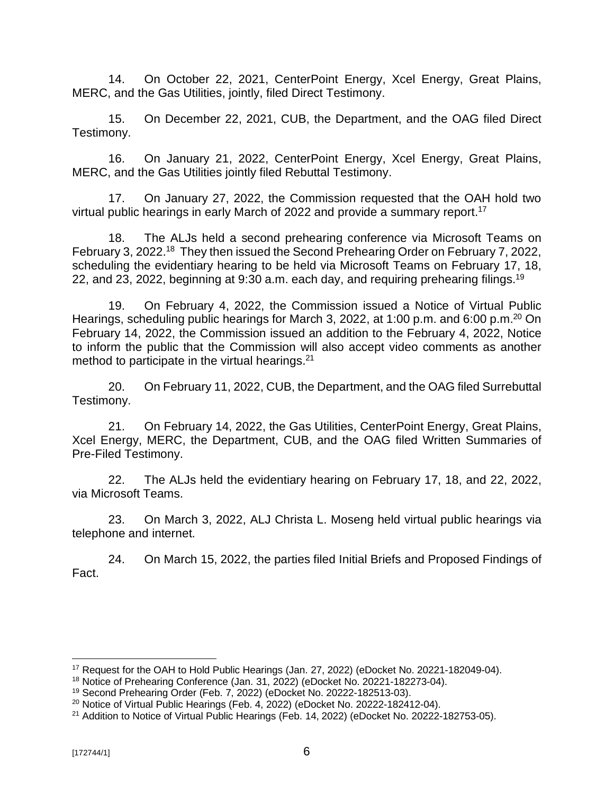14. On October 22, 2021, CenterPoint Energy, Xcel Energy, Great Plains, MERC, and the Gas Utilities, jointly, filed Direct Testimony.

15. On December 22, 2021, CUB, the Department, and the OAG filed Direct Testimony.

16. On January 21, 2022, CenterPoint Energy, Xcel Energy, Great Plains, MERC, and the Gas Utilities jointly filed Rebuttal Testimony.

17. On January 27, 2022, the Commission requested that the OAH hold two virtual public hearings in early March of 2022 and provide a summary report.<sup>17</sup>

18. The ALJs held a second prehearing conference via Microsoft Teams on February 3, 2022.<sup>18</sup> They then issued the Second Prehearing Order on February 7, 2022, scheduling the evidentiary hearing to be held via Microsoft Teams on February 17, 18, 22, and 23, 2022, beginning at 9:30 a.m. each day, and requiring prehearing filings.<sup>19</sup>

19. On February 4, 2022, the Commission issued a Notice of Virtual Public Hearings, scheduling public hearings for March 3, 2022, at 1:00 p.m. and 6:00 p.m.<sup>20</sup> On February 14, 2022, the Commission issued an addition to the February 4, 2022, Notice to inform the public that the Commission will also accept video comments as another method to participate in the virtual hearings.<sup>21</sup>

20. On February 11, 2022, CUB, the Department, and the OAG filed Surrebuttal Testimony.

21. On February 14, 2022, the Gas Utilities, CenterPoint Energy, Great Plains, Xcel Energy, MERC, the Department, CUB, and the OAG filed Written Summaries of Pre-Filed Testimony.

22. The ALJs held the evidentiary hearing on February 17, 18, and 22, 2022, via Microsoft Teams.

23. On March 3, 2022, ALJ Christa L. Moseng held virtual public hearings via telephone and internet.

24. On March 15, 2022, the parties filed Initial Briefs and Proposed Findings of Fact.

<sup>17</sup> Request for the OAH to Hold Public Hearings (Jan. 27, 2022) (eDocket No. 20221-182049-04).

<sup>18</sup> Notice of Prehearing Conference (Jan. 31, 2022) (eDocket No. 20221-182273-04).

<sup>19</sup> Second Prehearing Order (Feb. 7, 2022) (eDocket No. 20222-182513-03).

 $20$  Notice of Virtual Public Hearings (Feb. 4, 2022) (eDocket No. 20222-182412-04).

<sup>21</sup> Addition to Notice of Virtual Public Hearings (Feb. 14, 2022) (eDocket No. 20222-182753-05).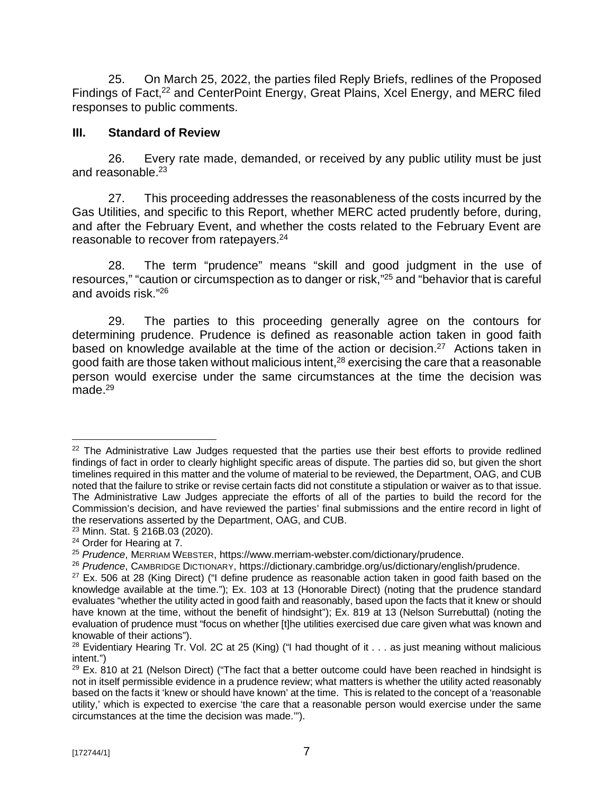25. On March 25, 2022, the parties filed Reply Briefs, redlines of the Proposed Findings of Fact,<sup>22</sup> and CenterPoint Energy, Great Plains, Xcel Energy, and MERC filed responses to public comments.

### **III. Standard of Review**

26. Every rate made, demanded, or received by any public utility must be just and reasonable.<sup>23</sup>

27. This proceeding addresses the reasonableness of the costs incurred by the Gas Utilities, and specific to this Report, whether MERC acted prudently before, during, and after the February Event, and whether the costs related to the February Event are reasonable to recover from ratepayers.<sup>24</sup>

28. The term "prudence" means "skill and good judgment in the use of resources," "caution or circumspection as to danger or risk,"<sup>25</sup> and "behavior that is careful and avoids risk." 26

29. The parties to this proceeding generally agree on the contours for determining prudence. Prudence is defined as reasonable action taken in good faith based on knowledge available at the time of the action or decision.<sup>27</sup> Actions taken in good faith are those taken without malicious intent,<sup>28</sup> exercising the care that a reasonable person would exercise under the same circumstances at the time the decision was made $^{29}$ 

 $22$  The Administrative Law Judges requested that the parties use their best efforts to provide redlined findings of fact in order to clearly highlight specific areas of dispute. The parties did so, but given the short timelines required in this matter and the volume of material to be reviewed, the Department, OAG, and CUB noted that the failure to strike or revise certain facts did not constitute a stipulation or waiver as to that issue. The Administrative Law Judges appreciate the efforts of all of the parties to build the record for the Commission's decision, and have reviewed the parties' final submissions and the entire record in light of the reservations asserted by the Department, OAG, and CUB.

<sup>23</sup> Minn. Stat. § 216B.03 (2020).

<sup>&</sup>lt;sup>24</sup> Order for Hearing at 7.

<sup>25</sup> *Prudence*, MERRIAM WEBSTER,<https://www.merriam-webster.com/dictionary/prudence.>

<sup>26</sup> *Prudence*, CAMBRIDGE DICTIONARY, <https://dictionary.cambridge.org/us/dictionary/english/prudence.>

 $27$  Ex. 506 at 28 (King Direct) ("I define prudence as reasonable action taken in good faith based on the knowledge available at the time."); Ex. 103 at 13 (Honorable Direct) (noting that the prudence standard evaluates "whether the utility acted in good faith and reasonably, based upon the facts that it knew or should have known at the time, without the benefit of hindsight"); Ex. 819 at 13 (Nelson Surrebuttal) (noting the evaluation of prudence must "focus on whether [t]he utilities exercised due care given what was known and knowable of their actions").

<sup>&</sup>lt;sup>28</sup> Evidentiary Hearing Tr. Vol. 2C at 25 (King) ("I had thought of it  $\ldots$  as just meaning without malicious intent.")

 $29$  Ex. 810 at 21 (Nelson Direct) ("The fact that a better outcome could have been reached in hindsight is not in itself permissible evidence in a prudence review; what matters is whether the utility acted reasonably based on the facts it 'knew or should have known' at the time. This is related to the concept of a 'reasonable utility,' which is expected to exercise 'the care that a reasonable person would exercise under the same circumstances at the time the decision was made.'").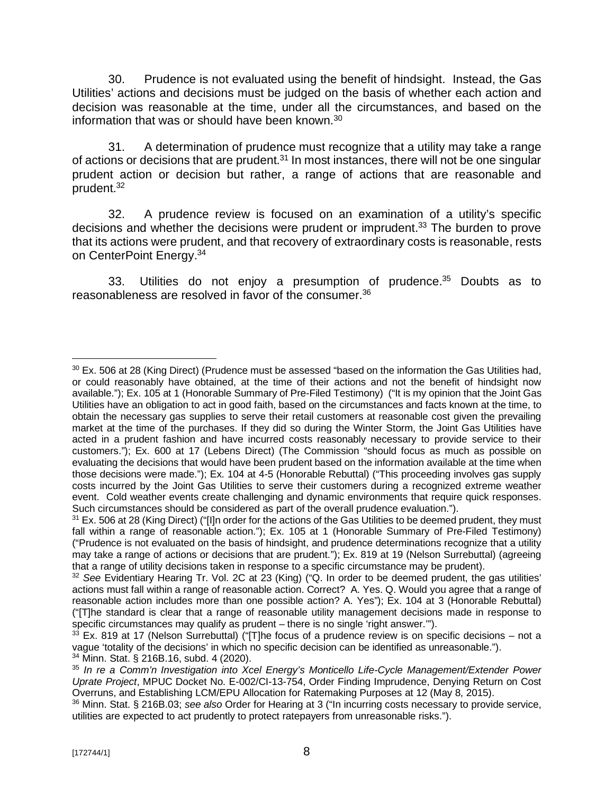30. Prudence is not evaluated using the benefit of hindsight. Instead, the Gas Utilities' actions and decisions must be judged on the basis of whether each action and decision was reasonable at the time, under all the circumstances, and based on the information that was or should have been known.<sup>30</sup>

31. A determination of prudence must recognize that a utility may take a range of actions or decisions that are prudent.<sup>31</sup> In most instances, there will not be one singular prudent action or decision but rather, a range of actions that are reasonable and prudent.<sup>32</sup>

32. A prudence review is focused on an examination of a utility's specific decisions and whether the decisions were prudent or imprudent.<sup>33</sup> The burden to prove that its actions were prudent, and that recovery of extraordinary costs is reasonable, rests on CenterPoint Energy.<sup>34</sup>

33. Utilities do not enjoy a presumption of prudence.<sup>35</sup> Doubts as to reasonableness are resolved in favor of the consumer.<sup>36</sup>

 $30$  Ex. 506 at 28 (King Direct) (Prudence must be assessed "based on the information the Gas Utilities had, or could reasonably have obtained, at the time of their actions and not the benefit of hindsight now available."); Ex. 105 at 1 (Honorable Summary of Pre-Filed Testimony) ("It is my opinion that the Joint Gas Utilities have an obligation to act in good faith, based on the circumstances and facts known at the time, to obtain the necessary gas supplies to serve their retail customers at reasonable cost given the prevailing market at the time of the purchases. If they did so during the Winter Storm, the Joint Gas Utilities have acted in a prudent fashion and have incurred costs reasonably necessary to provide service to their customers."); Ex. 600 at 17 (Lebens Direct) (The Commission "should focus as much as possible on evaluating the decisions that would have been prudent based on the information available at the time when those decisions were made."); Ex. 104 at 4-5 (Honorable Rebuttal) ("This proceeding involves gas supply costs incurred by the Joint Gas Utilities to serve their customers during a recognized extreme weather event. Cold weather events create challenging and dynamic environments that require quick responses. Such circumstances should be considered as part of the overall prudence evaluation.").

<sup>&</sup>lt;sup>31</sup> Ex. 506 at 28 (King Direct) ("Illn order for the actions of the Gas Utilities to be deemed prudent, they must fall within a range of reasonable action."); Ex. 105 at 1 (Honorable Summary of Pre-Filed Testimony) ("Prudence is not evaluated on the basis of hindsight, and prudence determinations recognize that a utility may take a range of actions or decisions that are prudent."); Ex. 819 at 19 (Nelson Surrebuttal) (agreeing that a range of utility decisions taken in response to a specific circumstance may be prudent).

<sup>32</sup> *See* Evidentiary Hearing Tr. Vol. 2C at 23 (King) ("Q. In order to be deemed prudent, the gas utilities' actions must fall within a range of reasonable action. Correct? A. Yes. Q. Would you agree that a range of reasonable action includes more than one possible action? A. Yes"); Ex. 104 at 3 (Honorable Rebuttal) ("[T]he standard is clear that a range of reasonable utility management decisions made in response to specific circumstances may qualify as prudent – there is no single 'right answer.'").

 $33$  Ex. 819 at 17 (Nelson Surrebuttal) ("[T]he focus of a prudence review is on specific decisions – not a vague 'totality of the decisions' in which no specific decision can be identified as unreasonable."). <sup>34</sup> Minn. Stat. § 216B.16, subd. 4 (2020).

<sup>35</sup> *In re a Comm'n Investigation into Xcel Energy's Monticello Life-Cycle Management/Extender Power Uprate Project*, MPUC Docket No. E-002/CI-13-754, Order Finding Imprudence, Denying Return on Cost Overruns, and Establishing LCM/EPU Allocation for Ratemaking Purposes at 12 (May 8, 2015).

<sup>36</sup> Minn. Stat. § 216B.03; *see also* Order for Hearing at 3 ("In incurring costs necessary to provide service, utilities are expected to act prudently to protect ratepayers from unreasonable risks.").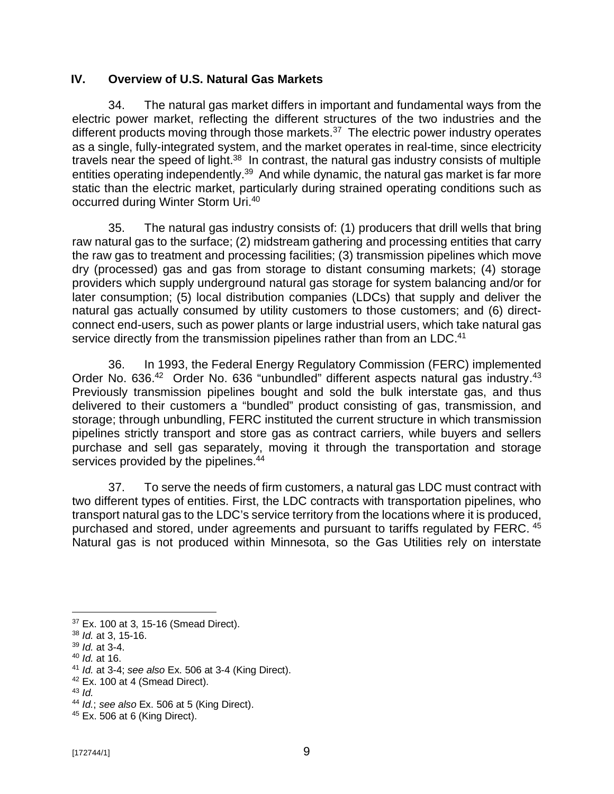### **IV. Overview of U.S. Natural Gas Markets**

34. The natural gas market differs in important and fundamental ways from the electric power market, reflecting the different structures of the two industries and the different products moving through those markets.<sup>37</sup> The electric power industry operates as a single, fully-integrated system, and the market operates in real-time, since electricity travels near the speed of light.<sup>38</sup> In contrast, the natural gas industry consists of multiple entities operating independently.<sup>39</sup> And while dynamic, the natural gas market is far more static than the electric market, particularly during strained operating conditions such as occurred during Winter Storm Uri.<sup>40</sup>

35. The natural gas industry consists of: (1) producers that drill wells that bring raw natural gas to the surface; (2) midstream gathering and processing entities that carry the raw gas to treatment and processing facilities; (3) transmission pipelines which move dry (processed) gas and gas from storage to distant consuming markets; (4) storage providers which supply underground natural gas storage for system balancing and/or for later consumption; (5) local distribution companies (LDCs) that supply and deliver the natural gas actually consumed by utility customers to those customers; and (6) directconnect end-users, such as power plants or large industrial users, which take natural gas service directly from the transmission pipelines rather than from an LDC.<sup>41</sup>

36. In 1993, the Federal Energy Regulatory Commission (FERC) implemented Order No. 636.<sup>42</sup> Order No. 636 "unbundled" different aspects natural gas industry.<sup>43</sup> Previously transmission pipelines bought and sold the bulk interstate gas, and thus delivered to their customers a "bundled" product consisting of gas, transmission, and storage; through unbundling, FERC instituted the current structure in which transmission pipelines strictly transport and store gas as contract carriers, while buyers and sellers purchase and sell gas separately, moving it through the transportation and storage services provided by the pipelines.<sup>44</sup>

37. To serve the needs of firm customers, a natural gas LDC must contract with two different types of entities. First, the LDC contracts with transportation pipelines, who transport natural gas to the LDC's service territory from the locations where it is produced, purchased and stored, under agreements and pursuant to tariffs regulated by FERC. <sup>45</sup> Natural gas is not produced within Minnesota, so the Gas Utilities rely on interstate

<sup>37</sup> Ex. 100 at 3, 15-16 (Smead Direct).

<sup>38</sup> *Id.* at 3, 15-16.

<sup>39</sup> *Id.* at 3-4.

<sup>40</sup> *Id.* at 16.

<sup>41</sup> *Id.* at 3-4; *see also* Ex. 506 at 3-4 (King Direct).

 $42$  Ex. 100 at 4 (Smead Direct).

<sup>43</sup> *Id.*

<sup>44</sup> *Id.*; *see also* Ex. 506 at 5 (King Direct).

<sup>45</sup> Ex. 506 at 6 (King Direct).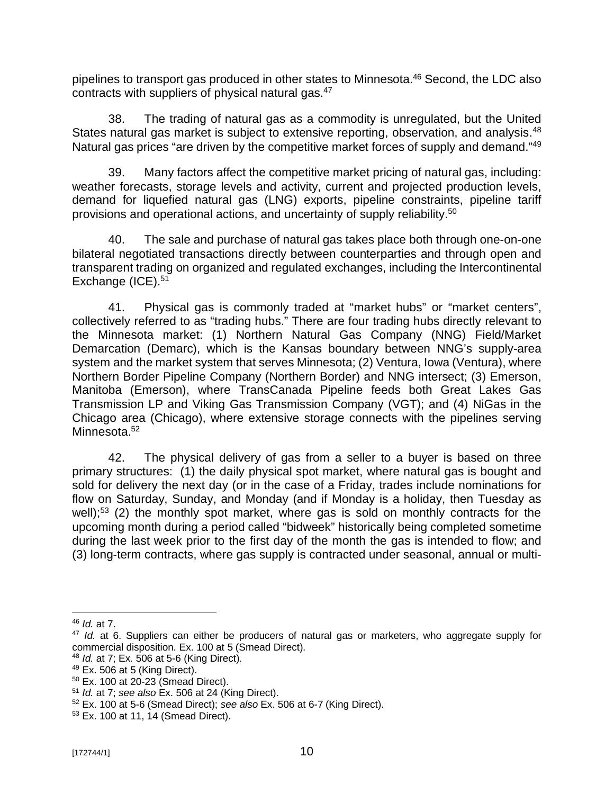pipelines to transport gas produced in other states to Minnesota.<sup>46</sup> Second, the LDC also contracts with suppliers of physical natural gas. $47$ 

38. The trading of natural gas as a commodity is unregulated, but the United States natural gas market is subject to extensive reporting, observation, and analysis.<sup>48</sup> Natural gas prices "are driven by the competitive market forces of supply and demand."<sup>49</sup>

39. Many factors affect the competitive market pricing of natural gas, including: weather forecasts, storage levels and activity, current and projected production levels, demand for liquefied natural gas (LNG) exports, pipeline constraints, pipeline tariff provisions and operational actions, and uncertainty of supply reliability.<sup>50</sup>

40. The sale and purchase of natural gas takes place both through one-on-one bilateral negotiated transactions directly between counterparties and through open and transparent trading on organized and regulated exchanges, including the Intercontinental Exchange (ICE).<sup>51</sup>

41. Physical gas is commonly traded at "market hubs" or "market centers", collectively referred to as "trading hubs." There are four trading hubs directly relevant to the Minnesota market: (1) Northern Natural Gas Company (NNG) Field/Market Demarcation (Demarc), which is the Kansas boundary between NNG's supply-area system and the market system that serves Minnesota; (2) Ventura, Iowa (Ventura), where Northern Border Pipeline Company (Northern Border) and NNG intersect; (3) Emerson, Manitoba (Emerson), where TransCanada Pipeline feeds both Great Lakes Gas Transmission LP and Viking Gas Transmission Company (VGT); and (4) NiGas in the Chicago area (Chicago), where extensive storage connects with the pipelines serving Minnesota.<sup>52</sup>

42. The physical delivery of gas from a seller to a buyer is based on three primary structures: (1) the daily physical spot market, where natural gas is bought and sold for delivery the next day (or in the case of a Friday, trades include nominations for flow on Saturday, Sunday, and Monday (and if Monday is a holiday, then Tuesday as well);<sup>53</sup> (2) the monthly spot market, where gas is sold on monthly contracts for the upcoming month during a period called "bidweek" historically being completed sometime during the last week prior to the first day of the month the gas is intended to flow; and (3) long-term contracts, where gas supply is contracted under seasonal, annual or multi-

<sup>46</sup> *Id.* at 7.

<sup>47</sup> *Id.* at 6. Suppliers can either be producers of natural gas or marketers, who aggregate supply for commercial disposition. Ex. 100 at 5 (Smead Direct).

<sup>48</sup> *Id.* at 7; Ex. 506 at 5-6 (King Direct).

<sup>49</sup> Ex. 506 at 5 (King Direct).

<sup>50</sup> Ex. 100 at 20-23 (Smead Direct).

<sup>51</sup> *Id.* at 7; *see also* Ex. 506 at 24 (King Direct).

<sup>52</sup> Ex. 100 at 5-6 (Smead Direct); *see also* Ex. 506 at 6-7 (King Direct).

<sup>53</sup> Ex. 100 at 11, 14 (Smead Direct).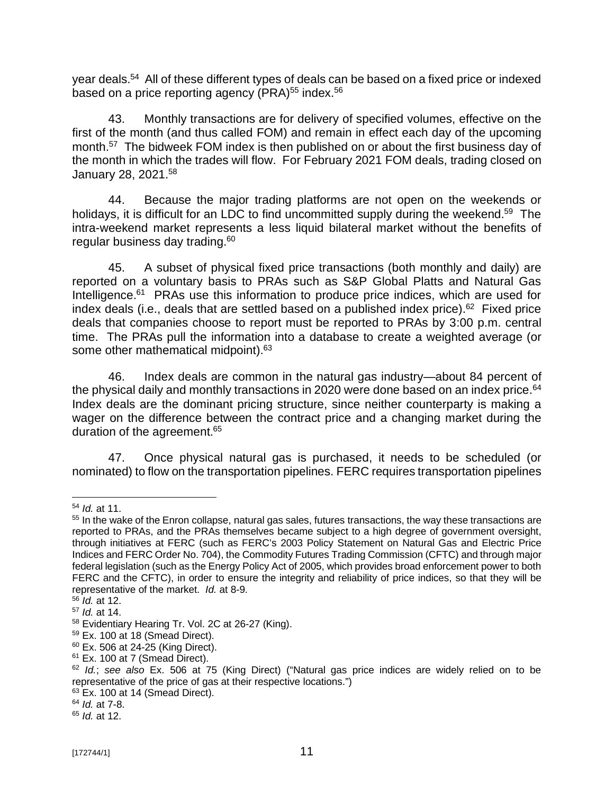year deals. 54 All of these different types of deals can be based on a fixed price or indexed based on a price reporting agency (PRA) $55$  index. $56$ 

43. Monthly transactions are for delivery of specified volumes, effective on the first of the month (and thus called FOM) and remain in effect each day of the upcoming month.<sup>57</sup> The bidweek FOM index is then published on or about the first business day of the month in which the trades will flow. For February 2021 FOM deals, trading closed on January 28, 2021.<sup>58</sup>

44. Because the major trading platforms are not open on the weekends or holidays, it is difficult for an LDC to find uncommitted supply during the weekend.<sup>59</sup> The intra-weekend market represents a less liquid bilateral market without the benefits of regular business day trading.<sup>60</sup>

45. A subset of physical fixed price transactions (both monthly and daily) are reported on a voluntary basis to PRAs such as S&P Global Platts and Natural Gas Intelligence.<sup>61</sup> PRAs use this information to produce price indices, which are used for index deals (i.e., deals that are settled based on a published index price).<sup>62</sup> Fixed price deals that companies choose to report must be reported to PRAs by 3:00 p.m. central time. The PRAs pull the information into a database to create a weighted average (or some other mathematical midpoint).<sup>63</sup>

46. Index deals are common in the natural gas industry—about 84 percent of the physical daily and monthly transactions in 2020 were done based on an index price.<sup>64</sup> Index deals are the dominant pricing structure, since neither counterparty is making a wager on the difference between the contract price and a changing market during the duration of the agreement.<sup>65</sup>

47. Once physical natural gas is purchased, it needs to be scheduled (or nominated) to flow on the transportation pipelines. FERC requires transportation pipelines

<sup>54</sup> *Id.* at 11.

<sup>&</sup>lt;sup>55</sup> In the wake of the Enron collapse, natural gas sales, futures transactions, the way these transactions are reported to PRAs, and the PRAs themselves became subject to a high degree of government oversight, through initiatives at FERC (such as FERC's 2003 Policy Statement on Natural Gas and Electric Price Indices and FERC Order No. 704), the Commodity Futures Trading Commission (CFTC) and through major federal legislation (such as the Energy Policy Act of 2005, which provides broad enforcement power to both FERC and the CFTC), in order to ensure the integrity and reliability of price indices, so that they will be representative of the market. *Id.* at 8-9.

<sup>56</sup> *Id.* at 12.

<sup>57</sup> *Id.* at 14.

<sup>58</sup> Evidentiary Hearing Tr. Vol. 2C at 26-27 (King).

 $59$  Ex. 100 at 18 (Smead Direct).

 $60$  Ex. 506 at 24-25 (King Direct).

 $61$  Ex. 100 at 7 (Smead Direct).

<sup>62</sup> *Id.*; *see also* Ex. 506 at 75 (King Direct) ("Natural gas price indices are widely relied on to be representative of the price of gas at their respective locations.")

 $63$  Ex. 100 at 14 (Smead Direct).

<sup>64</sup> *Id.* at 7-8.

<sup>65</sup> *Id.* at 12.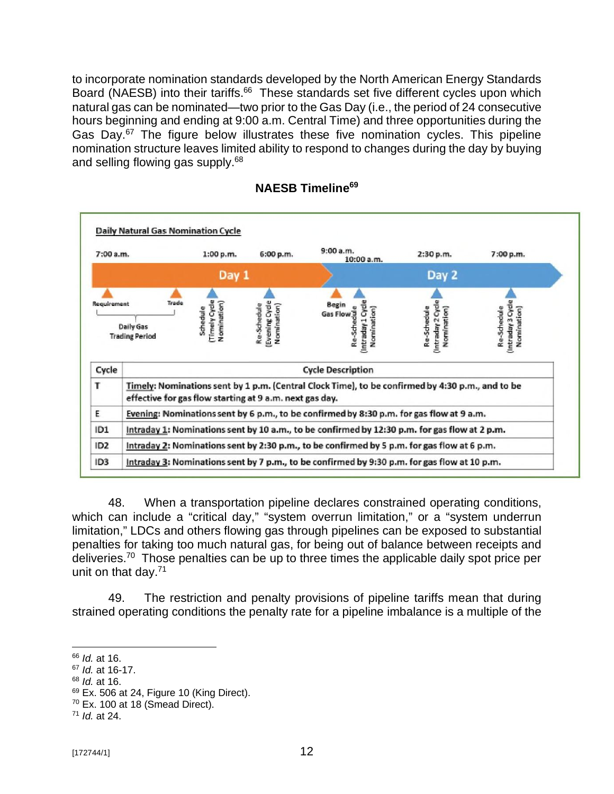to incorporate nomination standards developed by the North American Energy Standards Board (NAESB) into their tariffs.<sup>66</sup> These standards set five different cycles upon which natural gas can be nominated—two prior to the Gas Day (i.e., the period of 24 consecutive hours beginning and ending at 9:00 a.m. Central Time) and three opportunities during the Gas Day.<sup>67</sup> The figure below illustrates these five nomination cycles. This pipeline nomination structure leaves limited ability to respond to changes during the day by buying and selling flowing gas supply.<sup>68</sup>



#### **NAESB Timeline<sup>69</sup>**

48. When a transportation pipeline declares constrained operating conditions, which can include a "critical day," "system overrun limitation," or a "system underrun limitation," LDCs and others flowing gas through pipelines can be exposed to substantial penalties for taking too much natural gas, for being out of balance between receipts and deliveries.<sup>70</sup> Those penalties can be up to three times the applicable daily spot price per unit on that day.<sup>71</sup>

49. The restriction and penalty provisions of pipeline tariffs mean that during strained operating conditions the penalty rate for a pipeline imbalance is a multiple of the

<sup>68</sup> *Id.* at 16.

<sup>66</sup> *Id.* at 16.

<sup>67</sup> *Id.* at 16-17.

 $69$  Ex. 506 at 24, Figure 10 (King Direct).

 $70$  Ex. 100 at 18 (Smead Direct).

<sup>71</sup> *Id.* at 24.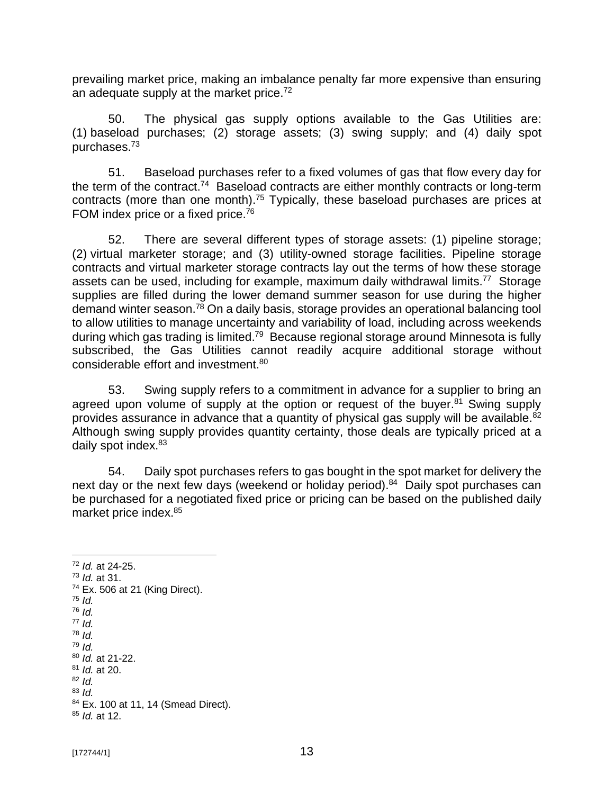prevailing market price, making an imbalance penalty far more expensive than ensuring an adequate supply at the market price.<sup>72</sup>

50. The physical gas supply options available to the Gas Utilities are: (1) baseload purchases; (2) storage assets; (3) swing supply; and (4) daily spot purchases.<sup>73</sup>

51. Baseload purchases refer to a fixed volumes of gas that flow every day for the term of the contract.<sup>74</sup> Baseload contracts are either monthly contracts or long-term contracts (more than one month).<sup>75</sup> Typically, these baseload purchases are prices at FOM index price or a fixed price.<sup>76</sup>

52. There are several different types of storage assets: (1) pipeline storage; (2) virtual marketer storage; and (3) utility-owned storage facilities. Pipeline storage contracts and virtual marketer storage contracts lay out the terms of how these storage assets can be used, including for example, maximum daily withdrawal limits.<sup>77</sup> Storage supplies are filled during the lower demand summer season for use during the higher demand winter season.<sup>78</sup> On a daily basis, storage provides an operational balancing tool to allow utilities to manage uncertainty and variability of load, including across weekends during which gas trading is limited.<sup>79</sup> Because regional storage around Minnesota is fully subscribed, the Gas Utilities cannot readily acquire additional storage without considerable effort and investment.<sup>80</sup>

53. Swing supply refers to a commitment in advance for a supplier to bring an agreed upon volume of supply at the option or request of the buyer.<sup>81</sup> Swing supply provides assurance in advance that a quantity of physical gas supply will be available.<sup>82</sup> Although swing supply provides quantity certainty, those deals are typically priced at a daily spot index.<sup>83</sup>

54. Daily spot purchases refers to gas bought in the spot market for delivery the next day or the next few days (weekend or holiday period).<sup>84</sup> Daily spot purchases can be purchased for a negotiated fixed price or pricing can be based on the published daily market price index.<sup>85</sup>

<sup>72</sup> *Id.* at 24-25. <sup>73</sup> *Id.* at 31. <sup>74</sup> Ex. 506 at 21 (King Direct). <sup>75</sup> *Id.* <sup>76</sup> *Id.* <sup>77</sup> *Id.* <sup>78</sup> *Id.* <sup>79</sup> *Id.* <sup>80</sup> *Id.* at 21-22. <sup>81</sup> *Id.* at 20. <sup>82</sup> *Id.* <sup>83</sup> *Id.* 84 Ex. 100 at 11, 14 (Smead Direct). <sup>85</sup> *Id.* at 12.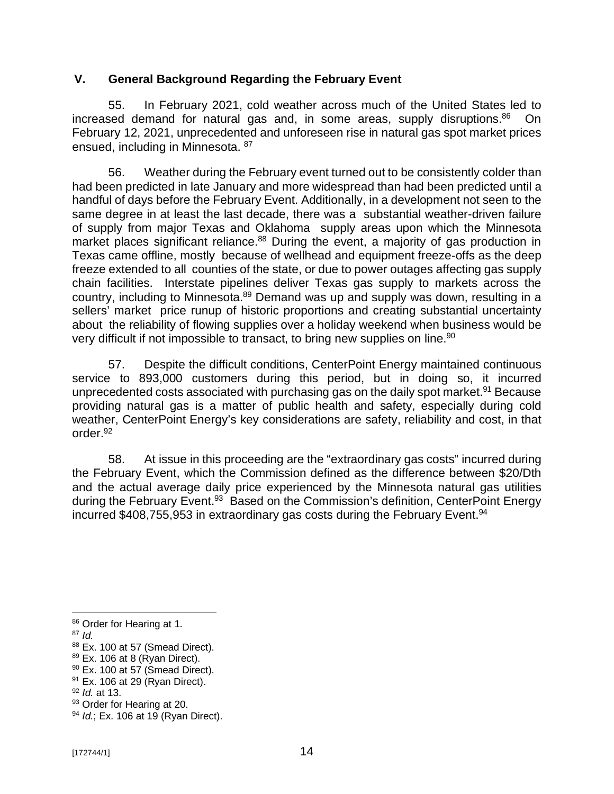### **V. General Background Regarding the February Event**

55. In February 2021, cold weather across much of the United States led to increased demand for natural gas and, in some areas, supply disruptions.<sup>86</sup> On February 12, 2021, unprecedented and unforeseen rise in natural gas spot market prices ensued, including in Minnesota. <sup>87</sup>

56. Weather during the February event turned out to be consistently colder than had been predicted in late January and more widespread than had been predicted until a handful of days before the February Event. Additionally, in a development not seen to the same degree in at least the last decade, there was a substantial weather-driven failure of supply from major Texas and Oklahoma supply areas upon which the Minnesota market places significant reliance.<sup>88</sup> During the event, a majority of gas production in Texas came offline, mostly because of wellhead and equipment freeze-offs as the deep freeze extended to all counties of the state, or due to power outages affecting gas supply chain facilities. Interstate pipelines deliver Texas gas supply to markets across the country, including to Minnesota.<sup>89</sup> Demand was up and supply was down, resulting in a sellers' market price runup of historic proportions and creating substantial uncertainty about the reliability of flowing supplies over a holiday weekend when business would be very difficult if not impossible to transact, to bring new supplies on line.<sup>90</sup>

57. Despite the difficult conditions, CenterPoint Energy maintained continuous service to 893,000 customers during this period, but in doing so, it incurred unprecedented costs associated with purchasing gas on the daily spot market.<sup>91</sup> Because providing natural gas is a matter of public health and safety, especially during cold weather, CenterPoint Energy's key considerations are safety, reliability and cost, in that order.<sup>92</sup>

58. At issue in this proceeding are the "extraordinary gas costs" incurred during the February Event, which the Commission defined as the difference between \$20/Dth and the actual average daily price experienced by the Minnesota natural gas utilities during the February Event.<sup>93</sup> Based on the Commission's definition, CenterPoint Energy incurred \$408,755,953 in extraordinary gas costs during the February Event.<sup>94</sup>

<sup>86</sup> Order for Hearing at 1.

<sup>87</sup> *Id.*

<sup>88</sup> Ex. 100 at 57 (Smead Direct).

 $89$  Ex. 106 at 8 (Ryan Direct).

 $90$  Ex. 100 at 57 (Smead Direct).

 $91$  Ex. 106 at 29 (Ryan Direct).

<sup>92</sup> *Id.* at 13.

<sup>93</sup> Order for Hearing at 20.

<sup>94</sup> *Id.*; Ex. 106 at 19 (Ryan Direct).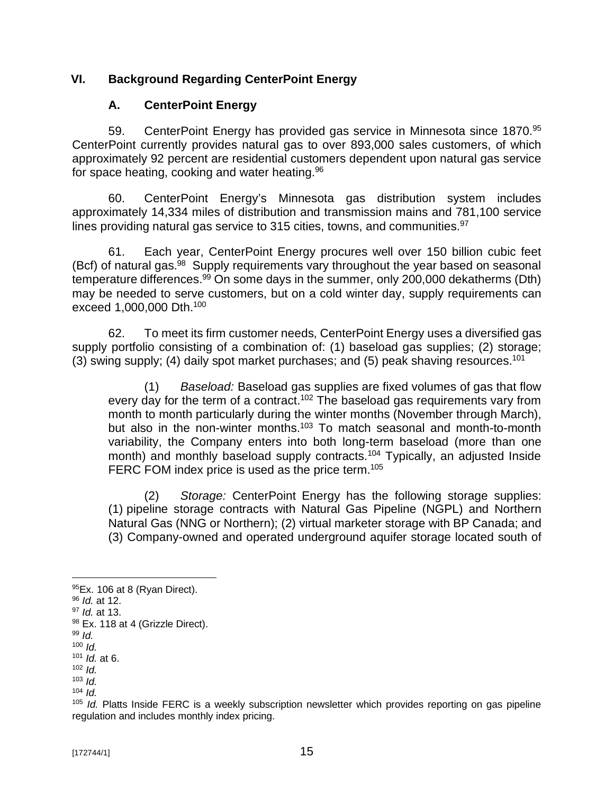## **VI. Background Regarding CenterPoint Energy**

## **A. CenterPoint Energy**

59. CenterPoint Energy has provided gas service in Minnesota since 1870.<sup>95</sup> CenterPoint currently provides natural gas to over 893,000 sales customers, of which approximately 92 percent are residential customers dependent upon natural gas service for space heating, cooking and water heating.<sup>96</sup>

60. CenterPoint Energy's Minnesota gas distribution system includes approximately 14,334 miles of distribution and transmission mains and 781,100 service lines providing natural gas service to 315 cities, towns, and communities. $97$ 

61. Each year, CenterPoint Energy procures well over 150 billion cubic feet (Bcf) of natural gas.<sup>98</sup> Supply requirements vary throughout the year based on seasonal temperature differences.<sup>99</sup> On some days in the summer, only 200,000 dekatherms (Dth) may be needed to serve customers, but on a cold winter day, supply requirements can exceed 1,000,000 Dth. 100

62. To meet its firm customer needs, CenterPoint Energy uses a diversified gas supply portfolio consisting of a combination of: (1) baseload gas supplies; (2) storage; (3) swing supply; (4) daily spot market purchases; and (5) peak shaving resources.<sup>101</sup>

(1) *Baseload:* Baseload gas supplies are fixed volumes of gas that flow every day for the term of a contract.<sup>102</sup> The baseload gas requirements vary from month to month particularly during the winter months (November through March), but also in the non-winter months.<sup>103</sup> To match seasonal and month-to-month variability, the Company enters into both long-term baseload (more than one month) and monthly baseload supply contracts.<sup>104</sup> Typically, an adjusted Inside FERC FOM index price is used as the price term.<sup>105</sup>

(2) *Storage:* CenterPoint Energy has the following storage supplies: (1) pipeline storage contracts with Natural Gas Pipeline (NGPL) and Northern Natural Gas (NNG or Northern); (2) virtual marketer storage with BP Canada; and (3) Company-owned and operated underground aquifer storage located south of

<sup>99</sup> *Id.*  $100$  *Id.* 

<sup>102</sup> *Id.*

<sup>104</sup> *Id.*

 $95$ Ex. 106 at 8 (Ryan Direct).

<sup>96</sup> *Id.* at 12.

<sup>97</sup> *Id.* at 13.

<sup>98</sup> Ex. 118 at 4 (Grizzle Direct).

<sup>101</sup> *Id.* at 6.

<sup>103</sup> *Id.*

<sup>105</sup> *Id.* Platts Inside FERC is a weekly subscription newsletter which provides reporting on gas pipeline regulation and includes monthly index pricing.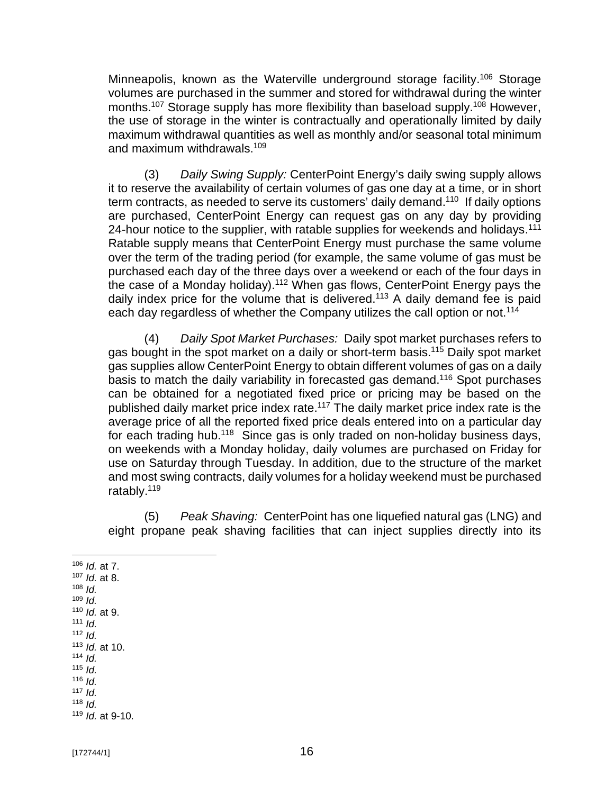Minneapolis, known as the Waterville underground storage facility.<sup>106</sup> Storage volumes are purchased in the summer and stored for withdrawal during the winter months.<sup>107</sup> Storage supply has more flexibility than baseload supply.<sup>108</sup> However, the use of storage in the winter is contractually and operationally limited by daily maximum withdrawal quantities as well as monthly and/or seasonal total minimum and maximum withdrawals.<sup>109</sup>

(3) *Daily Swing Supply:* CenterPoint Energy's daily swing supply allows it to reserve the availability of certain volumes of gas one day at a time, or in short term contracts, as needed to serve its customers' daily demand.<sup>110</sup> If daily options are purchased, CenterPoint Energy can request gas on any day by providing 24-hour notice to the supplier, with ratable supplies for weekends and holidays.<sup>111</sup> Ratable supply means that CenterPoint Energy must purchase the same volume over the term of the trading period (for example, the same volume of gas must be purchased each day of the three days over a weekend or each of the four days in the case of a Monday holiday).<sup>112</sup> When gas flows, CenterPoint Energy pays the daily index price for the volume that is delivered.<sup>113</sup> A daily demand fee is paid each day regardless of whether the Company utilizes the call option or not.<sup>114</sup>

(4) *Daily Spot Market Purchases:* Daily spot market purchases refers to gas bought in the spot market on a daily or short-term basis.<sup>115</sup> Daily spot market gas supplies allow CenterPoint Energy to obtain different volumes of gas on a daily basis to match the daily variability in forecasted gas demand.<sup>116</sup> Spot purchases can be obtained for a negotiated fixed price or pricing may be based on the published daily market price index rate.<sup>117</sup> The daily market price index rate is the average price of all the reported fixed price deals entered into on a particular day for each trading hub.<sup>118</sup> Since gas is only traded on non-holiday business days, on weekends with a Monday holiday, daily volumes are purchased on Friday for use on Saturday through Tuesday. In addition, due to the structure of the market and most swing contracts, daily volumes for a holiday weekend must be purchased ratably.<sup>119</sup>

(5) *Peak Shaving:* CenterPoint has one liquefied natural gas (LNG) and eight propane peak shaving facilities that can inject supplies directly into its

<sup>106</sup> *Id.* at 7. <sup>107</sup> *Id.* at 8. <sup>108</sup> *Id.* <sup>109</sup> *Id.* <sup>110</sup> *Id.* at 9. <sup>111</sup> *Id.* <sup>112</sup> *Id.* <sup>113</sup> *Id.* at 10. <sup>114</sup> *Id.*  $115$  *Id.* <sup>116</sup> *Id.* 117  $Id$  $118$  *Id.* <sup>119</sup> *Id.* at 9-10.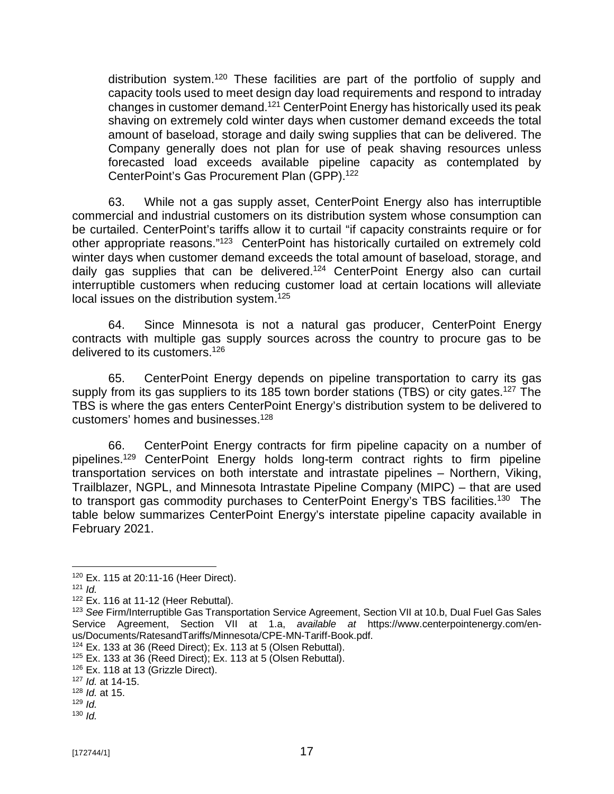distribution system.<sup>120</sup> These facilities are part of the portfolio of supply and capacity tools used to meet design day load requirements and respond to intraday changes in customer demand.<sup>121</sup> CenterPoint Energy has historically used its peak shaving on extremely cold winter days when customer demand exceeds the total amount of baseload, storage and daily swing supplies that can be delivered. The Company generally does not plan for use of peak shaving resources unless forecasted load exceeds available pipeline capacity as contemplated by CenterPoint's Gas Procurement Plan (GPP).<sup>122</sup>

63. While not a gas supply asset, CenterPoint Energy also has interruptible commercial and industrial customers on its distribution system whose consumption can be curtailed. CenterPoint's tariffs allow it to curtail "if capacity constraints require or for other appropriate reasons."<sup>123</sup> CenterPoint has historically curtailed on extremely cold winter days when customer demand exceeds the total amount of baseload, storage, and daily gas supplies that can be delivered.<sup>124</sup> CenterPoint Energy also can curtail interruptible customers when reducing customer load at certain locations will alleviate local issues on the distribution system.<sup>125</sup>

64. Since Minnesota is not a natural gas producer, CenterPoint Energy contracts with multiple gas supply sources across the country to procure gas to be delivered to its customers.<sup>126</sup>

65. CenterPoint Energy depends on pipeline transportation to carry its gas supply from its gas suppliers to its 185 town border stations (TBS) or city gates.<sup>127</sup> The TBS is where the gas enters CenterPoint Energy's distribution system to be delivered to customers' homes and businesses.<sup>128</sup>

66. CenterPoint Energy contracts for firm pipeline capacity on a number of pipelines.<sup>129</sup> CenterPoint Energy holds long-term contract rights to firm pipeline transportation services on both interstate and intrastate pipelines – Northern, Viking, Trailblazer, NGPL, and Minnesota Intrastate Pipeline Company (MIPC) – that are used to transport gas commodity purchases to CenterPoint Energy's TBS facilities.<sup>130</sup> The table below summarizes CenterPoint Energy's interstate pipeline capacity available in February 2021.

<sup>120</sup> Ex. 115 at 20:11-16 (Heer Direct).

<sup>121</sup>  $\overline{Id}$ 

 $122$  Ex. 116 at 11-12 (Heer Rebuttal).

<sup>123</sup> *See* Firm/Interruptible Gas Transportation Service Agreement, Section VII at 10.b, Dual Fuel Gas Sales Service Agreement, Section VII at 1.a, *available at* [https://www.centerpointenergy.com/en](https://www.centerpointenergy.com/en-)us/Documents/RatesandTariffs/Minnesota/CPE-MN-Tariff-Book.pdf.

 $124$  Ex. 133 at 36 (Reed Direct); Ex. 113 at 5 (Olsen Rebuttal).

 $125$  Ex. 133 at 36 (Reed Direct); Ex. 113 at 5 (Olsen Rebuttal).

<sup>&</sup>lt;sup>126</sup> Ex. 118 at 13 (Grizzle Direct).

<sup>127</sup> *Id.* at 14-15.

<sup>128</sup> *Id.* at 15.

 $129$  *Id.* 

<sup>130</sup> *Id.*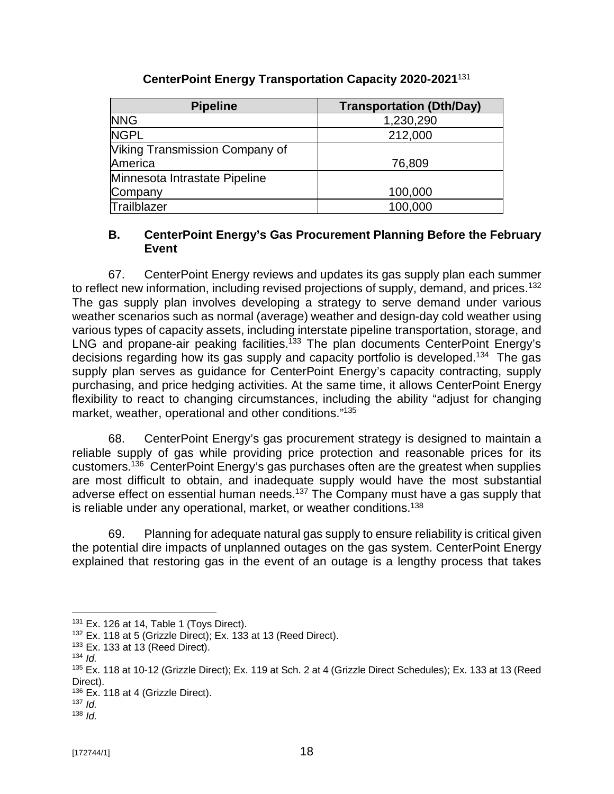| <b>Pipeline</b>                       | <b>Transportation (Dth/Day)</b> |
|---------------------------------------|---------------------------------|
| <b>NNG</b>                            | 1,230,290                       |
| <b>NGPL</b>                           | 212,000                         |
| <b>Viking Transmission Company of</b> |                                 |
| America                               | 76,809                          |
| Minnesota Intrastate Pipeline         |                                 |
| Company                               | 100,000                         |
| Trailblazer                           | 100,000                         |

# **CenterPoint Energy Transportation Capacity 2020-2021**<sup>131</sup>

#### **B. CenterPoint Energy's Gas Procurement Planning Before the February Event**

67. CenterPoint Energy reviews and updates its gas supply plan each summer to reflect new information, including revised projections of supply, demand, and prices.<sup>132</sup> The gas supply plan involves developing a strategy to serve demand under various weather scenarios such as normal (average) weather and design-day cold weather using various types of capacity assets, including interstate pipeline transportation, storage, and LNG and propane-air peaking facilities.<sup>133</sup> The plan documents CenterPoint Energy's decisions regarding how its gas supply and capacity portfolio is developed.<sup>134</sup> The gas supply plan serves as guidance for CenterPoint Energy's capacity contracting, supply purchasing, and price hedging activities. At the same time, it allows CenterPoint Energy flexibility to react to changing circumstances, including the ability "adjust for changing market, weather, operational and other conditions." 135

68. CenterPoint Energy's gas procurement strategy is designed to maintain a reliable supply of gas while providing price protection and reasonable prices for its customers.<sup>136</sup> CenterPoint Energy's gas purchases often are the greatest when supplies are most difficult to obtain, and inadequate supply would have the most substantial adverse effect on essential human needs.<sup>137</sup> The Company must have a gas supply that is reliable under any operational, market, or weather conditions.<sup>138</sup>

69. Planning for adequate natural gas supply to ensure reliability is critical given the potential dire impacts of unplanned outages on the gas system. CenterPoint Energy explained that restoring gas in the event of an outage is a lengthy process that takes

<sup>131</sup> Ex. 126 at 14, Table 1 (Toys Direct).

 $132$  Ex. 118 at 5 (Grizzle Direct); Ex. 133 at 13 (Reed Direct).

 $133$  Ex. 133 at 13 (Reed Direct).

 $134$  *Id.* 

<sup>135</sup> Ex. 118 at 10-12 (Grizzle Direct); Ex. 119 at Sch. 2 at 4 (Grizzle Direct Schedules); Ex. 133 at 13 (Reed Direct).

<sup>&</sup>lt;sup>136</sup> Ex. 118 at 4 (Grizzle Direct).

 $137$  *Id.* <sup>138</sup> *Id.*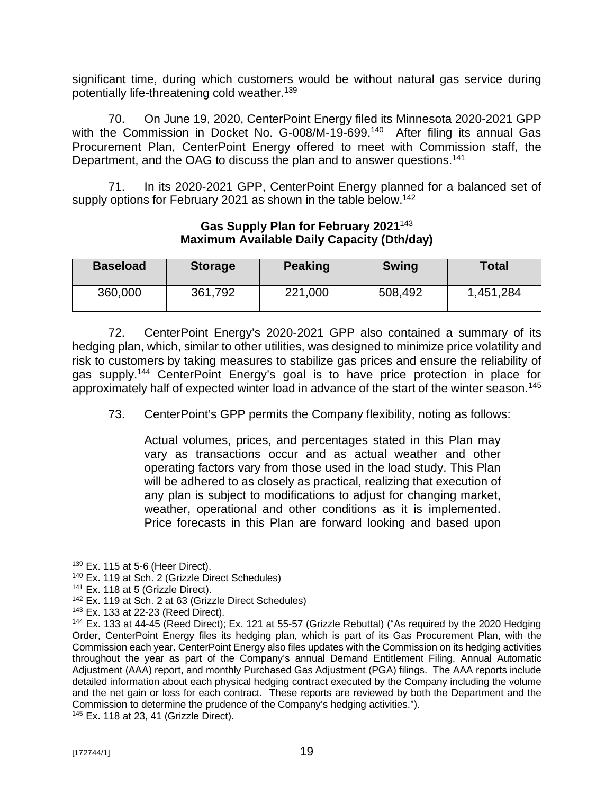significant time, during which customers would be without natural gas service during potentially life-threatening cold weather.<sup>139</sup>

70. On June 19, 2020, CenterPoint Energy filed its Minnesota 2020-2021 GPP with the Commission in Docket No. G-008/M-19-699.<sup>140</sup> After filing its annual Gas Procurement Plan, CenterPoint Energy offered to meet with Commission staff, the Department, and the OAG to discuss the plan and to answer questions.<sup>141</sup>

71. In its 2020-2021 GPP, CenterPoint Energy planned for a balanced set of supply options for February 2021 as shown in the table below.<sup>142</sup>

| <b>Baseload</b> | <b>Storage</b> | <b>Peaking</b> | <b>Swing</b> | <b>Total</b> |  |
|-----------------|----------------|----------------|--------------|--------------|--|
| 360,000         | 361,792        | 221,000        | 508,492      | 1,451,284    |  |

### **Gas Supply Plan for February 2021**<sup>143</sup> **Maximum Available Daily Capacity (Dth/day)**

72. CenterPoint Energy's 2020-2021 GPP also contained a summary of its hedging plan, which, similar to other utilities, was designed to minimize price volatility and risk to customers by taking measures to stabilize gas prices and ensure the reliability of gas supply.<sup>144</sup> CenterPoint Energy's goal is to have price protection in place for approximately half of expected winter load in advance of the start of the winter season.<sup>145</sup>

73. CenterPoint's GPP permits the Company flexibility, noting as follows:

Actual volumes, prices, and percentages stated in this Plan may vary as transactions occur and as actual weather and other operating factors vary from those used in the load study. This Plan will be adhered to as closely as practical, realizing that execution of any plan is subject to modifications to adjust for changing market, weather, operational and other conditions as it is implemented. Price forecasts in this Plan are forward looking and based upon

 $139$  Ex. 115 at 5-6 (Heer Direct).

<sup>140</sup> Ex. 119 at Sch. 2 (Grizzle Direct Schedules)

<sup>&</sup>lt;sup>141</sup> Ex. 118 at 5 (Grizzle Direct).

<sup>142</sup> Ex. 119 at Sch. 2 at 63 (Grizzle Direct Schedules)

<sup>143</sup> Ex. 133 at 22-23 (Reed Direct).

<sup>144</sup> Ex. 133 at 44-45 (Reed Direct); Ex. 121 at 55-57 (Grizzle Rebuttal) ("As required by the 2020 Hedging Order, CenterPoint Energy files its hedging plan, which is part of its Gas Procurement Plan, with the Commission each year. CenterPoint Energy also files updates with the Commission on its hedging activities throughout the year as part of the Company's annual Demand Entitlement Filing, Annual Automatic Adjustment (AAA) report, and monthly Purchased Gas Adjustment (PGA) filings. The AAA reports include detailed information about each physical hedging contract executed by the Company including the volume and the net gain or loss for each contract. These reports are reviewed by both the Department and the Commission to determine the prudence of the Company's hedging activities.").

<sup>145</sup> Ex. 118 at 23, 41 (Grizzle Direct).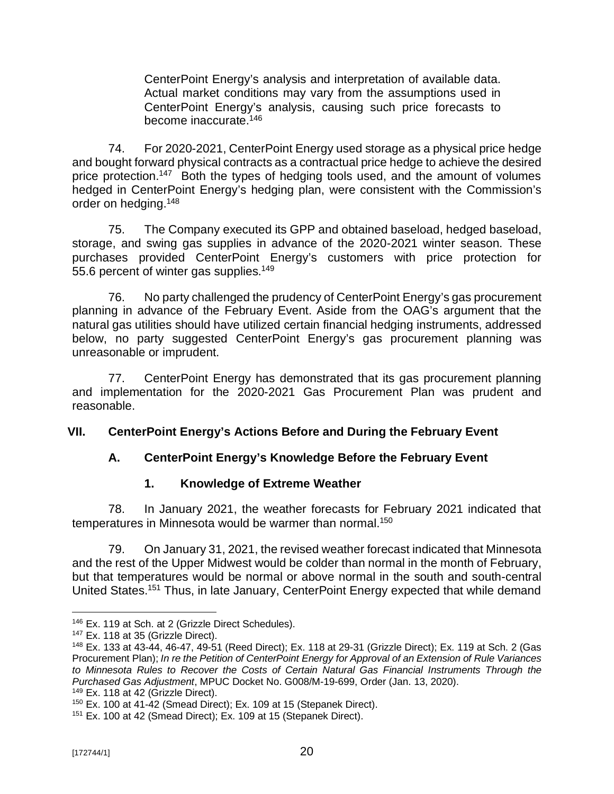CenterPoint Energy's analysis and interpretation of available data. Actual market conditions may vary from the assumptions used in CenterPoint Energy's analysis, causing such price forecasts to become inaccurate.<sup>146</sup>

74. For 2020-2021, CenterPoint Energy used storage as a physical price hedge and bought forward physical contracts as a contractual price hedge to achieve the desired price protection.<sup>147</sup> Both the types of hedging tools used, and the amount of volumes hedged in CenterPoint Energy's hedging plan, were consistent with the Commission's order on hedging. 148

75. The Company executed its GPP and obtained baseload, hedged baseload, storage, and swing gas supplies in advance of the 2020-2021 winter season. These purchases provided CenterPoint Energy's customers with price protection for 55.6 percent of winter gas supplies.<sup>149</sup>

76. No party challenged the prudency of CenterPoint Energy's gas procurement planning in advance of the February Event. Aside from the OAG's argument that the natural gas utilities should have utilized certain financial hedging instruments, addressed below, no party suggested CenterPoint Energy's gas procurement planning was unreasonable or imprudent.

77. CenterPoint Energy has demonstrated that its gas procurement planning and implementation for the 2020-2021 Gas Procurement Plan was prudent and reasonable.

## **VII. CenterPoint Energy's Actions Before and During the February Event**

# **A. CenterPoint Energy's Knowledge Before the February Event**

# **1. Knowledge of Extreme Weather**

78. In January 2021, the weather forecasts for February 2021 indicated that temperatures in Minnesota would be warmer than normal.<sup>150</sup>

79. On January 31, 2021, the revised weather forecast indicated that Minnesota and the rest of the Upper Midwest would be colder than normal in the month of February, but that temperatures would be normal or above normal in the south and south-central United States.<sup>151</sup> Thus, in late January, CenterPoint Energy expected that while demand

<sup>&</sup>lt;sup>146</sup> Ex. 119 at Sch. at 2 (Grizzle Direct Schedules).

 $147$  Ex. 118 at 35 (Grizzle Direct).

<sup>148</sup> Ex. 133 at 43-44, 46-47, 49-51 (Reed Direct); Ex. 118 at 29-31 (Grizzle Direct); Ex. 119 at Sch. 2 (Gas Procurement Plan); *In re the Petition of CenterPoint Energy for Approval of an Extension of Rule Variances to Minnesota Rules to Recover the Costs of Certain Natural Gas Financial Instruments Through the Purchased Gas Adjustment*, MPUC Docket No. G008/M-19-699, Order (Jan. 13, 2020).

<sup>&</sup>lt;sup>149</sup> Ex. 118 at 42 (Grizzle Direct).

<sup>150</sup> Ex. 100 at 41-42 (Smead Direct); Ex. 109 at 15 (Stepanek Direct).

<sup>151</sup> Ex. 100 at 42 (Smead Direct); Ex. 109 at 15 (Stepanek Direct).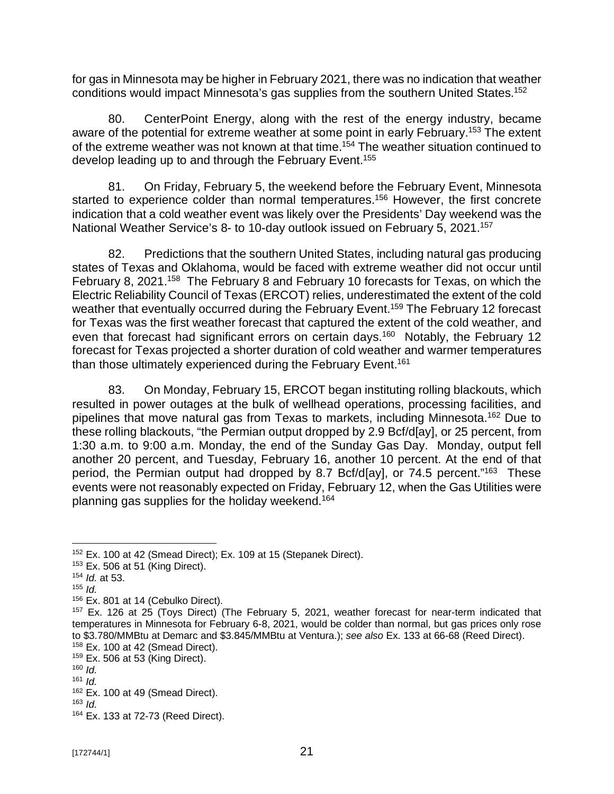for gas in Minnesota may be higher in February 2021, there was no indication that weather conditions would impact Minnesota's gas supplies from the southern United States.<sup>152</sup>

80. CenterPoint Energy, along with the rest of the energy industry, became aware of the potential for extreme weather at some point in early February.<sup>153</sup> The extent of the extreme weather was not known at that time.<sup>154</sup> The weather situation continued to develop leading up to and through the February Event.<sup>155</sup>

81. On Friday, February 5, the weekend before the February Event, Minnesota started to experience colder than normal temperatures.<sup>156</sup> However, the first concrete indication that a cold weather event was likely over the Presidents' Day weekend was the National Weather Service's 8- to 10-day outlook issued on February 5, 2021.<sup>157</sup>

82. Predictions that the southern United States, including natural gas producing states of Texas and Oklahoma, would be faced with extreme weather did not occur until February 8, 2021.<sup>158</sup> The February 8 and February 10 forecasts for Texas, on which the Electric Reliability Council of Texas (ERCOT) relies, underestimated the extent of the cold weather that eventually occurred during the February Event.<sup>159</sup> The February 12 forecast for Texas was the first weather forecast that captured the extent of the cold weather, and even that forecast had significant errors on certain days.<sup>160</sup> Notably, the February 12 forecast for Texas projected a shorter duration of cold weather and warmer temperatures than those ultimately experienced during the February Event. 161

83. On Monday, February 15, ERCOT began instituting rolling blackouts, which resulted in power outages at the bulk of wellhead operations, processing facilities, and pipelines that move natural gas from Texas to markets, including Minnesota.<sup>162</sup> Due to these rolling blackouts, "the Permian output dropped by 2.9 Bcf/d[ay], or 25 percent, from 1:30 a.m. to 9:00 a.m. Monday, the end of the Sunday Gas Day. Monday, output fell another 20 percent, and Tuesday, February 16, another 10 percent. At the end of that period, the Permian output had dropped by 8.7 Bcf/d[ay], or 74.5 percent."<sup>163</sup> These events were not reasonably expected on Friday, February 12, when the Gas Utilities were planning gas supplies for the holiday weekend.<sup>164</sup>

<sup>152</sup> Ex. 100 at 42 (Smead Direct); Ex. 109 at 15 (Stepanek Direct).

<sup>153</sup> Ex. 506 at 51 (King Direct).

<sup>154</sup> *Id.* at 53.

 $155$  *Id.* 

<sup>&</sup>lt;sup>156</sup> Ex. 801 at 14 (Cebulko Direct).

<sup>&</sup>lt;sup>157</sup> Ex. 126 at 25 (Toys Direct) (The February 5, 2021, weather forecast for near-term indicated that temperatures in Minnesota for February 6-8, 2021, would be colder than normal, but gas prices only rose to \$3.780/MMBtu at Demarc and \$3.845/MMBtu at Ventura.); *see also* Ex. 133 at 66-68 (Reed Direct).

 $158$  Ex. 100 at 42 (Smead Direct).

 $159$  Ex. 506 at 53 (King Direct).

 $160$  *Id.*  $161$  *Id.* 

 $162$  Ex. 100 at 49 (Smead Direct).

 $163$  *Id.* 

<sup>164</sup> Ex. 133 at 72-73 (Reed Direct).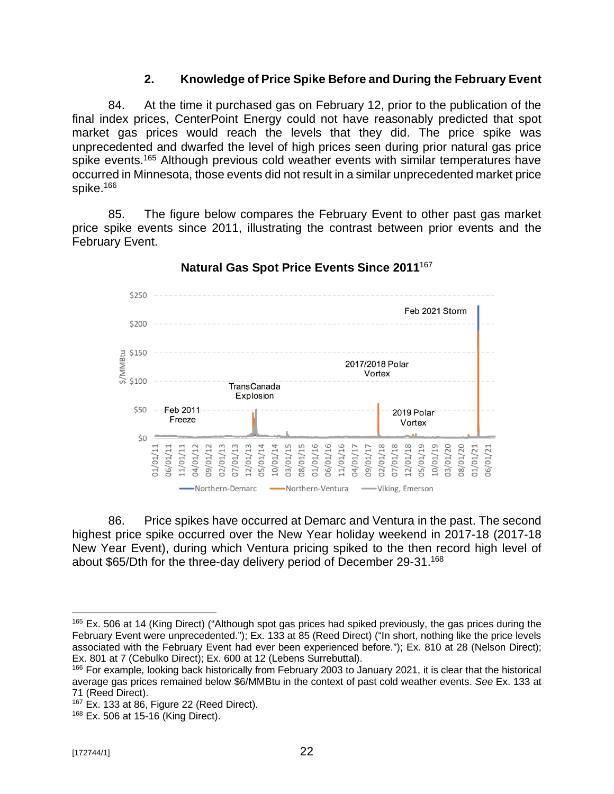## **2. Knowledge of Price Spike Before and During the February Event**

84. At the time it purchased gas on February 12, prior to the publication of the final index prices, CenterPoint Energy could not have reasonably predicted that spot market gas prices would reach the levels that they did. The price spike was unprecedented and dwarfed the level of high prices seen during prior natural gas price spike events.<sup>165</sup> Although previous cold weather events with similar temperatures have occurred in Minnesota, those events did not result in a similar unprecedented market price spike.<sup>166</sup>

85. The figure below compares the February Event to other past gas market price spike events since 2011, illustrating the contrast between prior events and the February Event.



### **Natural Gas Spot Price Events Since 2011**<sup>167</sup>

86. Price spikes have occurred at Demarc and Ventura in the past. The second highest price spike occurred over the New Year holiday weekend in 2017-18 (2017-18 New Year Event), during which Ventura pricing spiked to the then record high level of about \$65/Dth for the three-day delivery period of December 29-31.<sup>168</sup>

<sup>&</sup>lt;sup>165</sup> Ex. 506 at 14 (King Direct) ("Although spot gas prices had spiked previously, the gas prices during the February Event were unprecedented."); Ex. 133 at 85 (Reed Direct) ("In short, nothing like the price levels associated with the February Event had ever been experienced before."); Ex. 810 at 28 (Nelson Direct); Ex. 801 at 7 (Cebulko Direct); Ex. 600 at 12 (Lebens Surrebuttal).

<sup>166</sup> For example, looking back historically from February 2003 to January 2021, it is clear that the historical average gas prices remained below \$6/MMBtu in the context of past cold weather events. *See* Ex. 133 at 71 (Reed Direct).

<sup>167</sup> Ex. 133 at 86, Figure 22 (Reed Direct).

<sup>168</sup> Ex. 506 at 15-16 (King Direct).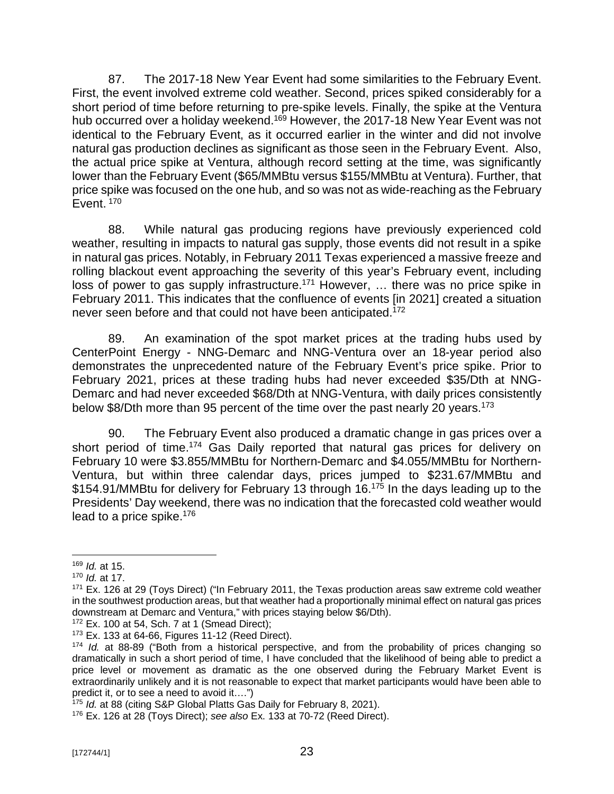87. The 2017-18 New Year Event had some similarities to the February Event. First, the event involved extreme cold weather. Second, prices spiked considerably for a short period of time before returning to pre-spike levels. Finally, the spike at the Ventura hub occurred over a holiday weekend.<sup>169</sup> However, the 2017-18 New Year Event was not identical to the February Event, as it occurred earlier in the winter and did not involve natural gas production declines as significant as those seen in the February Event. Also, the actual price spike at Ventura, although record setting at the time, was significantly lower than the February Event (\$65/MMBtu versus \$155/MMBtu at Ventura). Further, that price spike was focused on the one hub, and so was not as wide-reaching as the February Event.<sup>170</sup>

88. While natural gas producing regions have previously experienced cold weather, resulting in impacts to natural gas supply, those events did not result in a spike in natural gas prices. Notably, in February 2011 Texas experienced a massive freeze and rolling blackout event approaching the severity of this year's February event, including loss of power to gas supply infrastructure.<sup>171</sup> However, ... there was no price spike in February 2011. This indicates that the confluence of events [in 2021] created a situation never seen before and that could not have been anticipated.<sup>172</sup>

89. An examination of the spot market prices at the trading hubs used by CenterPoint Energy - NNG-Demarc and NNG-Ventura over an 18-year period also demonstrates the unprecedented nature of the February Event's price spike. Prior to February 2021, prices at these trading hubs had never exceeded \$35/Dth at NNG-Demarc and had never exceeded \$68/Dth at NNG-Ventura, with daily prices consistently below \$8/Dth more than 95 percent of the time over the past nearly 20 years.<sup>173</sup>

90. The February Event also produced a dramatic change in gas prices over a short period of time.<sup>174</sup> Gas Daily reported that natural gas prices for delivery on February 10 were \$3.855/MMBtu for Northern-Demarc and \$4.055/MMBtu for Northern-Ventura, but within three calendar days, prices jumped to \$231.67/MMBtu and \$154.91/MMBtu for delivery for February 13 through 16.<sup>175</sup> In the days leading up to the Presidents' Day weekend, there was no indication that the forecasted cold weather would lead to a price spike.<sup>176</sup>

<sup>169</sup> *Id.* at 15.

<sup>170</sup> *Id.* at 17.

<sup>&</sup>lt;sup>171</sup> Ex. 126 at 29 (Toys Direct) ("In February 2011, the Texas production areas saw extreme cold weather in the southwest production areas, but that weather had a proportionally minimal effect on natural gas prices downstream at Demarc and Ventura," with prices staying below \$6/Dth).

<sup>172</sup> Ex. 100 at 54, Sch. 7 at 1 (Smead Direct);

<sup>173</sup> Ex. 133 at 64-66, Figures 11-12 (Reed Direct).

<sup>174</sup> *Id.* at 88-89 ("Both from a historical perspective, and from the probability of prices changing so dramatically in such a short period of time, I have concluded that the likelihood of being able to predict a price level or movement as dramatic as the one observed during the February Market Event is extraordinarily unlikely and it is not reasonable to expect that market participants would have been able to predict it, or to see a need to avoid it….")

<sup>&</sup>lt;sup>175</sup> *Id.* at 88 (citing S&P Global Platts Gas Daily for February 8, 2021).

<sup>176</sup> Ex. 126 at 28 (Toys Direct); *see also* Ex. 133 at 70-72 (Reed Direct).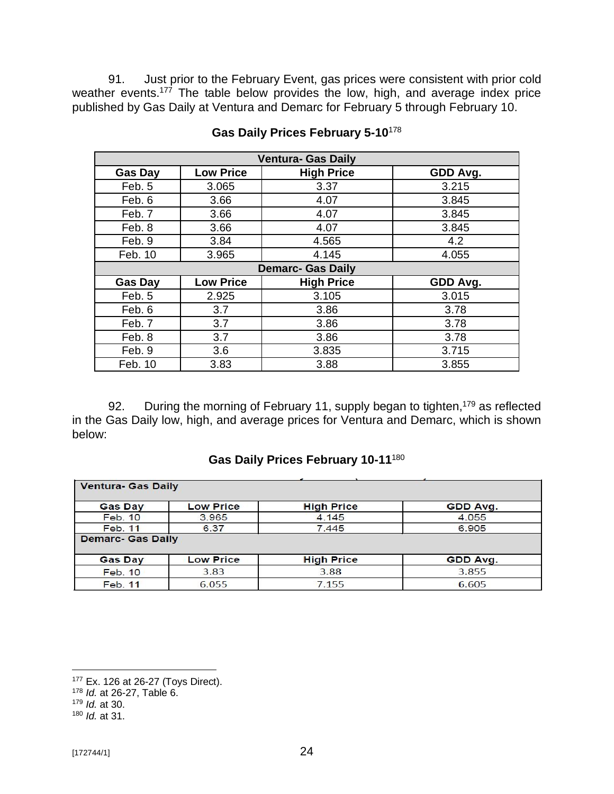91. Just prior to the February Event, gas prices were consistent with prior cold weather events.<sup>177</sup> The table below provides the low, high, and average index price published by Gas Daily at Ventura and Demarc for February 5 through February 10.

| <b>Ventura- Gas Daily</b> |                          |                   |          |  |  |  |
|---------------------------|--------------------------|-------------------|----------|--|--|--|
| <b>Gas Day</b>            | <b>Low Price</b>         | <b>High Price</b> | GDD Avg. |  |  |  |
| Feb. 5                    | 3.065                    | 3.37              | 3.215    |  |  |  |
| Feb. 6                    | 3.66                     | 4.07              | 3.845    |  |  |  |
| Feb. 7                    | 3.66                     | 4.07              | 3.845    |  |  |  |
| Feb. 8                    | 3.66                     | 4.07              | 3.845    |  |  |  |
| Feb. 9                    | 3.84                     | 4.565             | 4.2      |  |  |  |
| Feb. 10                   | 3.965                    | 4.145             | 4.055    |  |  |  |
|                           | <b>Demarc- Gas Daily</b> |                   |          |  |  |  |
| <b>Gas Day</b>            | <b>Low Price</b>         | <b>High Price</b> | GDD Avg. |  |  |  |
| Feb. 5                    | 2.925                    | 3.105             | 3.015    |  |  |  |
| Feb. 6                    | 3.7                      | 3.86              | 3.78     |  |  |  |
| Feb. 7                    | 3.7                      | 3.86              | 3.78     |  |  |  |
| Feb. 8                    | 3.7                      | 3.86              | 3.78     |  |  |  |
| Feb. 9                    | 3.6                      | 3.835             | 3.715    |  |  |  |
| Feb. 10                   | 3.83                     | 3.88              | 3.855    |  |  |  |

# **Gas Daily Prices February 5-10**<sup>178</sup>

92. During the morning of February 11, supply began to tighten,<sup>179</sup> as reflected in the Gas Daily low, high, and average prices for Ventura and Demarc, which is shown below:

## **Gas Daily Prices February 10-11**<sup>180</sup>

| <b>Ventura- Gas Daily</b> |                  |                   |          |  |
|---------------------------|------------------|-------------------|----------|--|
| <b>Gas Day</b>            | <b>Low Price</b> | <b>High Price</b> | GDD Avg. |  |
| <b>Feb. 10</b>            | 3.965            | 4.145             | 4.055    |  |
| Feb. 11                   | 6.37             | 7.445             | 6.905    |  |
| <b>Demarc- Gas Daily</b>  |                  |                   |          |  |
| <b>Gas Day</b>            | <b>Low Price</b> | <b>High Price</b> | GDD Avg. |  |
| <b>Feb. 10</b>            | 3.83             | 3.88              | 3.855    |  |
| <b>Feb. 11</b>            | 6.055            | 7.155             | 6.605    |  |

<sup>177</sup> Ex. 126 at 26-27 (Toys Direct).

<sup>178</sup> *Id.* at 26-27, Table 6.

<sup>179</sup> *Id.* at 30.

<sup>180</sup> *Id.* at 31.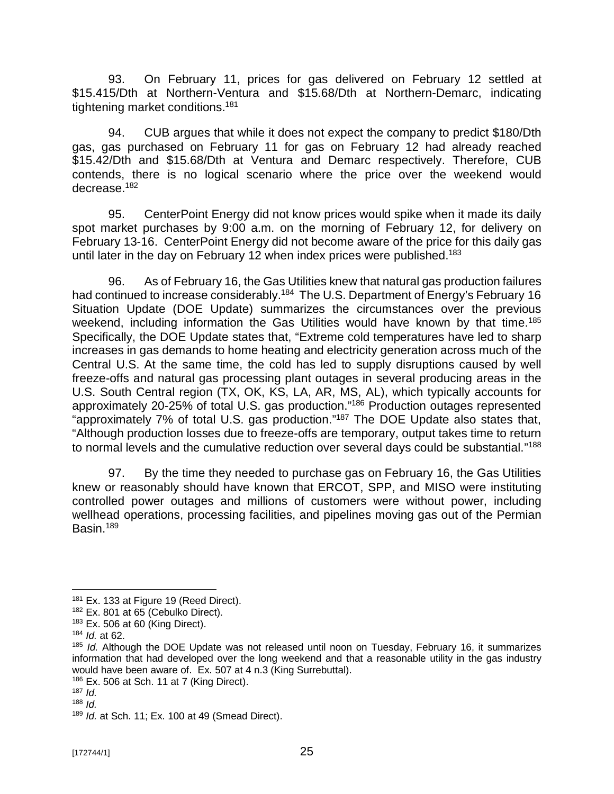93. On February 11, prices for gas delivered on February 12 settled at \$15.415/Dth at Northern-Ventura and \$15.68/Dth at Northern-Demarc, indicating tightening market conditions.<sup>181</sup>

94. CUB argues that while it does not expect the company to predict \$180/Dth gas, gas purchased on February 11 for gas on February 12 had already reached \$15.42/Dth and \$15.68/Dth at Ventura and Demarc respectively. Therefore, CUB contends, there is no logical scenario where the price over the weekend would decrease.<sup>182</sup>

95. CenterPoint Energy did not know prices would spike when it made its daily spot market purchases by 9:00 a.m. on the morning of February 12, for delivery on February 13-16. CenterPoint Energy did not become aware of the price for this daily gas until later in the day on February 12 when index prices were published.<sup>183</sup>

96. As of February 16, the Gas Utilities knew that natural gas production failures had continued to increase considerably.<sup>184</sup> The U.S. Department of Energy's February 16 Situation Update (DOE Update) summarizes the circumstances over the previous weekend, including information the Gas Utilities would have known by that time.<sup>185</sup> Specifically, the DOE Update states that, "Extreme cold temperatures have led to sharp increases in gas demands to home heating and electricity generation across much of the Central U.S. At the same time, the cold has led to supply disruptions caused by well freeze-offs and natural gas processing plant outages in several producing areas in the U.S. South Central region (TX, OK, KS, LA, AR, MS, AL), which typically accounts for approximately 20-25% of total U.S. gas production." <sup>186</sup> Production outages represented "approximately 7% of total U.S. gas production."<sup>187</sup> The DOE Update also states that, "Although production losses due to freeze-offs are temporary, output takes time to return to normal levels and the cumulative reduction over several days could be substantial."<sup>188</sup>

97. By the time they needed to purchase gas on February 16, the Gas Utilities knew or reasonably should have known that ERCOT, SPP, and MISO were instituting controlled power outages and millions of customers were without power, including wellhead operations, processing facilities, and pipelines moving gas out of the Permian Basin.<sup>189</sup>

<sup>&</sup>lt;sup>181</sup> Ex. 133 at Figure 19 (Reed Direct).

<sup>&</sup>lt;sup>182</sup> Ex. 801 at 65 (Cebulko Direct).

<sup>183</sup> Ex. 506 at 60 (King Direct).

<sup>184</sup> *Id.* at 62.

<sup>185</sup> *Id.* Although the DOE Update was not released until noon on Tuesday, February 16, it summarizes information that had developed over the long weekend and that a reasonable utility in the gas industry would have been aware of. Ex. 507 at 4 n.3 (King Surrebuttal).

 $186$  Ex. 506 at Sch. 11 at 7 (King Direct).

<sup>187</sup> *Id.*

<sup>188</sup> *Id.*

<sup>189</sup> *Id.* at Sch. 11; Ex. 100 at 49 (Smead Direct).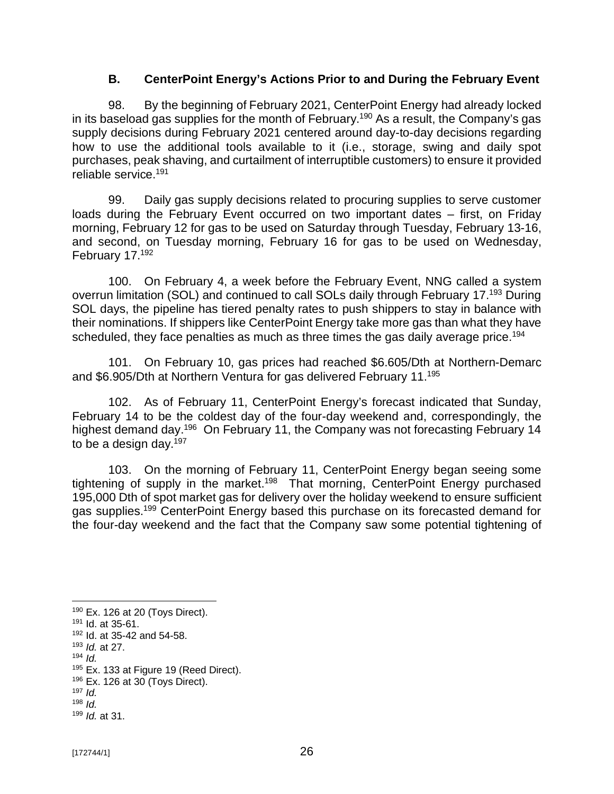### **B. CenterPoint Energy's Actions Prior to and During the February Event**

98. By the beginning of February 2021, CenterPoint Energy had already locked in its baseload gas supplies for the month of February.<sup>190</sup> As a result, the Company's gas supply decisions during February 2021 centered around day-to-day decisions regarding how to use the additional tools available to it (i.e., storage, swing and daily spot purchases, peak shaving, and curtailment of interruptible customers) to ensure it provided reliable service.<sup>191</sup>

99. Daily gas supply decisions related to procuring supplies to serve customer loads during the February Event occurred on two important dates – first, on Friday morning, February 12 for gas to be used on Saturday through Tuesday, February 13-16, and second, on Tuesday morning, February 16 for gas to be used on Wednesday, February 17.<sup>192</sup>

100. On February 4, a week before the February Event, NNG called a system overrun limitation (SOL) and continued to call SOLs daily through February 17.<sup>193</sup> During SOL days, the pipeline has tiered penalty rates to push shippers to stay in balance with their nominations. If shippers like CenterPoint Energy take more gas than what they have scheduled, they face penalties as much as three times the gas daily average price.<sup>194</sup>

101. On February 10, gas prices had reached \$6.605/Dth at Northern-Demarc and \$6.905/Dth at Northern Ventura for gas delivered February 11. 195

102. As of February 11, CenterPoint Energy's forecast indicated that Sunday, February 14 to be the coldest day of the four-day weekend and, correspondingly, the highest demand day.<sup>196</sup> On February 11, the Company was not forecasting February 14 to be a design day. $197$ 

103. On the morning of February 11, CenterPoint Energy began seeing some tightening of supply in the market.<sup>198</sup> That morning, CenterPoint Energy purchased 195,000 Dth of spot market gas for delivery over the holiday weekend to ensure sufficient gas supplies.<sup>199</sup> CenterPoint Energy based this purchase on its forecasted demand for the four-day weekend and the fact that the Company saw some potential tightening of

<sup>190</sup> Ex. 126 at 20 (Toys Direct).

<sup>191</sup> Id. at 35-61.

<sup>192</sup> Id. at 35-42 and 54-58.

<sup>193</sup> *Id.* at 27.

<sup>194</sup> *Id.*

<sup>&</sup>lt;sup>195</sup> Ex. 133 at Figure 19 (Reed Direct).

<sup>196</sup> Ex. 126 at 30 (Toys Direct).

 $197$  *Id.*  $198$  *Id.* 

<sup>199</sup> *Id.* at 31.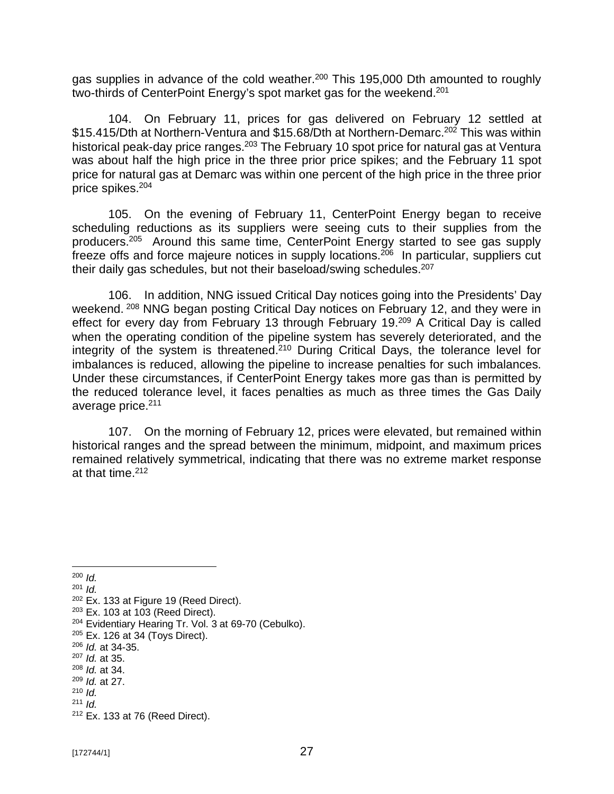gas supplies in advance of the cold weather.<sup>200</sup> This 195,000 Dth amounted to roughly two-thirds of CenterPoint Energy's spot market gas for the weekend.<sup>201</sup>

104. On February 11, prices for gas delivered on February 12 settled at \$15.415/Dth at Northern-Ventura and \$15.68/Dth at Northern-Demarc. <sup>202</sup> This was within historical peak-day price ranges.<sup>203</sup> The February 10 spot price for natural gas at Ventura was about half the high price in the three prior price spikes; and the February 11 spot price for natural gas at Demarc was within one percent of the high price in the three prior price spikes.<sup>204</sup>

105. On the evening of February 11, CenterPoint Energy began to receive scheduling reductions as its suppliers were seeing cuts to their supplies from the producers.<sup>205</sup> Around this same time, CenterPoint Energy started to see gas supply freeze offs and force majeure notices in supply locations.<sup>206</sup> In particular, suppliers cut their daily gas schedules, but not their baseload/swing schedules.<sup>207</sup>

106. In addition, NNG issued Critical Day notices going into the Presidents' Day weekend. <sup>208</sup> NNG began posting Critical Day notices on February 12, and they were in effect for every day from February 13 through February 19.<sup>209</sup> A Critical Day is called when the operating condition of the pipeline system has severely deteriorated, and the integrity of the system is threatened.<sup>210</sup> During Critical Days, the tolerance level for imbalances is reduced, allowing the pipeline to increase penalties for such imbalances. Under these circumstances, if CenterPoint Energy takes more gas than is permitted by the reduced tolerance level, it faces penalties as much as three times the Gas Daily average price.<sup>211</sup>

107. On the morning of February 12, prices were elevated, but remained within historical ranges and the spread between the minimum, midpoint, and maximum prices remained relatively symmetrical, indicating that there was no extreme market response at that time. 212

<sup>200</sup> *Id.*

<sup>202</sup> Ex. 133 at Figure 19 (Reed Direct).

<sup>207</sup> *Id.* at 35.

<sup>201</sup> *Id.*

<sup>203</sup> Ex. 103 at 103 (Reed Direct).

<sup>204</sup> Evidentiary Hearing Tr. Vol. 3 at 69-70 (Cebulko).

<sup>205</sup> Ex. 126 at 34 (Toys Direct).

<sup>206</sup> *Id.* at 34-35.

<sup>208</sup> *Id.* at 34. <sup>209</sup> *Id.* at 27.

<sup>210</sup> *Id.*

<sup>211</sup> *Id.*

<sup>212</sup> Ex. 133 at 76 (Reed Direct).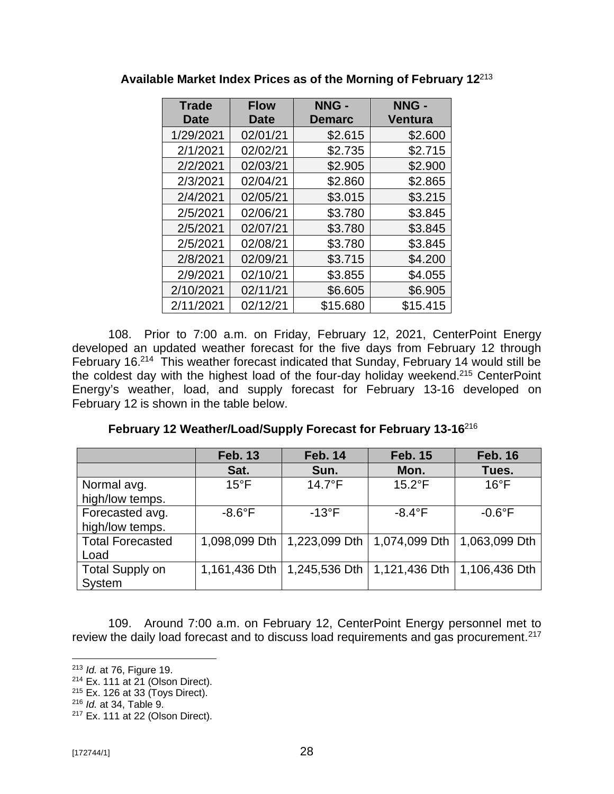| <b>Trade</b><br><b>Date</b> | <b>Flow</b><br><b>Date</b> | NNG -<br><b>Demarc</b> | NNG -<br><b>Ventura</b> |
|-----------------------------|----------------------------|------------------------|-------------------------|
| 1/29/2021                   | 02/01/21                   | \$2.615                | \$2.600                 |
| 2/1/2021                    | 02/02/21                   | \$2.735                | \$2.715                 |
| 2/2/2021                    | 02/03/21                   | \$2.905                | \$2.900                 |
| 2/3/2021                    | 02/04/21                   | \$2.860                | \$2.865                 |
| 2/4/2021                    | 02/05/21                   | \$3.015                | \$3.215                 |
| 2/5/2021                    | 02/06/21                   | \$3.780                | \$3.845                 |
| 2/5/2021                    | 02/07/21                   | \$3.780                | \$3.845                 |
| 2/5/2021                    | 02/08/21                   | \$3.780                | \$3.845                 |
| 2/8/2021                    | 02/09/21                   | \$3.715                | \$4.200                 |
| 2/9/2021                    | 02/10/21                   | \$3.855                | \$4.055                 |
| 2/10/2021                   | 02/11/21                   | \$6.605                | \$6.905                 |
| 2/11/2021                   | 02/12/21                   | \$15.680               | \$15.415                |

**Available Market Index Prices as of the Morning of February 12**<sup>213</sup>

108. Prior to 7:00 a.m. on Friday, February 12, 2021, CenterPoint Energy developed an updated weather forecast for the five days from February 12 through February 16.<sup>214</sup> This weather forecast indicated that Sunday, February 14 would still be the coldest day with the highest load of the four-day holiday weekend.<sup>215</sup> CenterPoint Energy's weather, load, and supply forecast for February 13-16 developed on February 12 is shown in the table below.

**February 12 Weather/Load/Supply Forecast for February 13-16**<sup>216</sup>

|                         | <b>Feb. 13</b>   | <b>Feb. 14</b>  | <b>Feb. 15</b>  | <b>Feb. 16</b>   |
|-------------------------|------------------|-----------------|-----------------|------------------|
|                         | Sat.             | Sun.            | Mon.            | Tues.            |
| Normal avg.             | $15^{\circ}$ F   | $14.7^{\circ}F$ | $15.2^{\circ}F$ | $16^{\circ}$ F   |
| high/low temps.         |                  |                 |                 |                  |
| Forecasted avg.         | $-8.6^{\circ}$ F | $-13^{\circ}F$  | $-8.4$ °F       | $-0.6^{\circ}$ F |
| high/low temps.         |                  |                 |                 |                  |
| <b>Total Forecasted</b> | 1,098,099 Dth    | 1,223,099 Dth   | 1,074,099 Dth   | 1,063,099 Dth    |
| Load                    |                  |                 |                 |                  |
| <b>Total Supply on</b>  | 1,161,436 Dth    | 1,245,536 Dth   | 1,121,436 Dth   | 1,106,436 Dth    |
| System                  |                  |                 |                 |                  |

109. Around 7:00 a.m. on February 12, CenterPoint Energy personnel met to review the daily load forecast and to discuss load requirements and gas procurement. $217$ 

<sup>213</sup> *Id.* at 76, Figure 19.

<sup>214</sup> Ex. 111 at 21 (Olson Direct).

 $215$  Ex. 126 at 33 (Toys Direct).

<sup>216</sup> *Id.* at 34, Table 9.

<sup>217</sup> Ex. 111 at 22 (Olson Direct).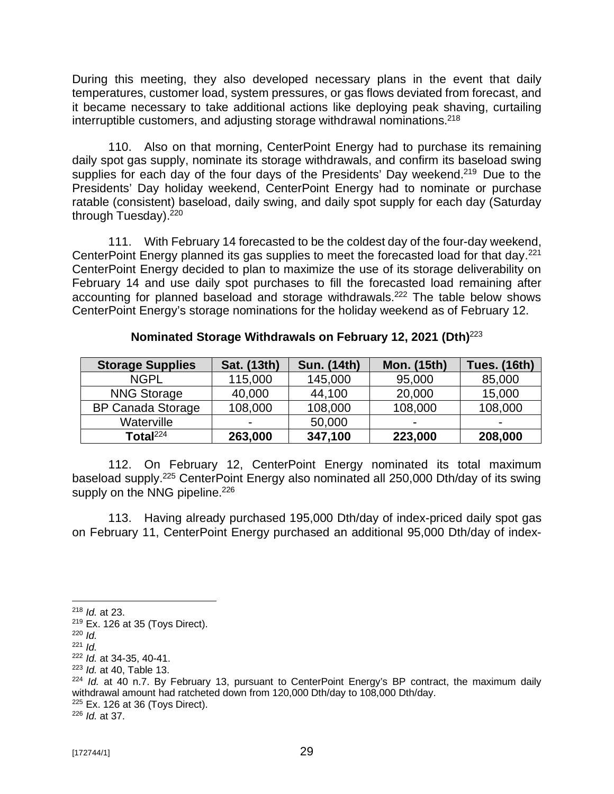During this meeting, they also developed necessary plans in the event that daily temperatures, customer load, system pressures, or gas flows deviated from forecast, and it became necessary to take additional actions like deploying peak shaving, curtailing interruptible customers, and adjusting storage withdrawal nominations.<sup>218</sup>

110. Also on that morning, CenterPoint Energy had to purchase its remaining daily spot gas supply, nominate its storage withdrawals, and confirm its baseload swing supplies for each day of the four days of the Presidents' Day weekend.<sup>219</sup> Due to the Presidents' Day holiday weekend, CenterPoint Energy had to nominate or purchase ratable (consistent) baseload, daily swing, and daily spot supply for each day (Saturday through Tuesday). 220

111. With February 14 forecasted to be the coldest day of the four-day weekend, CenterPoint Energy planned its gas supplies to meet the forecasted load for that day. $^{221}$ CenterPoint Energy decided to plan to maximize the use of its storage deliverability on February 14 and use daily spot purchases to fill the forecasted load remaining after accounting for planned baseload and storage withdrawals.<sup>222</sup> The table below shows CenterPoint Energy's storage nominations for the holiday weekend as of February 12.

| <b>Storage Supplies</b>  | <b>Sat. (13th)</b> | <b>Sun. (14th)</b> | <b>Mon. (15th)</b> | <b>Tues. (16th)</b>      |
|--------------------------|--------------------|--------------------|--------------------|--------------------------|
| <b>NGPL</b>              | 115,000            | 145,000            | 95,000             | 85,000                   |
| <b>NNG Storage</b>       | 40,000             | 44,100             | 20,000             | 15,000                   |
| <b>BP Canada Storage</b> | 108,000            | 108,000            | 108,000            | 108,000                  |
| Waterville               | $\blacksquare$     | 50,000             |                    | $\overline{\phantom{0}}$ |
| Total $^{224}$           | 263,000            | 347,100            | 223,000            | 208,000                  |

**Nominated Storage Withdrawals on February 12, 2021 (Dth)**<sup>223</sup>

112. On February 12, CenterPoint Energy nominated its total maximum baseload supply.<sup>225</sup> CenterPoint Energy also nominated all 250,000 Dth/day of its swing supply on the NNG pipeline.<sup>226</sup>

113. Having already purchased 195,000 Dth/day of index-priced daily spot gas on February 11, CenterPoint Energy purchased an additional 95,000 Dth/day of index-

<sup>223</sup> *Id.* at 40, Table 13.

<sup>226</sup> *Id.* at 37.

<sup>218</sup> *Id.* at 23.

<sup>219</sup> Ex. 126 at 35 (Toys Direct).

<sup>220</sup> *Id.*

 $221$  *Id.* 

<sup>222</sup> *Id.* at 34-35, 40-41.

<sup>224</sup> *Id.* at 40 n.7. By February 13, pursuant to CenterPoint Energy's BP contract, the maximum daily withdrawal amount had ratcheted down from 120,000 Dth/day to 108,000 Dth/day.  $225$  Ex. 126 at 36 (Tovs Direct).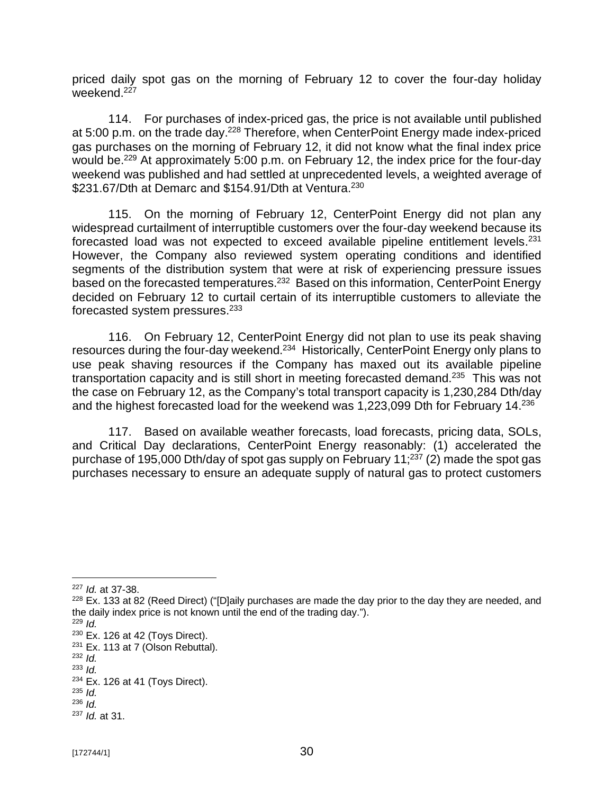priced daily spot gas on the morning of February 12 to cover the four-day holiday weekend.<sup>227</sup>

114. For purchases of index-priced gas, the price is not available until published at 5:00 p.m. on the trade day.<sup>228</sup> Therefore, when CenterPoint Energy made index-priced gas purchases on the morning of February 12, it did not know what the final index price would be.<sup>229</sup> At approximately 5:00 p.m. on February 12, the index price for the four-day weekend was published and had settled at unprecedented levels, a weighted average of  $$231.67/Dth$  at Demarc and  $$154.91/Dth$  at Ventura.<sup>230</sup>

115. On the morning of February 12, CenterPoint Energy did not plan any widespread curtailment of interruptible customers over the four-day weekend because its forecasted load was not expected to exceed available pipeline entitlement levels.<sup>231</sup> However, the Company also reviewed system operating conditions and identified segments of the distribution system that were at risk of experiencing pressure issues based on the forecasted temperatures.<sup>232</sup> Based on this information, CenterPoint Energy decided on February 12 to curtail certain of its interruptible customers to alleviate the forecasted system pressures.<sup>233</sup>

116. On February 12, CenterPoint Energy did not plan to use its peak shaving resources during the four-day weekend.<sup>234</sup> Historically, CenterPoint Energy only plans to use peak shaving resources if the Company has maxed out its available pipeline transportation capacity and is still short in meeting forecasted demand.<sup>235</sup> This was not the case on February 12, as the Company's total transport capacity is 1,230,284 Dth/day and the highest forecasted load for the weekend was 1,223,099 Dth for February 14.<sup>236</sup>

117. Based on available weather forecasts, load forecasts, pricing data, SOLs, and Critical Day declarations, CenterPoint Energy reasonably: (1) accelerated the purchase of 195,000 Dth/day of spot gas supply on February 11; $^{237}$  (2) made the spot gas purchases necessary to ensure an adequate supply of natural gas to protect customers

<sup>227</sup> *Id.* at 37-38.

 $228$  Ex. 133 at 82 (Reed Direct) ("[D]aily purchases are made the day prior to the day they are needed, and the daily index price is not known until the end of the trading day.").

<sup>229</sup> *Id.*

 $230$  Ex. 126 at 42 (Tovs Direct).

 $231$  Ex. 113 at 7 (Olson Rebuttal).

<sup>232</sup> *Id.*

<sup>233</sup> *Id.*

 $234$  Ex. 126 at 41 (Toys Direct).

<sup>235</sup> *Id.*

<sup>236</sup> *Id.* <sup>237</sup> *Id.* at 31.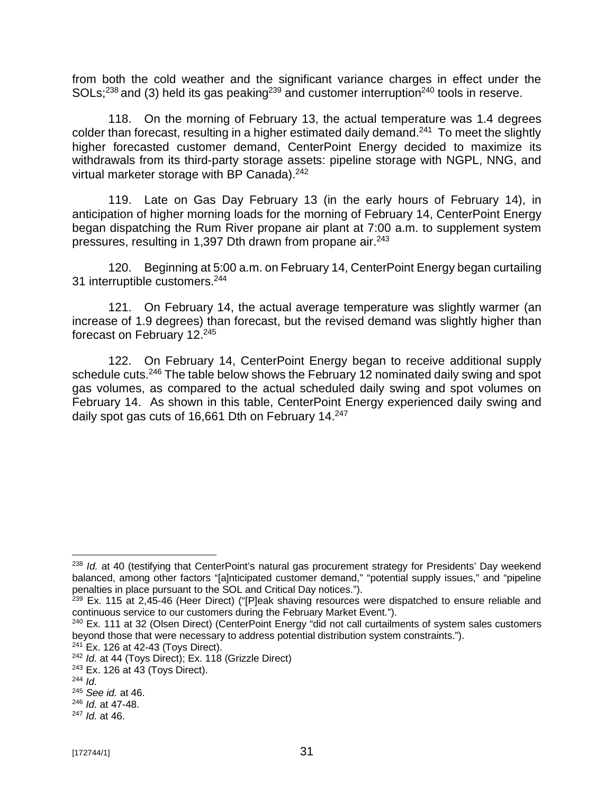from both the cold weather and the significant variance charges in effect under the  $SOLs;^{238}$  and (3) held its gas peaking<sup>239</sup> and customer interruption<sup>240</sup> tools in reserve.

118. On the morning of February 13, the actual temperature was 1.4 degrees colder than forecast, resulting in a higher estimated daily demand.<sup>241</sup> To meet the slightly higher forecasted customer demand, CenterPoint Energy decided to maximize its withdrawals from its third-party storage assets: pipeline storage with NGPL, NNG, and virtual marketer storage with BP Canada).<sup>242</sup>

119. Late on Gas Day February 13 (in the early hours of February 14), in anticipation of higher morning loads for the morning of February 14, CenterPoint Energy began dispatching the Rum River propane air plant at 7:00 a.m. to supplement system pressures, resulting in 1,397 Dth drawn from propane air.<sup>243</sup>

120. Beginning at 5:00 a.m. on February 14, CenterPoint Energy began curtailing 31 interruptible customers.<sup>244</sup>

121. On February 14, the actual average temperature was slightly warmer (an increase of 1.9 degrees) than forecast, but the revised demand was slightly higher than forecast on February 12.<sup>245</sup>

122. On February 14, CenterPoint Energy began to receive additional supply schedule cuts.<sup>246</sup> The table below shows the February 12 nominated daily swing and spot gas volumes, as compared to the actual scheduled daily swing and spot volumes on February 14. As shown in this table, CenterPoint Energy experienced daily swing and daily spot gas cuts of 16,661 Dth on February 14.<sup>247</sup>

<sup>241</sup> Ex. 126 at 42-43 (Toys Direct).

<sup>238</sup> *Id.* at 40 (testifying that CenterPoint's natural gas procurement strategy for Presidents' Day weekend balanced, among other factors "[a]nticipated customer demand," "potential supply issues," and "pipeline penalties in place pursuant to the SOL and Critical Day notices.").

<sup>&</sup>lt;sup>239</sup> Ex. 115 at 2,45-46 (Heer Direct) ("[P]eak shaving resources were dispatched to ensure reliable and continuous service to our customers during the February Market Event.").

<sup>&</sup>lt;sup>240</sup> Ex. 111 at 32 (Olsen Direct) (CenterPoint Energy "did not call curtailments of system sales customers beyond those that were necessary to address potential distribution system constraints.").

<sup>242</sup> *Id.* at 44 (Toys Direct); Ex. 118 (Grizzle Direct)

<sup>243</sup> Ex. 126 at 43 (Toys Direct).

<sup>244</sup> *Id.*

<sup>245</sup> *See id.* at 46.

<sup>246</sup> *Id.* at 47-48.

<sup>247</sup> *Id.* at 46.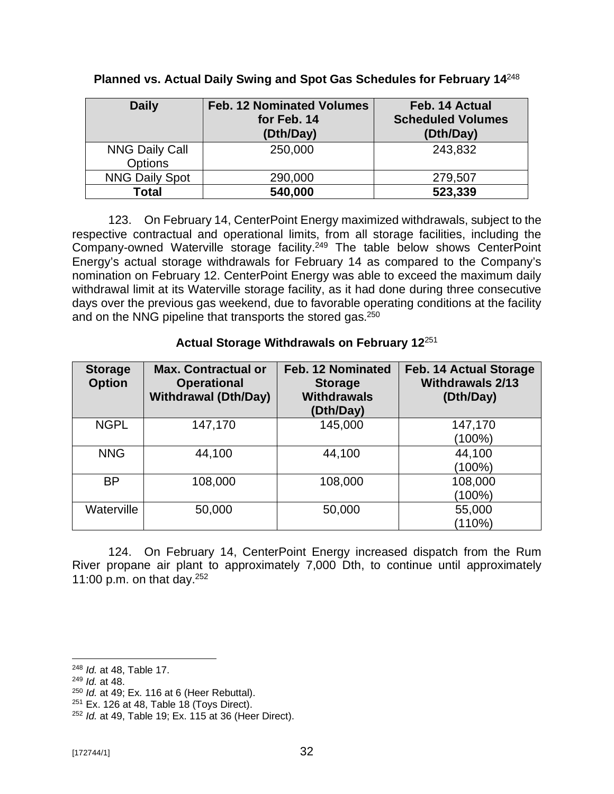| <b>Daily</b>                            | <b>Feb. 12 Nominated Volumes</b><br>for Feb. 14<br>(Dth/Day) | Feb. 14 Actual<br><b>Scheduled Volumes</b><br>(Dth/Day) |
|-----------------------------------------|--------------------------------------------------------------|---------------------------------------------------------|
| <b>NNG Daily Call</b><br><b>Options</b> | 250,000                                                      | 243,832                                                 |
| <b>NNG Daily Spot</b>                   | 290,000                                                      | 279,507                                                 |
| Total                                   | 540,000                                                      | 523,339                                                 |

**Planned vs. Actual Daily Swing and Spot Gas Schedules for February 14**<sup>248</sup>

123. On February 14, CenterPoint Energy maximized withdrawals, subject to the respective contractual and operational limits, from all storage facilities, including the Company-owned Waterville storage facility.<sup>249</sup> The table below shows CenterPoint Energy's actual storage withdrawals for February 14 as compared to the Company's nomination on February 12. CenterPoint Energy was able to exceed the maximum daily withdrawal limit at its Waterville storage facility, as it had done during three consecutive days over the previous gas weekend, due to favorable operating conditions at the facility and on the NNG pipeline that transports the stored gas.<sup>250</sup>

### **Actual Storage Withdrawals on February 12**<sup>251</sup>

| <b>Storage</b><br><b>Option</b> | <b>Max. Contractual or</b><br><b>Operational</b><br><b>Withdrawal (Dth/Day)</b> | Feb. 12 Nominated<br><b>Storage</b><br><b>Withdrawals</b><br>(Dth/Day) | <b>Feb. 14 Actual Storage</b><br><b>Withdrawals 2/13</b><br>(Dth/Day) |
|---------------------------------|---------------------------------------------------------------------------------|------------------------------------------------------------------------|-----------------------------------------------------------------------|
| <b>NGPL</b>                     | 147,170                                                                         | 145,000                                                                | 147,170<br>(100%)                                                     |
| <b>NNG</b>                      | 44,100                                                                          | 44,100                                                                 | 44,100<br>$(100\%)$                                                   |
| <b>BP</b>                       | 108,000                                                                         | 108,000                                                                | 108,000<br>$(100\%)$                                                  |
| Waterville                      | 50,000                                                                          | 50,000                                                                 | 55,000<br>(110%)                                                      |

124. On February 14, CenterPoint Energy increased dispatch from the Rum River propane air plant to approximately 7,000 Dth, to continue until approximately 11:00 p.m. on that day. 252

<sup>248</sup> *Id.* at 48, Table 17.

<sup>249</sup> *Id.* at 48.

<sup>250</sup> *Id.* at 49; Ex. 116 at 6 (Heer Rebuttal).

 $251$  Ex. 126 at 48, Table 18 (Toys Direct).

<sup>252</sup> *Id.* at 49, Table 19; Ex. 115 at 36 (Heer Direct).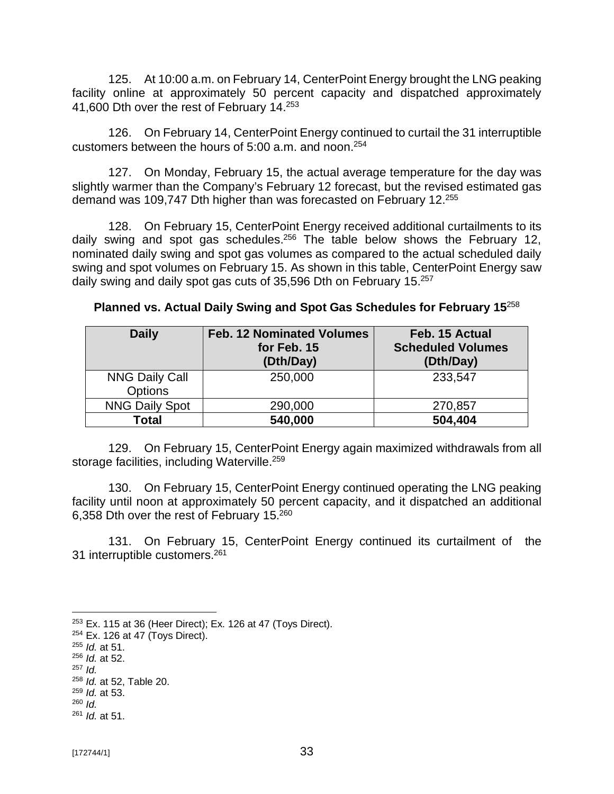125. At 10:00 a.m. on February 14, CenterPoint Energy brought the LNG peaking facility online at approximately 50 percent capacity and dispatched approximately 41,600 Dth over the rest of February 14.<sup>253</sup>

126. On February 14, CenterPoint Energy continued to curtail the 31 interruptible customers between the hours of 5:00 a.m. and noon.<sup>254</sup>

127. On Monday, February 15, the actual average temperature for the day was slightly warmer than the Company's February 12 forecast, but the revised estimated gas demand was 109,747 Dth higher than was forecasted on February 12. 255

128. On February 15, CenterPoint Energy received additional curtailments to its daily swing and spot gas schedules.<sup>256</sup> The table below shows the February 12, nominated daily swing and spot gas volumes as compared to the actual scheduled daily swing and spot volumes on February 15. As shown in this table, CenterPoint Energy saw daily swing and daily spot gas cuts of 35,596 Dth on February 15.<sup>257</sup>

| <b>Daily</b>                            | <b>Feb. 12 Nominated Volumes</b><br>for Feb. 15<br>(Dth/Day) | Feb. 15 Actual<br><b>Scheduled Volumes</b><br>(Dth/Day) |
|-----------------------------------------|--------------------------------------------------------------|---------------------------------------------------------|
| <b>NNG Daily Call</b><br><b>Options</b> | 250,000                                                      | 233,547                                                 |
| <b>NNG Daily Spot</b>                   | 290,000                                                      | 270,857                                                 |
| Total                                   | 540,000                                                      | 504,404                                                 |

**Planned vs. Actual Daily Swing and Spot Gas Schedules for February 15**<sup>258</sup>

129. On February 15, CenterPoint Energy again maximized withdrawals from all storage facilities, including Waterville.<sup>259</sup>

130. On February 15, CenterPoint Energy continued operating the LNG peaking facility until noon at approximately 50 percent capacity, and it dispatched an additional 6,358 Dth over the rest of February 15. $^{260}$ 

131. On February 15, CenterPoint Energy continued its curtailment of the 31 interruptible customers.<sup>261</sup>

- <sup>256</sup> *Id.* at 52.
- <sup>257</sup> *Id.*

 $253$  Ex. 115 at 36 (Heer Direct); Ex. 126 at 47 (Toys Direct).

<sup>254</sup> Ex. 126 at 47 (Toys Direct).

<sup>255</sup> *Id.* at 51.

<sup>258</sup> *Id.* at 52, Table 20.

<sup>259</sup> *Id.* at 53.

<sup>260</sup> *Id.*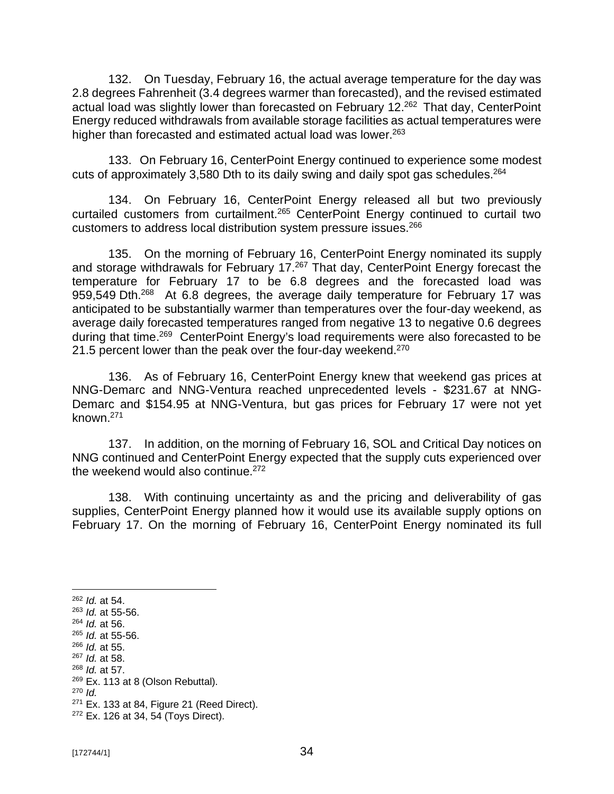132. On Tuesday, February 16, the actual average temperature for the day was 2.8 degrees Fahrenheit (3.4 degrees warmer than forecasted), and the revised estimated actual load was slightly lower than forecasted on February 12.<sup>262</sup> That day, CenterPoint Energy reduced withdrawals from available storage facilities as actual temperatures were higher than forecasted and estimated actual load was lower.<sup>263</sup>

133. On February 16, CenterPoint Energy continued to experience some modest cuts of approximately 3,580 Dth to its daily swing and daily spot gas schedules.<sup>264</sup>

134. On February 16, CenterPoint Energy released all but two previously curtailed customers from curtailment.<sup>265</sup> CenterPoint Energy continued to curtail two customers to address local distribution system pressure issues.<sup>266</sup>

135. On the morning of February 16, CenterPoint Energy nominated its supply and storage withdrawals for February 17.<sup>267</sup> That day, CenterPoint Energy forecast the temperature for February 17 to be 6.8 degrees and the forecasted load was 959,549 Dth.<sup>268</sup> At 6.8 degrees, the average daily temperature for February 17 was anticipated to be substantially warmer than temperatures over the four-day weekend, as average daily forecasted temperatures ranged from negative 13 to negative 0.6 degrees during that time.<sup>269</sup> CenterPoint Energy's load requirements were also forecasted to be 21.5 percent lower than the peak over the four-day weekend. $270$ 

136. As of February 16, CenterPoint Energy knew that weekend gas prices at NNG-Demarc and NNG-Ventura reached unprecedented levels - \$231.67 at NNG-Demarc and \$154.95 at NNG-Ventura, but gas prices for February 17 were not yet known.<sup>271</sup>

137. In addition, on the morning of February 16, SOL and Critical Day notices on NNG continued and CenterPoint Energy expected that the supply cuts experienced over the weekend would also continue.<sup>272</sup>

138. With continuing uncertainty as and the pricing and deliverability of gas supplies, CenterPoint Energy planned how it would use its available supply options on February 17. On the morning of February 16, CenterPoint Energy nominated its full

<sup>262</sup> *Id.* at 54.

<sup>263</sup> *Id.* at 55-56.

<sup>264</sup> *Id.* at 56. <sup>265</sup> *Id.* at 55-56.

<sup>266</sup> *Id.* at 55.

<sup>267</sup> *Id.* at 58.

<sup>268</sup> *Id.* at 57.

 $269$  Ex. 113 at 8 (Olson Rebuttal).

<sup>270</sup> *Id.*

 $271$  Ex. 133 at 84, Figure 21 (Reed Direct).

<sup>272</sup> Ex. 126 at 34, 54 (Toys Direct).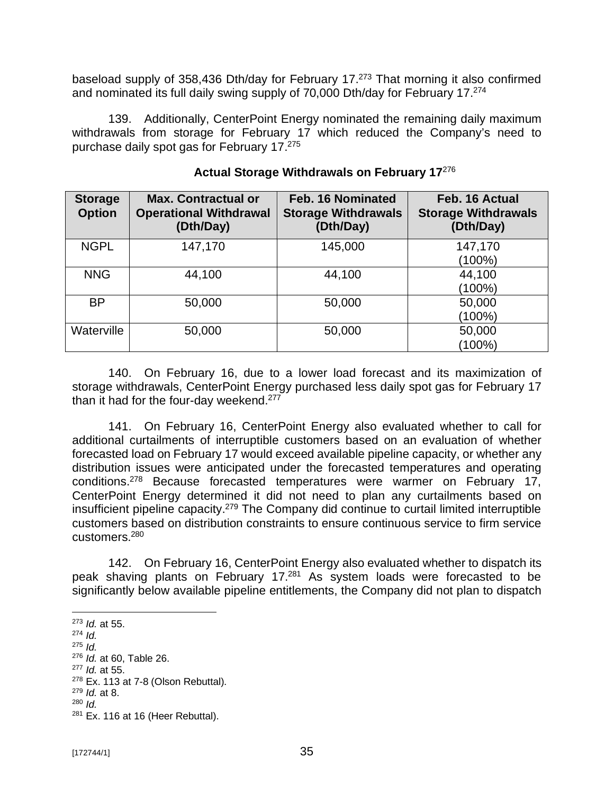baseload supply of 358,436 Dth/day for February 17.<sup>273</sup> That morning it also confirmed and nominated its full daily swing supply of 70,000 Dth/day for February 17.<sup>274</sup>

139. Additionally, CenterPoint Energy nominated the remaining daily maximum withdrawals from storage for February 17 which reduced the Company's need to purchase daily spot gas for February 17. 275

| <b>Storage</b><br><b>Option</b> | <b>Max. Contractual or</b><br><b>Operational Withdrawal</b><br>(Dth/Day) | Feb. 16 Nominated<br><b>Storage Withdrawals</b><br>(Dth/Day) | Feb. 16 Actual<br><b>Storage Withdrawals</b><br>(Dth/Day) |
|---------------------------------|--------------------------------------------------------------------------|--------------------------------------------------------------|-----------------------------------------------------------|
| <b>NGPL</b>                     | 147,170                                                                  | 145,000                                                      | 147,170<br>$(100\%)$                                      |
| <b>NNG</b>                      | 44,100                                                                   | 44,100                                                       | 44,100<br>$(100\%)$                                       |
| <b>BP</b>                       | 50,000                                                                   | 50,000                                                       | 50,000<br>$(100\%)$                                       |
| Waterville                      | 50,000                                                                   | 50,000                                                       | 50,000<br>(100%)                                          |

#### **Actual Storage Withdrawals on February 17**<sup>276</sup>

140. On February 16, due to a lower load forecast and its maximization of storage withdrawals, CenterPoint Energy purchased less daily spot gas for February 17 than it had for the four-day weekend.<sup>277</sup>

141. On February 16, CenterPoint Energy also evaluated whether to call for additional curtailments of interruptible customers based on an evaluation of whether forecasted load on February 17 would exceed available pipeline capacity, or whether any distribution issues were anticipated under the forecasted temperatures and operating conditions.<sup>278</sup> Because forecasted temperatures were warmer on February 17, CenterPoint Energy determined it did not need to plan any curtailments based on insufficient pipeline capacity.<sup>279</sup> The Company did continue to curtail limited interruptible customers based on distribution constraints to ensure continuous service to firm service customers.<sup>280</sup>

142. On February 16, CenterPoint Energy also evaluated whether to dispatch its peak shaving plants on February 17.<sup>281</sup> As system loads were forecasted to be significantly below available pipeline entitlements, the Company did not plan to dispatch

<sup>273</sup> *Id.* at 55.

<sup>274</sup> *Id.*

<sup>275</sup> *Id.*

<sup>276</sup> *Id.* at 60, Table 26.

<sup>277</sup> *Id.* at 55.

 $278$  Ex. 113 at 7-8 (Olson Rebuttal).

<sup>279</sup> *Id.* at 8.

<sup>280</sup> *Id.*

 $281$  Ex. 116 at 16 (Heer Rebuttal).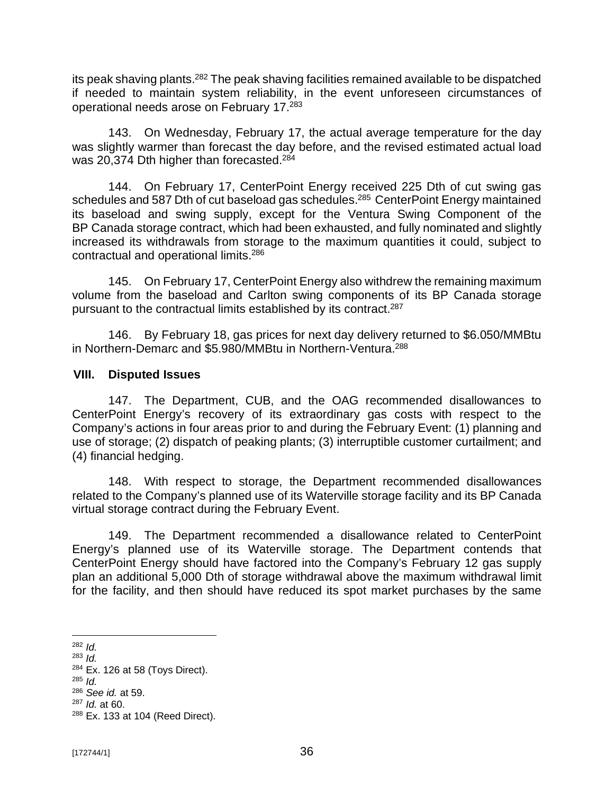its peak shaving plants.<sup>282</sup> The peak shaving facilities remained available to be dispatched if needed to maintain system reliability, in the event unforeseen circumstances of operational needs arose on February 17. 283

143. On Wednesday, February 17, the actual average temperature for the day was slightly warmer than forecast the day before, and the revised estimated actual load was 20,374 Dth higher than forecasted.<sup>284</sup>

144. On February 17, CenterPoint Energy received 225 Dth of cut swing gas schedules and 587 Dth of cut baseload gas schedules.<sup>285</sup> CenterPoint Energy maintained its baseload and swing supply, except for the Ventura Swing Component of the BP Canada storage contract, which had been exhausted, and fully nominated and slightly increased its withdrawals from storage to the maximum quantities it could, subject to contractual and operational limits.<sup>286</sup>

145. On February 17, CenterPoint Energy also withdrew the remaining maximum volume from the baseload and Carlton swing components of its BP Canada storage pursuant to the contractual limits established by its contract.<sup>287</sup>

146. By February 18, gas prices for next day delivery returned to \$6.050/MMBtu in Northern-Demarc and \$5.980/MMBtu in Northern-Ventura.<sup>288</sup>

#### **VIII. Disputed Issues**

147. The Department, CUB, and the OAG recommended disallowances to CenterPoint Energy's recovery of its extraordinary gas costs with respect to the Company's actions in four areas prior to and during the February Event: (1) planning and use of storage; (2) dispatch of peaking plants; (3) interruptible customer curtailment; and (4) financial hedging.

148. With respect to storage, the Department recommended disallowances related to the Company's planned use of its Waterville storage facility and its BP Canada virtual storage contract during the February Event.

149. The Department recommended a disallowance related to CenterPoint Energy's planned use of its Waterville storage. The Department contends that CenterPoint Energy should have factored into the Company's February 12 gas supply plan an additional 5,000 Dth of storage withdrawal above the maximum withdrawal limit for the facility, and then should have reduced its spot market purchases by the same

<sup>282</sup> *Id.*

<sup>283</sup> *Id.*

<sup>284</sup> Ex. 126 at 58 (Toys Direct).

<sup>285</sup> *Id.*

<sup>286</sup> *See id.* at 59.

<sup>287</sup> *Id.* at 60.

<sup>288</sup> Ex. 133 at 104 (Reed Direct).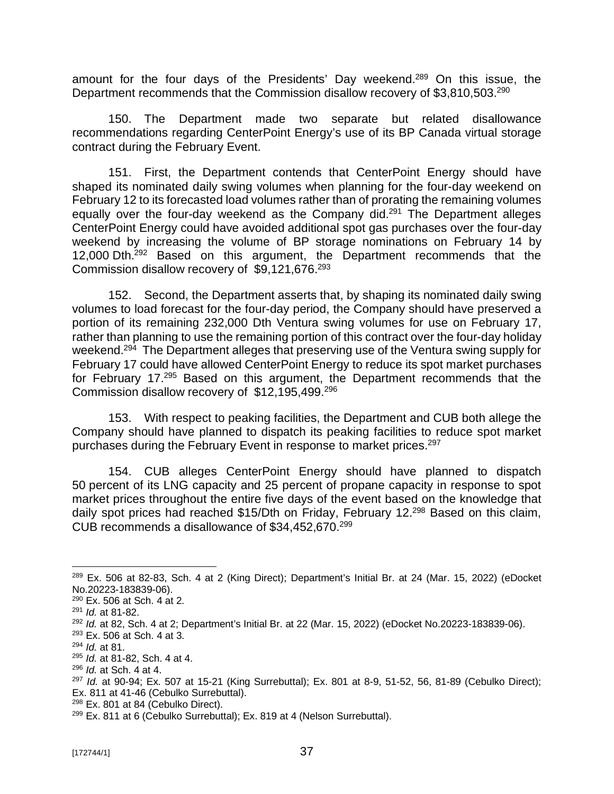amount for the four days of the Presidents' Day weekend.<sup>289</sup> On this issue, the Department recommends that the Commission disallow recovery of \$3,810,503.<sup>290</sup>

150. The Department made two separate but related disallowance recommendations regarding CenterPoint Energy's use of its BP Canada virtual storage contract during the February Event.

151. First, the Department contends that CenterPoint Energy should have shaped its nominated daily swing volumes when planning for the four-day weekend on February 12 to its forecasted load volumes rather than of prorating the remaining volumes equally over the four-day weekend as the Company did.<sup>291</sup> The Department alleges CenterPoint Energy could have avoided additional spot gas purchases over the four-day weekend by increasing the volume of BP storage nominations on February 14 by 12,000 Dth.<sup>292</sup> Based on this argument, the Department recommends that the Commission disallow recovery of  $$9,121,676.^{293}$ 

152. Second, the Department asserts that, by shaping its nominated daily swing volumes to load forecast for the four-day period, the Company should have preserved a portion of its remaining 232,000 Dth Ventura swing volumes for use on February 17, rather than planning to use the remaining portion of this contract over the four-day holiday weekend.<sup>294</sup> The Department alleges that preserving use of the Ventura swing supply for February 17 could have allowed CenterPoint Energy to reduce its spot market purchases for February 17.<sup>295</sup> Based on this argument, the Department recommends that the Commission disallow recovery of \$12,195,499.<sup>296</sup>

153. With respect to peaking facilities, the Department and CUB both allege the Company should have planned to dispatch its peaking facilities to reduce spot market purchases during the February Event in response to market prices.<sup>297</sup>

154. CUB alleges CenterPoint Energy should have planned to dispatch 50 percent of its LNG capacity and 25 percent of propane capacity in response to spot market prices throughout the entire five days of the event based on the knowledge that daily spot prices had reached \$15/Dth on Friday, February 12.<sup>298</sup> Based on this claim, CUB recommends a disallowance of \$34,452,670.<sup>299</sup>

<sup>&</sup>lt;sup>289</sup> Ex. 506 at 82-83, Sch. 4 at 2 (King Direct); Department's Initial Br. at 24 (Mar. 15, 2022) (eDocket No.20223-183839-06).

<sup>290</sup> Ex. 506 at Sch. 4 at 2.

<sup>291</sup> *Id.* at 81-82.

<sup>292</sup> *Id.* at 82, Sch. 4 at 2; Department's Initial Br. at 22 (Mar. 15, 2022) (eDocket No.20223-183839-06).

<sup>293</sup> Ex. 506 at Sch. 4 at 3.

<sup>294</sup> *Id.* at 81.

<sup>295</sup> *Id.* at 81-82, Sch. 4 at 4.

<sup>296</sup> *Id.* at Sch. 4 at 4.

<sup>297</sup> *Id.* at 90-94; Ex. 507 at 15-21 (King Surrebuttal); Ex. 801 at 8-9, 51-52, 56, 81-89 (Cebulko Direct); Ex. 811 at 41-46 (Cebulko Surrebuttal).

<sup>&</sup>lt;sup>298</sup> Ex. 801 at 84 (Cebulko Direct).

 $299$  Ex. 811 at 6 (Cebulko Surrebuttal); Ex. 819 at 4 (Nelson Surrebuttal).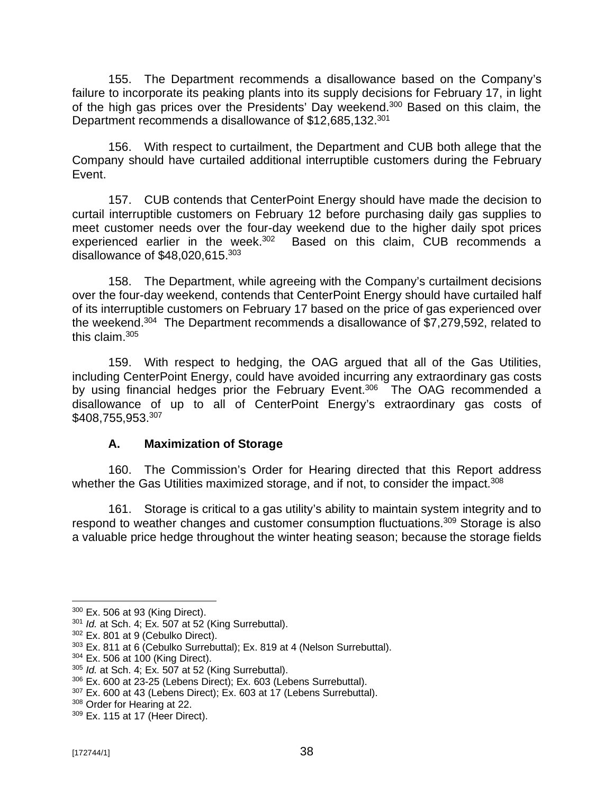155. The Department recommends a disallowance based on the Company's failure to incorporate its peaking plants into its supply decisions for February 17, in light of the high gas prices over the Presidents' Day weekend.<sup>300</sup> Based on this claim, the Department recommends a disallowance of \$12,685,132.<sup>301</sup>

156. With respect to curtailment, the Department and CUB both allege that the Company should have curtailed additional interruptible customers during the February Event.

157. CUB contends that CenterPoint Energy should have made the decision to curtail interruptible customers on February 12 before purchasing daily gas supplies to meet customer needs over the four-day weekend due to the higher daily spot prices experienced earlier in the week.<sup>302</sup> Based on this claim, CUB recommends a disallowance of \$48,020,615. 303

158. The Department, while agreeing with the Company's curtailment decisions over the four-day weekend, contends that CenterPoint Energy should have curtailed half of its interruptible customers on February 17 based on the price of gas experienced over the weekend.<sup>304</sup> The Department recommends a disallowance of \$7,279,592, related to this claim. 305

159. With respect to hedging, the OAG argued that all of the Gas Utilities, including CenterPoint Energy, could have avoided incurring any extraordinary gas costs by using financial hedges prior the February Event.<sup>306</sup> The OAG recommended a disallowance of up to all of CenterPoint Energy's extraordinary gas costs of \$408,755,953. 307

## **A. Maximization of Storage**

160. The Commission's Order for Hearing directed that this Report address whether the Gas Utilities maximized storage, and if not, to consider the impact.<sup>308</sup>

161. Storage is critical to a gas utility's ability to maintain system integrity and to respond to weather changes and customer consumption fluctuations.<sup>309</sup> Storage is also a valuable price hedge throughout the winter heating season; because the storage fields

<sup>300</sup> Ex. 506 at 93 (King Direct).

<sup>301</sup> *Id.* at Sch. 4; Ex. 507 at 52 (King Surrebuttal).

<sup>302</sup> Ex. 801 at 9 (Cebulko Direct).

<sup>303</sup> Ex. 811 at 6 (Cebulko Surrebuttal); Ex. 819 at 4 (Nelson Surrebuttal).

 $304$  Ex. 506 at 100 (King Direct).

<sup>305</sup> *Id.* at Sch. 4; Ex. 507 at 52 (King Surrebuttal).

<sup>306</sup> Ex. 600 at 23-25 (Lebens Direct); Ex. 603 (Lebens Surrebuttal).

<sup>307</sup> Ex. 600 at 43 (Lebens Direct); Ex. 603 at 17 (Lebens Surrebuttal).

<sup>308</sup> Order for Hearing at 22.

<sup>309</sup> Ex. 115 at 17 (Heer Direct).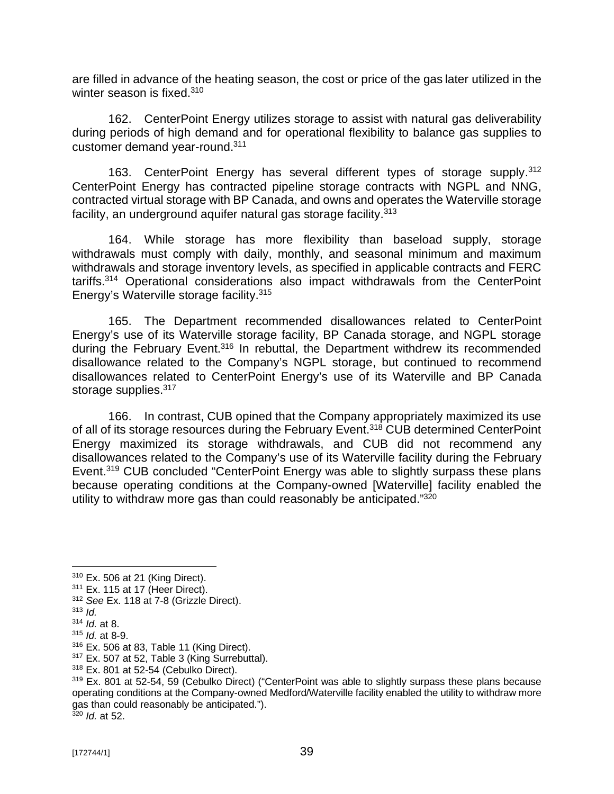are filled in advance of the heating season, the cost or price of the gas later utilized in the winter season is fixed.<sup>310</sup>

162. CenterPoint Energy utilizes storage to assist with natural gas deliverability during periods of high demand and for operational flexibility to balance gas supplies to customer demand year-round.<sup>311</sup>

163. CenterPoint Energy has several different types of storage supply. 312 CenterPoint Energy has contracted pipeline storage contracts with NGPL and NNG, contracted virtual storage with BP Canada, and owns and operates the Waterville storage facility, an underground aquifer natural gas storage facility.<sup>313</sup>

164. While storage has more flexibility than baseload supply, storage withdrawals must comply with daily, monthly, and seasonal minimum and maximum withdrawals and storage inventory levels, as specified in applicable contracts and FERC tariffs.<sup>314</sup> Operational considerations also impact withdrawals from the CenterPoint Energy's Waterville storage facility.<sup>315</sup>

165. The Department recommended disallowances related to CenterPoint Energy's use of its Waterville storage facility, BP Canada storage, and NGPL storage during the February Event.<sup>316</sup> In rebuttal, the Department withdrew its recommended disallowance related to the Company's NGPL storage, but continued to recommend disallowances related to CenterPoint Energy's use of its Waterville and BP Canada storage supplies.<sup>317</sup>

166. In contrast, CUB opined that the Company appropriately maximized its use of all of its storage resources during the February Event.<sup>318</sup> CUB determined CenterPoint Energy maximized its storage withdrawals, and CUB did not recommend any disallowances related to the Company's use of its Waterville facility during the February Event.<sup>319</sup> CUB concluded "CenterPoint Energy was able to slightly surpass these plans because operating conditions at the Company-owned [Waterville] facility enabled the utility to withdraw more gas than could reasonably be anticipated."<sup>320</sup>

<sup>317</sup> Ex. 507 at 52, Table 3 (King Surrebuttal).

<sup>310</sup> Ex. 506 at 21 (King Direct).

<sup>311</sup> Ex. 115 at 17 (Heer Direct).

<sup>312</sup> *See* Ex. 118 at 7-8 (Grizzle Direct).

<sup>313</sup> *Id.*

<sup>314</sup> *Id.* at 8.

<sup>315</sup> *Id.* at 8-9.

<sup>316</sup> Ex. 506 at 83, Table 11 (King Direct).

<sup>318</sup> Ex. 801 at 52-54 (Cebulko Direct).

<sup>&</sup>lt;sup>319</sup> Ex. 801 at 52-54, 59 (Cebulko Direct) ("CenterPoint was able to slightly surpass these plans because operating conditions at the Company-owned Medford/Waterville facility enabled the utility to withdraw more gas than could reasonably be anticipated."). <sup>320</sup> *Id.* at 52.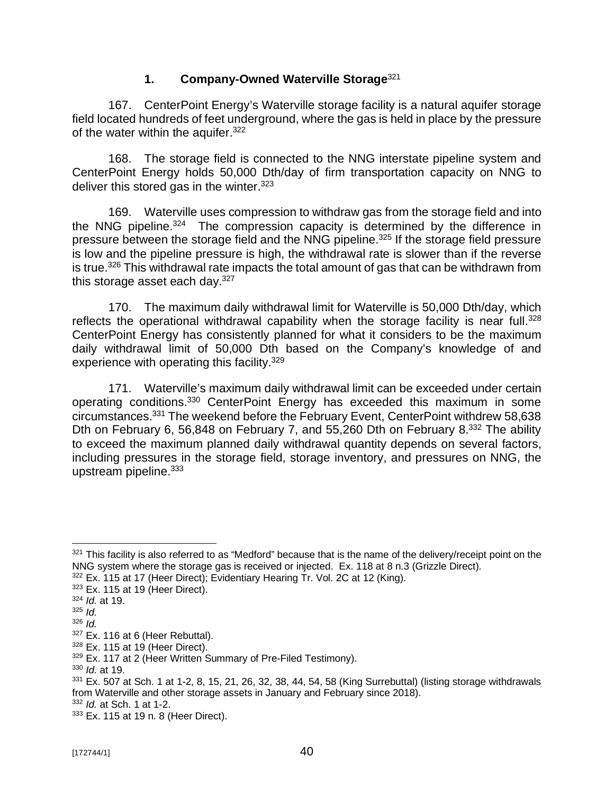#### **1. Company-Owned Waterville Storage**<sup>321</sup>

167. CenterPoint Energy's Waterville storage facility is a natural aquifer storage field located hundreds of feet underground, where the gas is held in place by the pressure of the water within the aquifer.<sup>322</sup>

168. The storage field is connected to the NNG interstate pipeline system and CenterPoint Energy holds 50,000 Dth/day of firm transportation capacity on NNG to deliver this stored gas in the winter. $323$ 

169. Waterville uses compression to withdraw gas from the storage field and into the NNG pipeline.<sup>324</sup> The compression capacity is determined by the difference in pressure between the storage field and the NNG pipeline.<sup>325</sup> If the storage field pressure is low and the pipeline pressure is high, the withdrawal rate is slower than if the reverse is true.<sup>326</sup> This withdrawal rate impacts the total amount of gas that can be withdrawn from this storage asset each day.<sup>327</sup>

170. The maximum daily withdrawal limit for Waterville is 50,000 Dth/day, which reflects the operational withdrawal capability when the storage facility is near full.<sup>328</sup> CenterPoint Energy has consistently planned for what it considers to be the maximum daily withdrawal limit of 50,000 Dth based on the Company's knowledge of and experience with operating this facility.<sup>329</sup>

171. Waterville's maximum daily withdrawal limit can be exceeded under certain operating conditions.<sup>330</sup> CenterPoint Energy has exceeded this maximum in some circumstances. <sup>331</sup> The weekend before the February Event, CenterPoint withdrew 58,638 Dth on February 6, 56,848 on February 7, and 55,260 Dth on February 8.<sup>332</sup> The ability to exceed the maximum planned daily withdrawal quantity depends on several factors, including pressures in the storage field, storage inventory, and pressures on NNG, the upstream pipeline.<sup>333</sup>

322 Ex. 115 at 17 (Heer Direct); Evidentiary Hearing Tr. Vol. 2C at 12 (King).

<sup>330</sup> *Id.* at 19.

 $331$  Ex. 507 at Sch. 1 at 1-2, 8, 15, 21, 26, 32, 38, 44, 54, 58 (King Surrebuttal) (listing storage withdrawals from Waterville and other storage assets in January and February since 2018).

<sup>332</sup> *Id.* at Sch. 1 at 1-2.

 $321$  This facility is also referred to as "Medford" because that is the name of the delivery/receipt point on the NNG system where the storage gas is received or injected. Ex. 118 at 8 n.3 (Grizzle Direct).

 $323$  Ex. 115 at 19 (Heer Direct).

<sup>324</sup> *Id.* at 19.

<sup>325</sup> *Id.*

<sup>326</sup> *Id.*

 $327$  Ex. 116 at 6 (Heer Rebuttal).

<sup>328</sup> Ex. 115 at 19 (Heer Direct).

<sup>&</sup>lt;sup>329</sup> Ex. 117 at 2 (Heer Written Summary of Pre-Filed Testimony).

<sup>333</sup> Ex. 115 at 19 n. 8 (Heer Direct).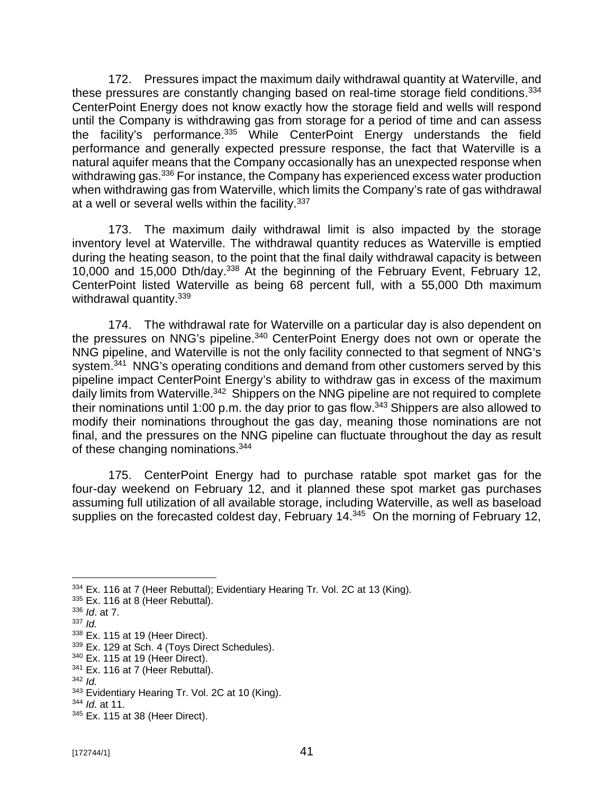172. Pressures impact the maximum daily withdrawal quantity at Waterville, and these pressures are constantly changing based on real-time storage field conditions.<sup>334</sup> CenterPoint Energy does not know exactly how the storage field and wells will respond until the Company is withdrawing gas from storage for a period of time and can assess the facility's performance.<sup>335</sup> While CenterPoint Energy understands the field performance and generally expected pressure response, the fact that Waterville is a natural aquifer means that the Company occasionally has an unexpected response when withdrawing gas.<sup>336</sup> For instance, the Company has experienced excess water production when withdrawing gas from Waterville, which limits the Company's rate of gas withdrawal at a well or several wells within the facility.<sup>337</sup>

173. The maximum daily withdrawal limit is also impacted by the storage inventory level at Waterville. The withdrawal quantity reduces as Waterville is emptied during the heating season, to the point that the final daily withdrawal capacity is between 10,000 and 15,000 Dth/day.<sup>338</sup> At the beginning of the February Event, February 12, CenterPoint listed Waterville as being 68 percent full, with a 55,000 Dth maximum withdrawal quantity.<sup>339</sup>

174. The withdrawal rate for Waterville on a particular day is also dependent on the pressures on NNG's pipeline.<sup>340</sup> CenterPoint Energy does not own or operate the NNG pipeline, and Waterville is not the only facility connected to that segment of NNG's system.<sup>341</sup> NNG's operating conditions and demand from other customers served by this pipeline impact CenterPoint Energy's ability to withdraw gas in excess of the maximum daily limits from Waterville.<sup>342</sup> Shippers on the NNG pipeline are not required to complete their nominations until 1:00 p.m. the day prior to gas flow.<sup>343</sup> Shippers are also allowed to modify their nominations throughout the gas day, meaning those nominations are not final, and the pressures on the NNG pipeline can fluctuate throughout the day as result of these changing nominations.<sup>344</sup>

175. CenterPoint Energy had to purchase ratable spot market gas for the four-day weekend on February 12, and it planned these spot market gas purchases assuming full utilization of all available storage, including Waterville, as well as baseload supplies on the forecasted coldest day, February 14.<sup>345</sup> On the morning of February 12,

 $341$  Ex. 116 at 7 (Heer Rebuttal).

<sup>&</sup>lt;sup>334</sup> Ex. 116 at 7 (Heer Rebuttal); Evidentiary Hearing Tr. Vol. 2C at 13 (King).

 $335$  Ex. 116 at 8 (Heer Rebuttal).

<sup>336</sup> *Id*. at 7.

<sup>337</sup> *Id.*

 $338$  Ex. 115 at 19 (Heer Direct).

<sup>339</sup> Ex. 129 at Sch. 4 (Toys Direct Schedules).

<sup>340</sup> Ex. 115 at 19 (Heer Direct).

<sup>342</sup> *Id.* 

<sup>&</sup>lt;sup>343</sup> Evidentiary Hearing Tr. Vol. 2C at 10 (King).

<sup>344</sup> *Id.* at 11.

<sup>345</sup> Ex. 115 at 38 (Heer Direct).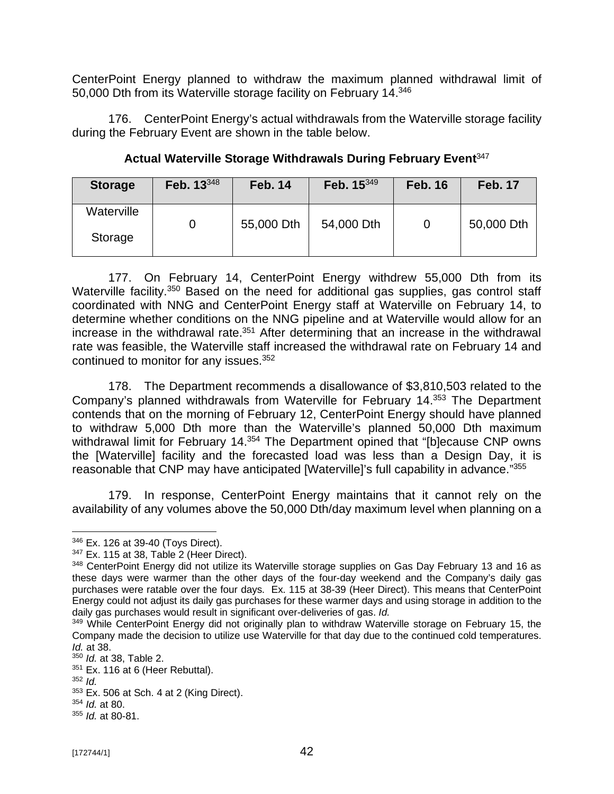CenterPoint Energy planned to withdraw the maximum planned withdrawal limit of 50,000 Dth from its Waterville storage facility on February 14.<sup>346</sup>

176. CenterPoint Energy's actual withdrawals from the Waterville storage facility during the February Event are shown in the table below.

| <b>Storage</b>        | Feb. 13348 | <b>Feb. 14</b> | Feb. 15349 | <b>Feb. 16</b> | <b>Feb. 17</b> |
|-----------------------|------------|----------------|------------|----------------|----------------|
| Waterville<br>Storage |            | 55,000 Dth     | 54,000 Dth |                | 50,000 Dth     |

**Actual Waterville Storage Withdrawals During February Event**<sup>347</sup>

177. On February 14, CenterPoint Energy withdrew 55,000 Dth from its Waterville facility.<sup>350</sup> Based on the need for additional gas supplies, gas control staff coordinated with NNG and CenterPoint Energy staff at Waterville on February 14, to determine whether conditions on the NNG pipeline and at Waterville would allow for an increase in the withdrawal rate.<sup>351</sup> After determining that an increase in the withdrawal rate was feasible, the Waterville staff increased the withdrawal rate on February 14 and continued to monitor for any issues.<sup>352</sup>

178. The Department recommends a disallowance of \$3,810,503 related to the Company's planned withdrawals from Waterville for February 14.<sup>353</sup> The Department contends that on the morning of February 12, CenterPoint Energy should have planned to withdraw 5,000 Dth more than the Waterville's planned 50,000 Dth maximum withdrawal limit for February 14.<sup>354</sup> The Department opined that "[b]ecause CNP owns the [Waterville] facility and the forecasted load was less than a Design Day, it is reasonable that CNP may have anticipated [Waterville]'s full capability in advance."<sup>355</sup>

179. In response, CenterPoint Energy maintains that it cannot rely on the availability of any volumes above the 50,000 Dth/day maximum level when planning on a

<sup>346</sup> Ex. 126 at 39-40 (Toys Direct).

 $347$  Ex. 115 at 38, Table 2 (Heer Direct).

<sup>&</sup>lt;sup>348</sup> CenterPoint Energy did not utilize its Waterville storage supplies on Gas Day February 13 and 16 as these days were warmer than the other days of the four-day weekend and the Company's daily gas purchases were ratable over the four days. Ex. 115 at 38-39 (Heer Direct). This means that CenterPoint Energy could not adjust its daily gas purchases for these warmer days and using storage in addition to the daily gas purchases would result in significant over-deliveries of gas. *Id.*

<sup>&</sup>lt;sup>349</sup> While CenterPoint Energy did not originally plan to withdraw Waterville storage on February 15, the Company made the decision to utilize use Waterville for that day due to the continued cold temperatures. *Id.* at 38.

<sup>350</sup> *Id.* at 38, Table 2.

 $351$  Ex. 116 at 6 (Heer Rebuttal).

<sup>352</sup> *Id.*

 $353$  Ex. 506 at Sch. 4 at 2 (King Direct).

<sup>354</sup> *Id.* at 80.

<sup>355</sup> *Id.* at 80-81.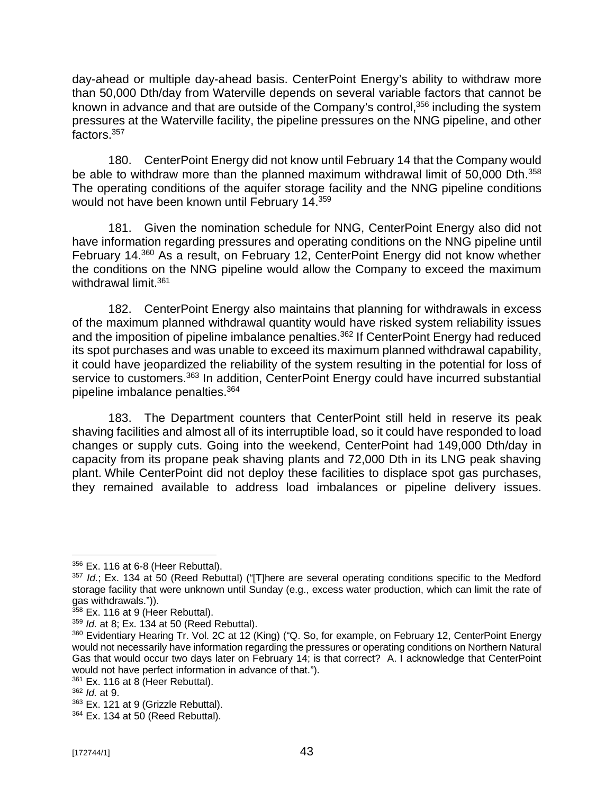day-ahead or multiple day-ahead basis. CenterPoint Energy's ability to withdraw more than 50,000 Dth/day from Waterville depends on several variable factors that cannot be known in advance and that are outside of the Company's control,<sup>356</sup> including the system pressures at the Waterville facility, the pipeline pressures on the NNG pipeline, and other factors.<sup>357</sup>

180. CenterPoint Energy did not know until February 14 that the Company would be able to withdraw more than the planned maximum withdrawal limit of 50,000 Dth.<sup>358</sup> The operating conditions of the aquifer storage facility and the NNG pipeline conditions would not have been known until February 14.<sup>359</sup>

181. Given the nomination schedule for NNG, CenterPoint Energy also did not have information regarding pressures and operating conditions on the NNG pipeline until February 14.<sup>360</sup> As a result, on February 12, CenterPoint Energy did not know whether the conditions on the NNG pipeline would allow the Company to exceed the maximum withdrawal limit.<sup>361</sup>

182. CenterPoint Energy also maintains that planning for withdrawals in excess of the maximum planned withdrawal quantity would have risked system reliability issues and the imposition of pipeline imbalance penalties.<sup>362</sup> If CenterPoint Energy had reduced its spot purchases and was unable to exceed its maximum planned withdrawal capability, it could have jeopardized the reliability of the system resulting in the potential for loss of service to customers.<sup>363</sup> In addition, CenterPoint Energy could have incurred substantial pipeline imbalance penalties.<sup>364</sup>

183. The Department counters that CenterPoint still held in reserve its peak shaving facilities and almost all of its interruptible load, so it could have responded to load changes or supply cuts. Going into the weekend, CenterPoint had 149,000 Dth/day in capacity from its propane peak shaving plants and 72,000 Dth in its LNG peak shaving plant. While CenterPoint did not deploy these facilities to displace spot gas purchases, they remained available to address load imbalances or pipeline delivery issues.

<sup>356</sup> Ex. 116 at 6-8 (Heer Rebuttal).

<sup>357</sup> *Id.*; Ex. 134 at 50 (Reed Rebuttal) ("[T]here are several operating conditions specific to the Medford storage facility that were unknown until Sunday (e.g., excess water production, which can limit the rate of gas withdrawals.")).

<sup>&</sup>lt;sup>358</sup> Ex. 116 at 9 (Heer Rebuttal).

<sup>359</sup> *Id.* at 8; Ex. 134 at 50 (Reed Rebuttal).

<sup>360</sup> Evidentiary Hearing Tr. Vol. 2C at 12 (King) ("Q. So, for example, on February 12, CenterPoint Energy would not necessarily have information regarding the pressures or operating conditions on Northern Natural Gas that would occur two days later on February 14; is that correct? A. I acknowledge that CenterPoint would not have perfect information in advance of that.").

 $361$  Ex. 116 at 8 (Heer Rebuttal).

<sup>362</sup> *Id.* at 9.

<sup>363</sup> Ex. 121 at 9 (Grizzle Rebuttal).

<sup>364</sup> Ex. 134 at 50 (Reed Rebuttal).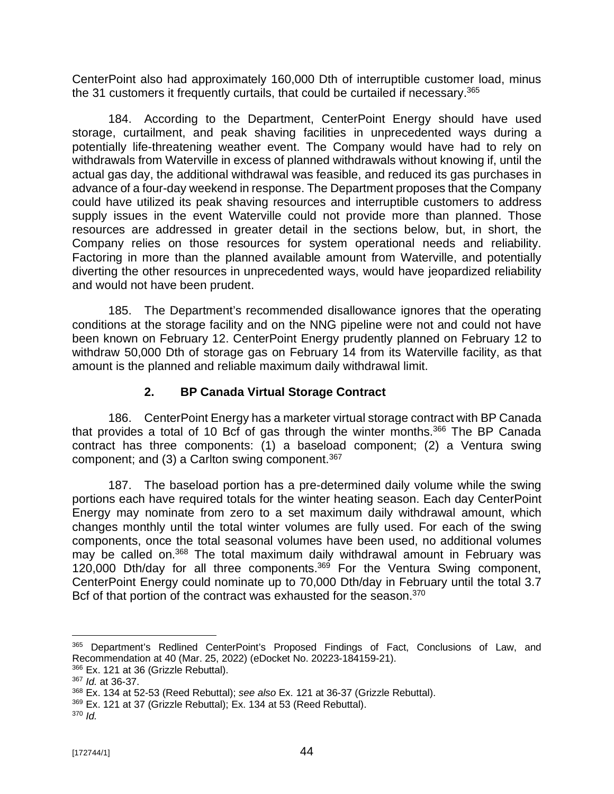CenterPoint also had approximately 160,000 Dth of interruptible customer load, minus the 31 customers it frequently curtails, that could be curtailed if necessary.<sup>365</sup>

184. According to the Department, CenterPoint Energy should have used storage, curtailment, and peak shaving facilities in unprecedented ways during a potentially life-threatening weather event. The Company would have had to rely on withdrawals from Waterville in excess of planned withdrawals without knowing if, until the actual gas day, the additional withdrawal was feasible, and reduced its gas purchases in advance of a four-day weekend in response. The Department proposes that the Company could have utilized its peak shaving resources and interruptible customers to address supply issues in the event Waterville could not provide more than planned. Those resources are addressed in greater detail in the sections below, but, in short, the Company relies on those resources for system operational needs and reliability. Factoring in more than the planned available amount from Waterville, and potentially diverting the other resources in unprecedented ways, would have jeopardized reliability and would not have been prudent.

185. The Department's recommended disallowance ignores that the operating conditions at the storage facility and on the NNG pipeline were not and could not have been known on February 12. CenterPoint Energy prudently planned on February 12 to withdraw 50,000 Dth of storage gas on February 14 from its Waterville facility, as that amount is the planned and reliable maximum daily withdrawal limit.

## **2. BP Canada Virtual Storage Contract**

186. CenterPoint Energy has a marketer virtual storage contract with BP Canada that provides a total of 10 Bcf of gas through the winter months. $366$  The BP Canada contract has three components: (1) a baseload component; (2) a Ventura swing component; and (3) a Carlton swing component. $367$ 

187. The baseload portion has a pre-determined daily volume while the swing portions each have required totals for the winter heating season. Each day CenterPoint Energy may nominate from zero to a set maximum daily withdrawal amount, which changes monthly until the total winter volumes are fully used. For each of the swing components, once the total seasonal volumes have been used, no additional volumes may be called on.<sup>368</sup> The total maximum daily withdrawal amount in February was 120,000 Dth/day for all three components.<sup>369</sup> For the Ventura Swing component, CenterPoint Energy could nominate up to 70,000 Dth/day in February until the total 3.7 Bcf of that portion of the contract was exhausted for the season.<sup>370</sup>

<sup>365</sup> Department's Redlined CenterPoint's Proposed Findings of Fact, Conclusions of Law, and Recommendation at 40 (Mar. 25, 2022) (eDocket No. 20223-184159-21).

<sup>366</sup> Ex. 121 at 36 (Grizzle Rebuttal).

<sup>367</sup> *Id.* at 36-37.

<sup>368</sup> Ex. 134 at 52-53 (Reed Rebuttal); *see also* Ex. 121 at 36-37 (Grizzle Rebuttal).

<sup>369</sup> Ex. 121 at 37 (Grizzle Rebuttal); Ex. 134 at 53 (Reed Rebuttal).

<sup>370</sup> *Id.*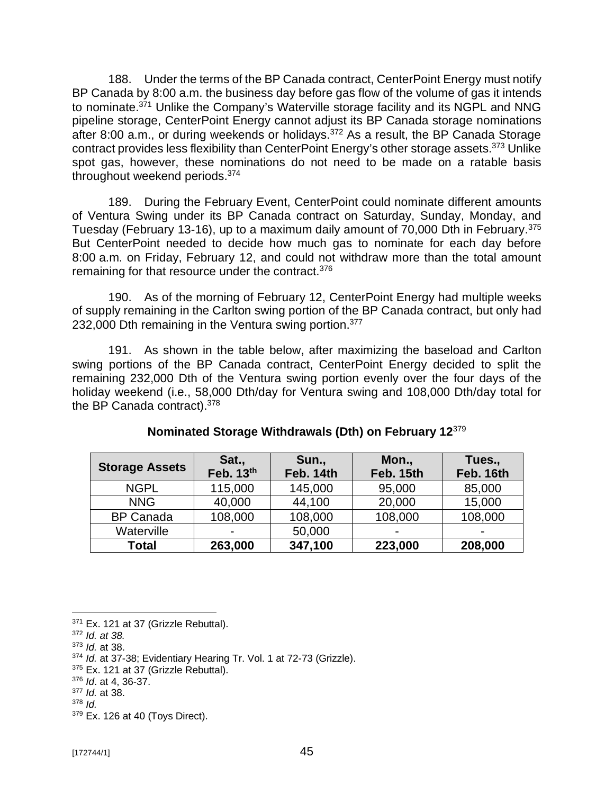188. Under the terms of the BP Canada contract, CenterPoint Energy must notify BP Canada by 8:00 a.m. the business day before gas flow of the volume of gas it intends to nominate.<sup>371</sup> Unlike the Company's Waterville storage facility and its NGPL and NNG pipeline storage, CenterPoint Energy cannot adjust its BP Canada storage nominations after 8:00 a.m., or during weekends or holidays.<sup>372</sup> As a result, the BP Canada Storage contract provides less flexibility than CenterPoint Energy's other storage assets.<sup>373</sup> Unlike spot gas, however, these nominations do not need to be made on a ratable basis throughout weekend periods.<sup>374</sup>

189. During the February Event, CenterPoint could nominate different amounts of Ventura Swing under its BP Canada contract on Saturday, Sunday, Monday, and Tuesday (February 13-16), up to a maximum daily amount of 70,000 Dth in February.<sup>375</sup> But CenterPoint needed to decide how much gas to nominate for each day before 8:00 a.m. on Friday, February 12, and could not withdraw more than the total amount remaining for that resource under the contract.<sup>376</sup>

190. As of the morning of February 12, CenterPoint Energy had multiple weeks of supply remaining in the Carlton swing portion of the BP Canada contract, but only had 232,000 Dth remaining in the Ventura swing portion.<sup>377</sup>

191. As shown in the table below, after maximizing the baseload and Carlton swing portions of the BP Canada contract, CenterPoint Energy decided to split the remaining 232,000 Dth of the Ventura swing portion evenly over the four days of the holiday weekend (i.e., 58,000 Dth/day for Ventura swing and 108,000 Dth/day total for the BP Canada contract).<sup>378</sup>

| <b>Storage Assets</b> | Sat.,<br>Feb. 13th       | Sun.,<br>Feb. 14th | Mon.,<br>Feb. 15th       | Tues.,<br>Feb. 16th |
|-----------------------|--------------------------|--------------------|--------------------------|---------------------|
| <b>NGPL</b>           | 115,000                  | 145,000            | 95,000                   | 85,000              |
| <b>NNG</b>            | 40,000                   | 44,100             | 20,000                   | 15,000              |
| <b>BP Canada</b>      | 108,000                  | 108,000            | 108,000                  | 108,000             |
| Waterville            | $\overline{\phantom{0}}$ | 50,000             | $\overline{\phantom{0}}$ |                     |
| <b>Total</b>          | 263,000                  | 347,100            | 223,000                  | 208,000             |

#### **Nominated Storage Withdrawals (Dth) on February 12**<sup>379</sup>

 $371$  Ex. 121 at 37 (Grizzle Rebuttal).

<sup>372</sup> *Id. at 38.*

<sup>373</sup> *Id.* at 38.

<sup>374</sup> *Id.* at 37-38; Evidentiary Hearing Tr. Vol. 1 at 72-73 (Grizzle).

<sup>375</sup> Ex. 121 at 37 (Grizzle Rebuttal).

<sup>376</sup> *Id*. at 4, 36-37.

<sup>377</sup> *Id.* at 38.

<sup>378</sup> *Id.*

<sup>379</sup> Ex. 126 at 40 (Toys Direct).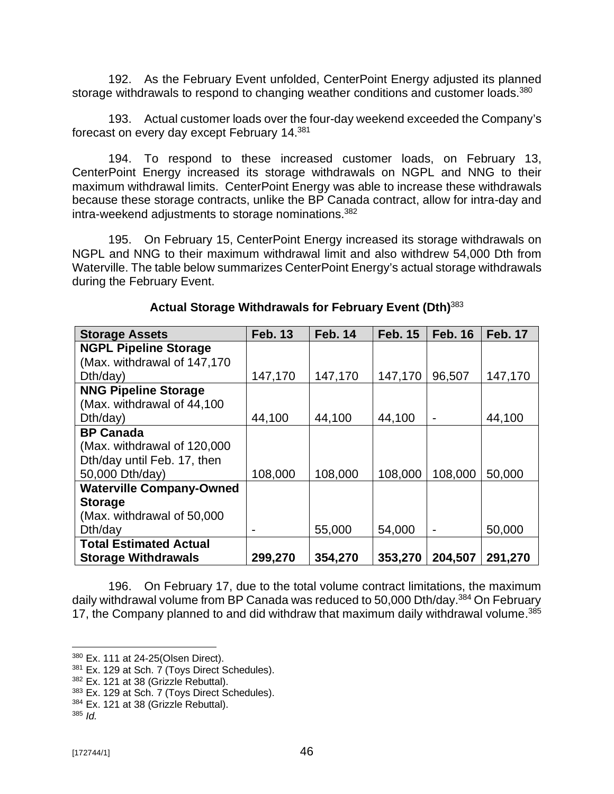192. As the February Event unfolded, CenterPoint Energy adjusted its planned storage withdrawals to respond to changing weather conditions and customer loads.<sup>380</sup>

193. Actual customer loads over the four-day weekend exceeded the Company's forecast on every day except February 14.<sup>381</sup>

194. To respond to these increased customer loads, on February 13, CenterPoint Energy increased its storage withdrawals on NGPL and NNG to their maximum withdrawal limits. CenterPoint Energy was able to increase these withdrawals because these storage contracts, unlike the BP Canada contract, allow for intra-day and intra-weekend adjustments to storage nominations.<sup>382</sup>

195. On February 15, CenterPoint Energy increased its storage withdrawals on NGPL and NNG to their maximum withdrawal limit and also withdrew 54,000 Dth from Waterville. The table below summarizes CenterPoint Energy's actual storage withdrawals during the February Event.

| <b>Storage Assets</b>           | <b>Feb. 13</b> | <b>Feb. 14</b> | <b>Feb. 15</b> | <b>Feb. 16</b> | <b>Feb. 17</b> |
|---------------------------------|----------------|----------------|----------------|----------------|----------------|
| <b>NGPL Pipeline Storage</b>    |                |                |                |                |                |
| (Max. withdrawal of 147,170     |                |                |                |                |                |
| Dth/day)                        | 147,170        | 147,170        | 147,170        | 96,507         | 147,170        |
| <b>NNG Pipeline Storage</b>     |                |                |                |                |                |
| (Max. withdrawal of 44,100)     |                |                |                |                |                |
| Dth/day)                        | 44,100         | 44,100         | 44,100         |                | 44,100         |
| <b>BP Canada</b>                |                |                |                |                |                |
| (Max. withdrawal of 120,000)    |                |                |                |                |                |
| Dth/day until Feb. 17, then     |                |                |                |                |                |
| 50,000 Dth/day)                 | 108,000        | 108,000        | 108,000        | 108,000        | 50,000         |
| <b>Waterville Company-Owned</b> |                |                |                |                |                |
| <b>Storage</b>                  |                |                |                |                |                |
| (Max. withdrawal of 50,000)     |                |                |                |                |                |
| Dth/day                         |                | 55,000         | 54,000         |                | 50,000         |
| <b>Total Estimated Actual</b>   |                |                |                |                |                |
| <b>Storage Withdrawals</b>      | 299,270        | 354,270        | 353,270        | 204,507        | 291,270        |

## **Actual Storage Withdrawals for February Event (Dth)**<sup>383</sup>

196. On February 17, due to the total volume contract limitations, the maximum daily withdrawal volume from BP Canada was reduced to 50,000 Dth/day.<sup>384</sup> On February 17, the Company planned to and did withdraw that maximum daily withdrawal volume.<sup>385</sup>

<sup>380</sup> Ex. 111 at 24-25(Olsen Direct).

 $381$  Ex. 129 at Sch. 7 (Toys Direct Schedules).

<sup>382</sup> Ex. 121 at 38 (Grizzle Rebuttal).

<sup>383</sup> Ex. 129 at Sch. 7 (Toys Direct Schedules).

<sup>384</sup> Ex. 121 at 38 (Grizzle Rebuttal).

 $385$  *Id.*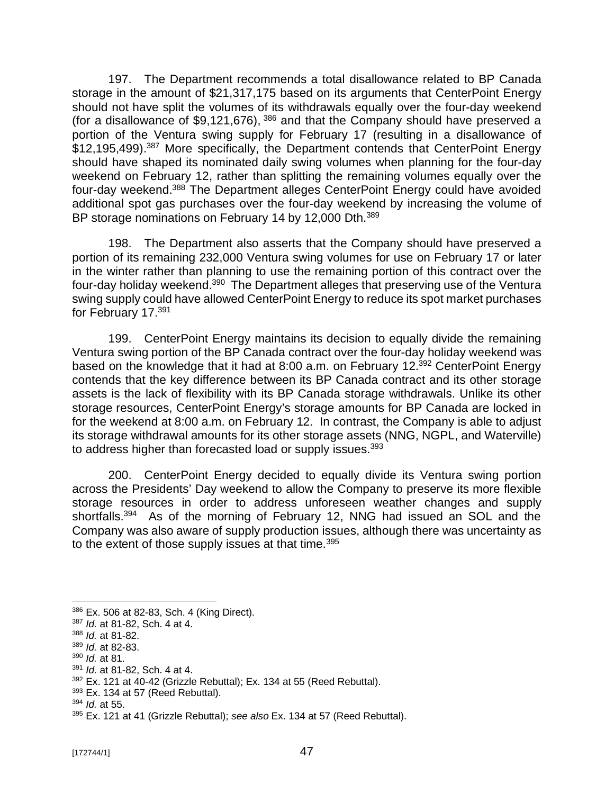197. The Department recommends a total disallowance related to BP Canada storage in the amount of \$21,317,175 based on its arguments that CenterPoint Energy should not have split the volumes of its withdrawals equally over the four-day weekend (for a disallowance of  $$9,121,676$ ),  $^{386}$  and that the Company should have preserved a portion of the Ventura swing supply for February 17 (resulting in a disallowance of \$12,195,499).<sup>387</sup> More specifically, the Department contends that CenterPoint Energy should have shaped its nominated daily swing volumes when planning for the four-day weekend on February 12, rather than splitting the remaining volumes equally over the four-day weekend.<sup>388</sup> The Department alleges CenterPoint Energy could have avoided additional spot gas purchases over the four-day weekend by increasing the volume of BP storage nominations on February 14 by 12,000 Dth.<sup>389</sup>

198. The Department also asserts that the Company should have preserved a portion of its remaining 232,000 Ventura swing volumes for use on February 17 or later in the winter rather than planning to use the remaining portion of this contract over the four-day holiday weekend.<sup>390</sup> The Department alleges that preserving use of the Ventura swing supply could have allowed CenterPoint Energy to reduce its spot market purchases for February 17.<sup>391</sup>

199. CenterPoint Energy maintains its decision to equally divide the remaining Ventura swing portion of the BP Canada contract over the four-day holiday weekend was based on the knowledge that it had at 8:00 a.m. on February 12.<sup>392</sup> CenterPoint Energy contends that the key difference between its BP Canada contract and its other storage assets is the lack of flexibility with its BP Canada storage withdrawals. Unlike its other storage resources, CenterPoint Energy's storage amounts for BP Canada are locked in for the weekend at 8:00 a.m. on February 12. In contrast, the Company is able to adjust its storage withdrawal amounts for its other storage assets (NNG, NGPL, and Waterville) to address higher than forecasted load or supply issues.<sup>393</sup>

200. CenterPoint Energy decided to equally divide its Ventura swing portion across the Presidents' Day weekend to allow the Company to preserve its more flexible storage resources in order to address unforeseen weather changes and supply shortfalls.<sup>394</sup> As of the morning of February 12, NNG had issued an SOL and the Company was also aware of supply production issues, although there was uncertainty as to the extent of those supply issues at that time.<sup>395</sup>

<sup>386</sup> Ex. 506 at 82-83, Sch. 4 (King Direct).

<sup>387</sup> *Id.* at 81-82, Sch. 4 at 4.

<sup>388</sup> *Id.* at 81-82.

<sup>389</sup> *Id.* at 82-83.

<sup>390</sup> *Id.* at 81.

<sup>391</sup> *Id.* at 81-82, Sch. 4 at 4.

 $392$  Ex. 121 at 40-42 (Grizzle Rebuttal); Ex. 134 at 55 (Reed Rebuttal).

 $393$  Ex. 134 at 57 (Reed Rebuttal).

<sup>394</sup> *Id.* at 55.

<sup>395</sup> Ex. 121 at 41 (Grizzle Rebuttal); *see also* Ex. 134 at 57 (Reed Rebuttal).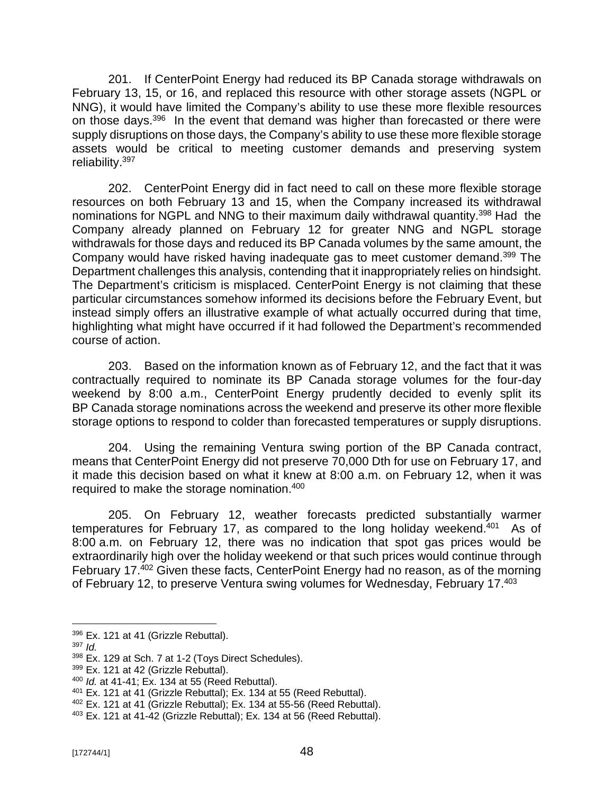201. If CenterPoint Energy had reduced its BP Canada storage withdrawals on February 13, 15, or 16, and replaced this resource with other storage assets (NGPL or NNG), it would have limited the Company's ability to use these more flexible resources on those days.<sup>396</sup> In the event that demand was higher than forecasted or there were supply disruptions on those days, the Company's ability to use these more flexible storage assets would be critical to meeting customer demands and preserving system reliability.<sup>397</sup>

202. CenterPoint Energy did in fact need to call on these more flexible storage resources on both February 13 and 15, when the Company increased its withdrawal nominations for NGPL and NNG to their maximum daily withdrawal quantity.<sup>398</sup> Had the Company already planned on February 12 for greater NNG and NGPL storage withdrawals for those days and reduced its BP Canada volumes by the same amount, the Company would have risked having inadequate gas to meet customer demand.<sup>399</sup> The Department challenges this analysis, contending that it inappropriately relies on hindsight. The Department's criticism is misplaced. CenterPoint Energy is not claiming that these particular circumstances somehow informed its decisions before the February Event, but instead simply offers an illustrative example of what actually occurred during that time, highlighting what might have occurred if it had followed the Department's recommended course of action.

203. Based on the information known as of February 12, and the fact that it was contractually required to nominate its BP Canada storage volumes for the four-day weekend by 8:00 a.m., CenterPoint Energy prudently decided to evenly split its BP Canada storage nominations across the weekend and preserve its other more flexible storage options to respond to colder than forecasted temperatures or supply disruptions.

204. Using the remaining Ventura swing portion of the BP Canada contract, means that CenterPoint Energy did not preserve 70,000 Dth for use on February 17, and it made this decision based on what it knew at 8:00 a.m. on February 12, when it was required to make the storage nomination.<sup>400</sup>

205. On February 12, weather forecasts predicted substantially warmer temperatures for February 17, as compared to the long holiday weekend.<sup>401</sup> As of 8:00 a.m. on February 12, there was no indication that spot gas prices would be extraordinarily high over the holiday weekend or that such prices would continue through February 17.<sup>402</sup> Given these facts, CenterPoint Energy had no reason, as of the morning of February 12, to preserve Ventura swing volumes for Wednesday, February 17.<sup>403</sup>

<sup>396</sup> Ex. 121 at 41 (Grizzle Rebuttal).

<sup>397</sup> *Id.*

<sup>398</sup> Ex. 129 at Sch. 7 at 1-2 (Toys Direct Schedules).

<sup>399</sup> Ex. 121 at 42 (Grizzle Rebuttal).

<sup>400</sup> *Id.* at 41-41; Ex. 134 at 55 (Reed Rebuttal).

 $401$  Ex. 121 at 41 (Grizzle Rebuttal); Ex. 134 at 55 (Reed Rebuttal).

<sup>402</sup> Ex. 121 at 41 (Grizzle Rebuttal); Ex. 134 at 55-56 (Reed Rebuttal).

 $403$  Ex. 121 at 41-42 (Grizzle Rebuttal); Ex. 134 at 56 (Reed Rebuttal).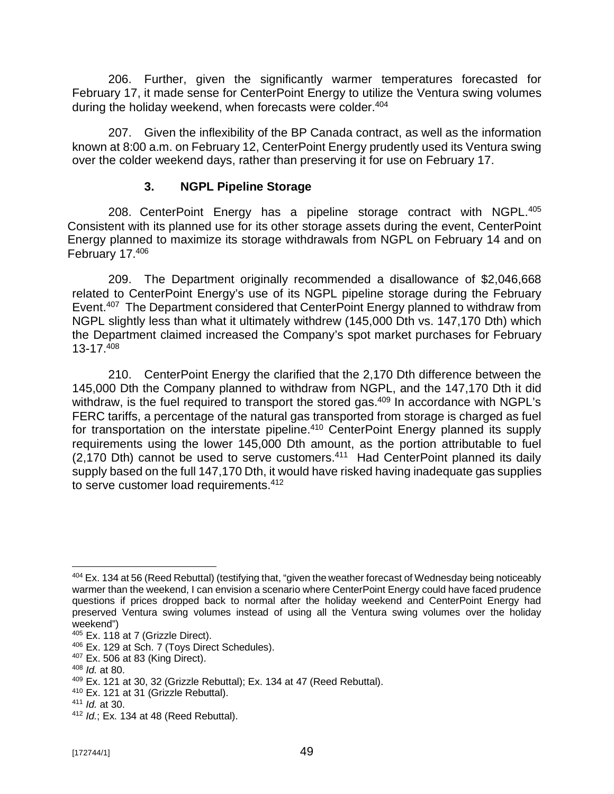206. Further, given the significantly warmer temperatures forecasted for February 17, it made sense for CenterPoint Energy to utilize the Ventura swing volumes during the holiday weekend, when forecasts were colder.<sup>404</sup>

207. Given the inflexibility of the BP Canada contract, as well as the information known at 8:00 a.m. on February 12, CenterPoint Energy prudently used its Ventura swing over the colder weekend days, rather than preserving it for use on February 17.

## **3. NGPL Pipeline Storage**

208. CenterPoint Energy has a pipeline storage contract with NGPL.<sup>405</sup> Consistent with its planned use for its other storage assets during the event, CenterPoint Energy planned to maximize its storage withdrawals from NGPL on February 14 and on February 17.<sup>406</sup>

209. The Department originally recommended a disallowance of \$2,046,668 related to CenterPoint Energy's use of its NGPL pipeline storage during the February Event.<sup>407</sup> The Department considered that CenterPoint Energy planned to withdraw from NGPL slightly less than what it ultimately withdrew (145,000 Dth vs. 147,170 Dth) which the Department claimed increased the Company's spot market purchases for February 13-17.<sup>408</sup>

210. CenterPoint Energy the clarified that the 2,170 Dth difference between the 145,000 Dth the Company planned to withdraw from NGPL, and the 147,170 Dth it did withdraw, is the fuel required to transport the stored gas.<sup>409</sup> In accordance with NGPL's FERC tariffs, a percentage of the natural gas transported from storage is charged as fuel for transportation on the interstate pipeline.<sup>410</sup> CenterPoint Energy planned its supply requirements using the lower 145,000 Dth amount, as the portion attributable to fuel  $(2,170$  Dth) cannot be used to serve customers.<sup>411</sup> Had CenterPoint planned its daily supply based on the full 147,170 Dth, it would have risked having inadequate gas supplies to serve customer load requirements.<sup>412</sup>

<sup>404</sup> Ex. 134 at 56 (Reed Rebuttal) (testifying that, "given the weather forecast of Wednesday being noticeably warmer than the weekend, I can envision a scenario where CenterPoint Energy could have faced prudence questions if prices dropped back to normal after the holiday weekend and CenterPoint Energy had preserved Ventura swing volumes instead of using all the Ventura swing volumes over the holiday weekend")

<sup>405</sup> Ex. 118 at 7 (Grizzle Direct).

<sup>406</sup> Ex. 129 at Sch. 7 (Toys Direct Schedules).

<sup>407</sup> Ex. 506 at 83 (King Direct).

<sup>408</sup> *Id.* at 80.

 $409$  Ex. 121 at 30, 32 (Grizzle Rebuttal); Ex. 134 at 47 (Reed Rebuttal).

<sup>410</sup> Ex. 121 at 31 (Grizzle Rebuttal).

<sup>411</sup> *Id.* at 30.

<sup>412</sup> *Id.*; Ex. 134 at 48 (Reed Rebuttal).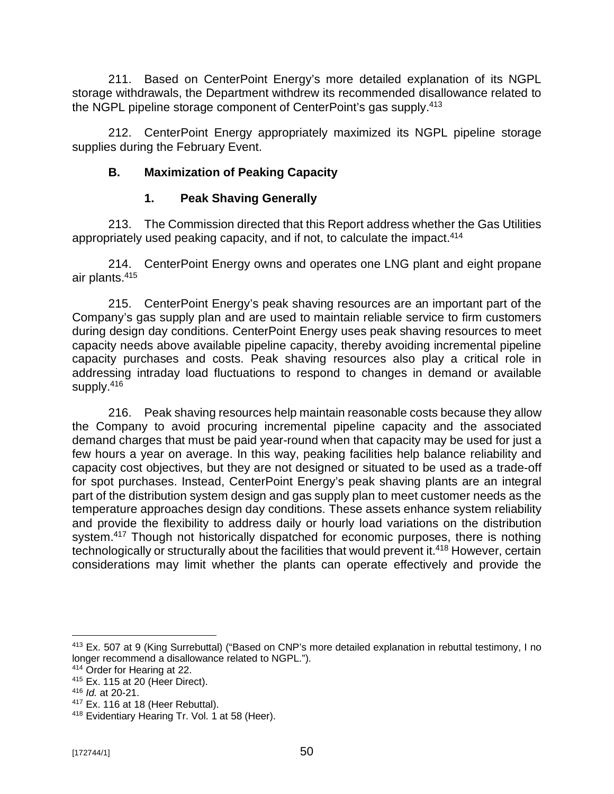211. Based on CenterPoint Energy's more detailed explanation of its NGPL storage withdrawals, the Department withdrew its recommended disallowance related to the NGPL pipeline storage component of CenterPoint's gas supply.<sup>413</sup>

212. CenterPoint Energy appropriately maximized its NGPL pipeline storage supplies during the February Event.

## **B. Maximization of Peaking Capacity**

## **1. Peak Shaving Generally**

213. The Commission directed that this Report address whether the Gas Utilities appropriately used peaking capacity, and if not, to calculate the impact.<sup>414</sup>

214. CenterPoint Energy owns and operates one LNG plant and eight propane air plants.<sup>415</sup>

215. CenterPoint Energy's peak shaving resources are an important part of the Company's gas supply plan and are used to maintain reliable service to firm customers during design day conditions. CenterPoint Energy uses peak shaving resources to meet capacity needs above available pipeline capacity, thereby avoiding incremental pipeline capacity purchases and costs. Peak shaving resources also play a critical role in addressing intraday load fluctuations to respond to changes in demand or available supply.<sup>416</sup>

216. Peak shaving resources help maintain reasonable costs because they allow the Company to avoid procuring incremental pipeline capacity and the associated demand charges that must be paid year-round when that capacity may be used for just a few hours a year on average. In this way, peaking facilities help balance reliability and capacity cost objectives, but they are not designed or situated to be used as a trade-off for spot purchases. Instead, CenterPoint Energy's peak shaving plants are an integral part of the distribution system design and gas supply plan to meet customer needs as the temperature approaches design day conditions. These assets enhance system reliability and provide the flexibility to address daily or hourly load variations on the distribution system.<sup>417</sup> Though not historically dispatched for economic purposes, there is nothing technologically or structurally about the facilities that would prevent it.<sup>418</sup> However, certain considerations may limit whether the plants can operate effectively and provide the

<sup>413</sup> Ex. 507 at 9 (King Surrebuttal) ("Based on CNP's more detailed explanation in rebuttal testimony, I no longer recommend a disallowance related to NGPL.").

<sup>414</sup> Order for Hearing at 22.

<sup>415</sup> Ex. 115 at 20 (Heer Direct).

<sup>416</sup> *Id.* at 20-21.

<sup>417</sup> Ex. 116 at 18 (Heer Rebuttal).

<sup>418</sup> Evidentiary Hearing Tr. Vol. 1 at 58 (Heer).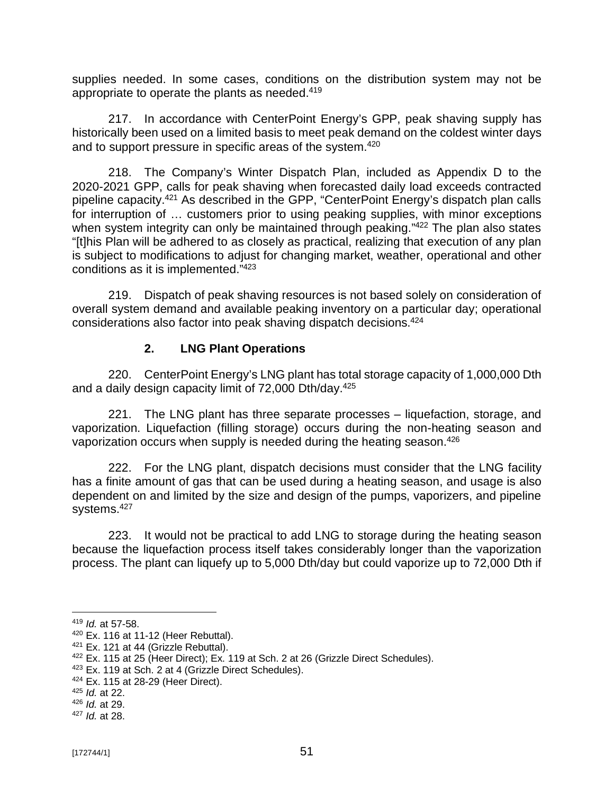supplies needed. In some cases, conditions on the distribution system may not be appropriate to operate the plants as needed.<sup>419</sup>

217. In accordance with CenterPoint Energy's GPP, peak shaving supply has historically been used on a limited basis to meet peak demand on the coldest winter days and to support pressure in specific areas of the system.<sup>420</sup>

218. The Company's Winter Dispatch Plan, included as Appendix D to the 2020-2021 GPP, calls for peak shaving when forecasted daily load exceeds contracted pipeline capacity.<sup>421</sup> As described in the GPP, "CenterPoint Energy's dispatch plan calls for interruption of … customers prior to using peaking supplies, with minor exceptions when system integrity can only be maintained through peaking."<sup>422</sup> The plan also states "[t]his Plan will be adhered to as closely as practical, realizing that execution of any plan is subject to modifications to adjust for changing market, weather, operational and other conditions as it is implemented." 423

219. Dispatch of peak shaving resources is not based solely on consideration of overall system demand and available peaking inventory on a particular day; operational considerations also factor into peak shaving dispatch decisions.<sup>424</sup>

#### **2. LNG Plant Operations**

220. CenterPoint Energy's LNG plant has total storage capacity of 1,000,000 Dth and a daily design capacity limit of 72,000 Dth/day.<sup>425</sup>

221. The LNG plant has three separate processes – liquefaction, storage, and vaporization. Liquefaction (filling storage) occurs during the non-heating season and vaporization occurs when supply is needed during the heating season.<sup>426</sup>

222. For the LNG plant, dispatch decisions must consider that the LNG facility has a finite amount of gas that can be used during a heating season, and usage is also dependent on and limited by the size and design of the pumps, vaporizers, and pipeline systems.<sup>427</sup>

223. It would not be practical to add LNG to storage during the heating season because the liquefaction process itself takes considerably longer than the vaporization process. The plant can liquefy up to 5,000 Dth/day but could vaporize up to 72,000 Dth if

<sup>419</sup> *Id.* at 57-58.

 $420$  Ex. 116 at 11-12 (Heer Rebuttal).

<sup>&</sup>lt;sup>421</sup> Ex. 121 at 44 (Grizzle Rebuttal).

 $422$  Ex. 115 at 25 (Heer Direct); Ex. 119 at Sch. 2 at 26 (Grizzle Direct Schedules).

<sup>423</sup> Ex. 119 at Sch. 2 at 4 (Grizzle Direct Schedules).

<sup>424</sup> Ex. 115 at 28-29 (Heer Direct).

<sup>425</sup> *Id.* at 22.

<sup>426</sup> *Id.* at 29.

<sup>427</sup> *Id.* at 28.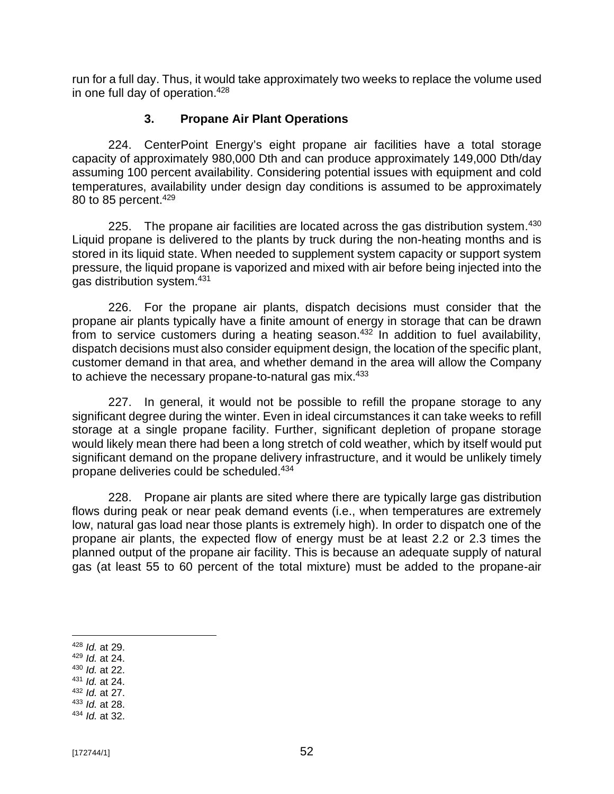run for a full day. Thus, it would take approximately two weeks to replace the volume used in one full day of operation.<sup>428</sup>

#### **3. Propane Air Plant Operations**

224. CenterPoint Energy's eight propane air facilities have a total storage capacity of approximately 980,000 Dth and can produce approximately 149,000 Dth/day assuming 100 percent availability. Considering potential issues with equipment and cold temperatures, availability under design day conditions is assumed to be approximately 80 to 85 percent.<sup>429</sup>

225. The propane air facilities are located across the gas distribution system. $430$ Liquid propane is delivered to the plants by truck during the non-heating months and is stored in its liquid state. When needed to supplement system capacity or support system pressure, the liquid propane is vaporized and mixed with air before being injected into the gas distribution system.<sup>431</sup>

226. For the propane air plants, dispatch decisions must consider that the propane air plants typically have a finite amount of energy in storage that can be drawn from to service customers during a heating season.<sup>432</sup> In addition to fuel availability, dispatch decisions must also consider equipment design, the location of the specific plant, customer demand in that area, and whether demand in the area will allow the Company to achieve the necessary propane-to-natural gas mix.<sup>433</sup>

227. In general, it would not be possible to refill the propane storage to any significant degree during the winter. Even in ideal circumstances it can take weeks to refill storage at a single propane facility. Further, significant depletion of propane storage would likely mean there had been a long stretch of cold weather, which by itself would put significant demand on the propane delivery infrastructure, and it would be unlikely timely propane deliveries could be scheduled.<sup>434</sup>

228. Propane air plants are sited where there are typically large gas distribution flows during peak or near peak demand events (i.e., when temperatures are extremely low, natural gas load near those plants is extremely high). In order to dispatch one of the propane air plants, the expected flow of energy must be at least 2.2 or 2.3 times the planned output of the propane air facility. This is because an adequate supply of natural gas (at least 55 to 60 percent of the total mixture) must be added to the propane-air

- <sup>430</sup> *Id.* at 22.
- <sup>431</sup> *Id.* at 24.
- <sup>432</sup> *Id.* at 27. <sup>433</sup> *Id.* at 28.
- <sup>434</sup> *Id.* at 32.

<sup>428</sup> *Id.* at 29.

<sup>429</sup> *Id.* at 24.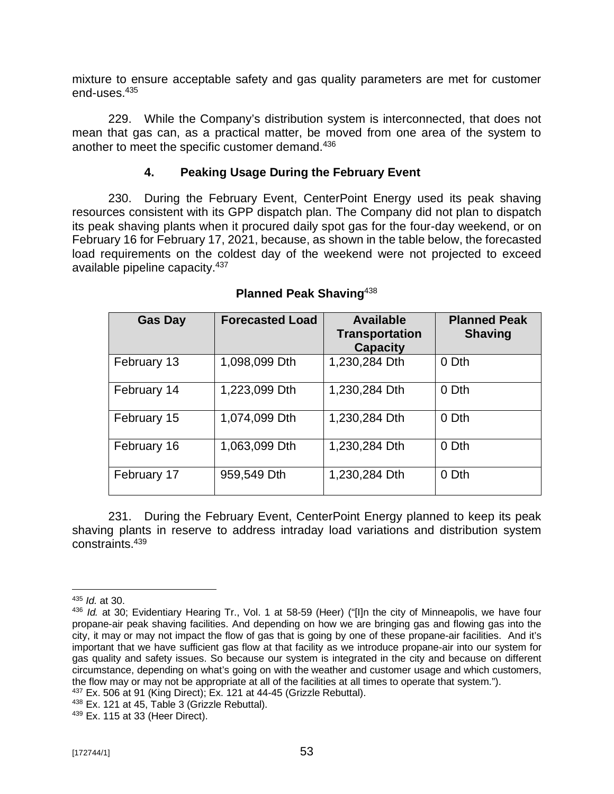mixture to ensure acceptable safety and gas quality parameters are met for customer end-uses.<sup>435</sup>

229. While the Company's distribution system is interconnected, that does not mean that gas can, as a practical matter, be moved from one area of the system to another to meet the specific customer demand.<sup>436</sup>

#### **4. Peaking Usage During the February Event**

230. During the February Event, CenterPoint Energy used its peak shaving resources consistent with its GPP dispatch plan. The Company did not plan to dispatch its peak shaving plants when it procured daily spot gas for the four-day weekend, or on February 16 for February 17, 2021, because, as shown in the table below, the forecasted load requirements on the coldest day of the weekend were not projected to exceed available pipeline capacity.<sup>437</sup>

| <b>Gas Day</b> | <b>Forecasted Load</b> | <b>Available</b><br><b>Transportation</b><br><b>Capacity</b> | <b>Planned Peak</b><br><b>Shaving</b> |
|----------------|------------------------|--------------------------------------------------------------|---------------------------------------|
| February 13    | 1,098,099 Dth          | 1,230,284 Dth                                                | 0 Dth                                 |
| February 14    | 1,223,099 Dth          | 1,230,284 Dth                                                | 0 Dth                                 |
| February 15    | 1,074,099 Dth          | 1,230,284 Dth                                                | 0 Dth                                 |
| February 16    | 1,063,099 Dth          | 1,230,284 Dth                                                | 0 Dth                                 |
| February 17    | 959,549 Dth            | 1,230,284 Dth                                                | 0 Dth                                 |

## **Planned Peak Shaving**<sup>438</sup>

231. During the February Event, CenterPoint Energy planned to keep its peak shaving plants in reserve to address intraday load variations and distribution system constraints.<sup>439</sup>

<sup>435</sup> *Id.* at 30.

<sup>436</sup> *Id.* at 30; Evidentiary Hearing Tr., Vol. 1 at 58-59 (Heer) ("[I]n the city of Minneapolis, we have four propane-air peak shaving facilities. And depending on how we are bringing gas and flowing gas into the city, it may or may not impact the flow of gas that is going by one of these propane-air facilities. And it's important that we have sufficient gas flow at that facility as we introduce propane-air into our system for gas quality and safety issues. So because our system is integrated in the city and because on different circumstance, depending on what's going on with the weather and customer usage and which customers, the flow may or may not be appropriate at all of the facilities at all times to operate that system.").

<sup>437</sup> Ex. 506 at 91 (King Direct); Ex. 121 at 44-45 (Grizzle Rebuttal).

<sup>438</sup> Ex. 121 at 45, Table 3 (Grizzle Rebuttal).

<sup>439</sup> Ex. 115 at 33 (Heer Direct).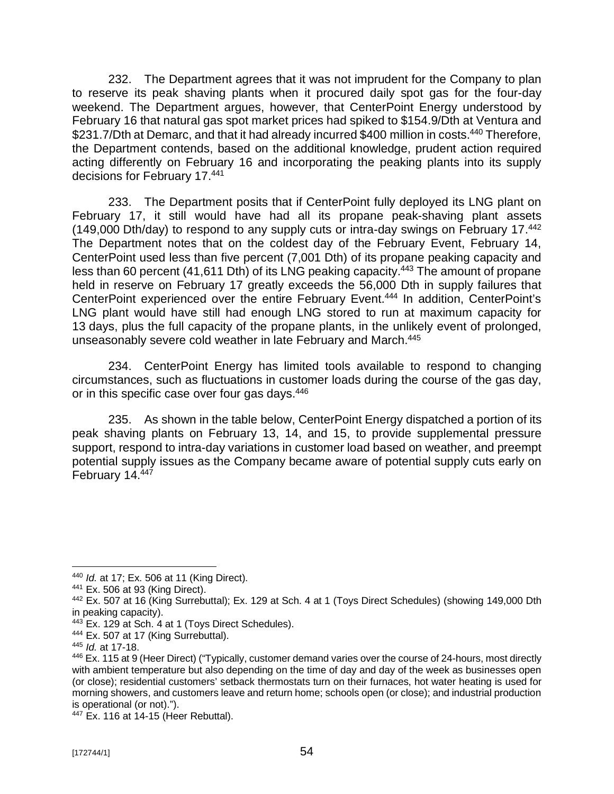232. The Department agrees that it was not imprudent for the Company to plan to reserve its peak shaving plants when it procured daily spot gas for the four-day weekend. The Department argues, however, that CenterPoint Energy understood by February 16 that natural gas spot market prices had spiked to \$154.9/Dth at Ventura and \$231.7/Dth at Demarc, and that it had already incurred \$400 million in costs.<sup>440</sup> Therefore, the Department contends, based on the additional knowledge, prudent action required acting differently on February 16 and incorporating the peaking plants into its supply decisions for February 17. 441

233. The Department posits that if CenterPoint fully deployed its LNG plant on February 17, it still would have had all its propane peak-shaving plant assets (149,000 Dth/day) to respond to any supply cuts or intra-day swings on February 17.<sup>442</sup> The Department notes that on the coldest day of the February Event, February 14, CenterPoint used less than five percent (7,001 Dth) of its propane peaking capacity and less than 60 percent (41,611 Dth) of its LNG peaking capacity.<sup>443</sup> The amount of propane held in reserve on February 17 greatly exceeds the 56,000 Dth in supply failures that CenterPoint experienced over the entire February Event.<sup>444</sup> In addition, CenterPoint's LNG plant would have still had enough LNG stored to run at maximum capacity for 13 days, plus the full capacity of the propane plants, in the unlikely event of prolonged, unseasonably severe cold weather in late February and March.<sup>445</sup>

234. CenterPoint Energy has limited tools available to respond to changing circumstances, such as fluctuations in customer loads during the course of the gas day, or in this specific case over four gas days.<sup>446</sup>

235. As shown in the table below, CenterPoint Energy dispatched a portion of its peak shaving plants on February 13, 14, and 15, to provide supplemental pressure support, respond to intra-day variations in customer load based on weather, and preempt potential supply issues as the Company became aware of potential supply cuts early on February 14.447

<sup>444</sup> Ex. 507 at 17 (King Surrebuttal).

<sup>440</sup> *Id.* at 17; Ex. 506 at 11 (King Direct).

<sup>441</sup> Ex. 506 at 93 (King Direct).

<sup>442</sup> Ex. 507 at 16 (King Surrebuttal); Ex. 129 at Sch. 4 at 1 (Toys Direct Schedules) (showing 149,000 Dth in peaking capacity).

<sup>443</sup> Ex. 129 at Sch. 4 at 1 (Toys Direct Schedules).

<sup>445</sup> *Id.* at 17-18.

<sup>446</sup> Ex. 115 at 9 (Heer Direct) ("Typically, customer demand varies over the course of 24-hours, most directly with ambient temperature but also depending on the time of day and day of the week as businesses open (or close); residential customers' setback thermostats turn on their furnaces, hot water heating is used for morning showers, and customers leave and return home; schools open (or close); and industrial production is operational (or not).").

<sup>447</sup> Ex. 116 at 14-15 (Heer Rebuttal).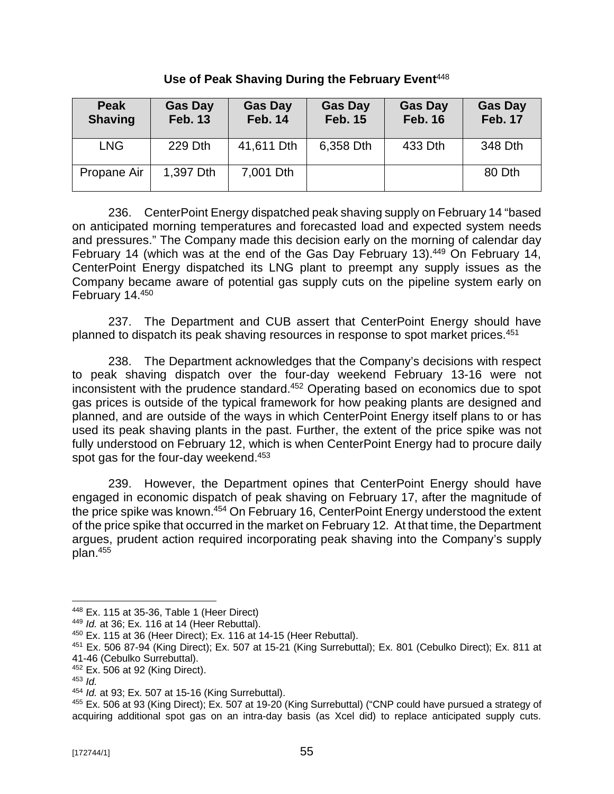| <b>Peak</b><br><b>Shaving</b> | <b>Gas Day</b><br><b>Feb. 13</b> | <b>Gas Day</b><br><b>Feb. 14</b> | <b>Gas Day</b><br><b>Feb. 15</b> | <b>Gas Day</b><br><b>Feb. 16</b> | <b>Gas Day</b><br><b>Feb. 17</b> |
|-------------------------------|----------------------------------|----------------------------------|----------------------------------|----------------------------------|----------------------------------|
| <b>LNG</b>                    | 229 Dth                          | 41,611 Dth                       | 6,358 Dth                        | 433 Dth                          | 348 Dth                          |
| Propane Air                   | 1,397 Dth                        | 7,001 Dth                        |                                  |                                  | 80 Dth                           |

**Use of Peak Shaving During the February Event**<sup>448</sup>

236. CenterPoint Energy dispatched peak shaving supply on February 14 "based on anticipated morning temperatures and forecasted load and expected system needs and pressures." The Company made this decision early on the morning of calendar day February 14 (which was at the end of the Gas Day February 13).<sup>449</sup> On February 14, CenterPoint Energy dispatched its LNG plant to preempt any supply issues as the Company became aware of potential gas supply cuts on the pipeline system early on February 14.<sup>450</sup>

237. The Department and CUB assert that CenterPoint Energy should have planned to dispatch its peak shaving resources in response to spot market prices.<sup>451</sup>

238. The Department acknowledges that the Company's decisions with respect to peak shaving dispatch over the four-day weekend February 13-16 were not inconsistent with the prudence standard. <sup>452</sup> Operating based on economics due to spot gas prices is outside of the typical framework for how peaking plants are designed and planned, and are outside of the ways in which CenterPoint Energy itself plans to or has used its peak shaving plants in the past. Further, the extent of the price spike was not fully understood on February 12, which is when CenterPoint Energy had to procure daily spot gas for the four-day weekend.<sup>453</sup>

239. However, the Department opines that CenterPoint Energy should have engaged in economic dispatch of peak shaving on February 17, after the magnitude of the price spike was known.<sup>454</sup> On February 16, CenterPoint Energy understood the extent of the price spike that occurred in the market on February 12. At that time, the Department argues, prudent action required incorporating peak shaving into the Company's supply plan.<sup>455</sup>

<sup>452</sup> Ex. 506 at 92 (King Direct).

<sup>448</sup> Ex. 115 at 35-36, Table 1 (Heer Direct)

<sup>449</sup> *Id.* at 36; Ex. 116 at 14 (Heer Rebuttal).

<sup>450</sup> Ex. 115 at 36 (Heer Direct); Ex. 116 at 14-15 (Heer Rebuttal).

<sup>451</sup> Ex. 506 87-94 (King Direct); Ex. 507 at 15-21 (King Surrebuttal); Ex. 801 (Cebulko Direct); Ex. 811 at 41-46 (Cebulko Surrebuttal).

<sup>453</sup> *Id.*

<sup>454</sup> *Id.* at 93; Ex. 507 at 15-16 (King Surrebuttal).

<sup>455</sup> Ex. 506 at 93 (King Direct); Ex. 507 at 19-20 (King Surrebuttal) ("CNP could have pursued a strategy of acquiring additional spot gas on an intra-day basis (as Xcel did) to replace anticipated supply cuts.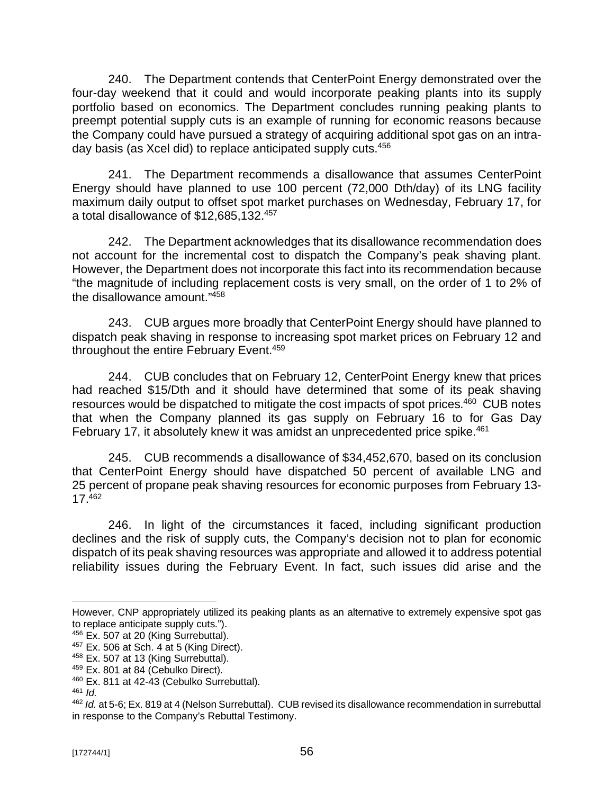240. The Department contends that CenterPoint Energy demonstrated over the four-day weekend that it could and would incorporate peaking plants into its supply portfolio based on economics. The Department concludes running peaking plants to preempt potential supply cuts is an example of running for economic reasons because the Company could have pursued a strategy of acquiring additional spot gas on an intraday basis (as Xcel did) to replace anticipated supply cuts.<sup>456</sup>

241. The Department recommends a disallowance that assumes CenterPoint Energy should have planned to use 100 percent (72,000 Dth/day) of its LNG facility maximum daily output to offset spot market purchases on Wednesday, February 17, for a total disallowance of \$12,685,132.<sup>457</sup>

242. The Department acknowledges that its disallowance recommendation does not account for the incremental cost to dispatch the Company's peak shaving plant. However, the Department does not incorporate this fact into its recommendation because "the magnitude of including replacement costs is very small, on the order of 1 to 2% of the disallowance amount." 458

243. CUB argues more broadly that CenterPoint Energy should have planned to dispatch peak shaving in response to increasing spot market prices on February 12 and throughout the entire February Event.<sup>459</sup>

244. CUB concludes that on February 12, CenterPoint Energy knew that prices had reached \$15/Dth and it should have determined that some of its peak shaving resources would be dispatched to mitigate the cost impacts of spot prices.<sup>460</sup> CUB notes that when the Company planned its gas supply on February 16 to for Gas Day February 17, it absolutely knew it was amidst an unprecedented price spike.<sup>461</sup>

245. CUB recommends a disallowance of \$34,452,670, based on its conclusion that CenterPoint Energy should have dispatched 50 percent of available LNG and 25 percent of propane peak shaving resources for economic purposes from February 13- 17.<sup>462</sup>

246. In light of the circumstances it faced, including significant production declines and the risk of supply cuts, the Company's decision not to plan for economic dispatch of its peak shaving resources was appropriate and allowed it to address potential reliability issues during the February Event. In fact, such issues did arise and the

However, CNP appropriately utilized its peaking plants as an alternative to extremely expensive spot gas to replace anticipate supply cuts.").

<sup>&</sup>lt;sup>456</sup> Ex. 507 at 20 (King Surrebuttal).

 $457$  Ex. 506 at Sch. 4 at 5 (King Direct).

<sup>&</sup>lt;sup>458</sup> Ex. 507 at 13 (King Surrebuttal).

<sup>459</sup> Ex. 801 at 84 (Cebulko Direct).

<sup>&</sup>lt;sup>460</sup> Ex. 811 at 42-43 (Cebulko Surrebuttal).

 $461$  *Id.* 

<sup>462</sup> *Id.* at 5-6; Ex. 819 at 4 (Nelson Surrebuttal). CUB revised its disallowance recommendation in surrebuttal in response to the Company's Rebuttal Testimony.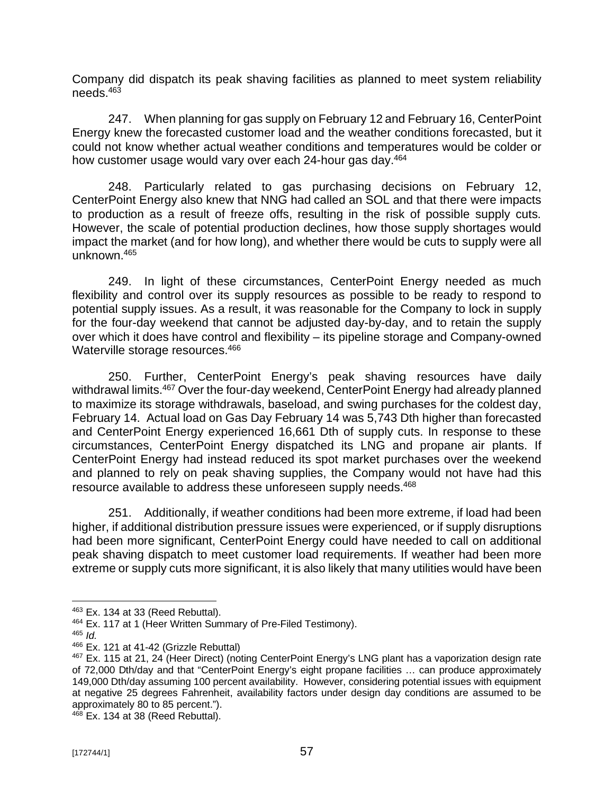Company did dispatch its peak shaving facilities as planned to meet system reliability needs. 463

247. When planning for gas supply on February 12 and February 16, CenterPoint Energy knew the forecasted customer load and the weather conditions forecasted, but it could not know whether actual weather conditions and temperatures would be colder or how customer usage would vary over each 24-hour gas day.<sup>464</sup>

248. Particularly related to gas purchasing decisions on February 12, CenterPoint Energy also knew that NNG had called an SOL and that there were impacts to production as a result of freeze offs, resulting in the risk of possible supply cuts. However, the scale of potential production declines, how those supply shortages would impact the market (and for how long), and whether there would be cuts to supply were all unknown.<sup>465</sup>

249. In light of these circumstances, CenterPoint Energy needed as much flexibility and control over its supply resources as possible to be ready to respond to potential supply issues. As a result, it was reasonable for the Company to lock in supply for the four-day weekend that cannot be adjusted day-by-day, and to retain the supply over which it does have control and flexibility – its pipeline storage and Company-owned Waterville storage resources. 466

250. Further, CenterPoint Energy's peak shaving resources have daily withdrawal limits.<sup>467</sup> Over the four-day weekend, CenterPoint Energy had already planned to maximize its storage withdrawals, baseload, and swing purchases for the coldest day, February 14. Actual load on Gas Day February 14 was 5,743 Dth higher than forecasted and CenterPoint Energy experienced 16,661 Dth of supply cuts. In response to these circumstances, CenterPoint Energy dispatched its LNG and propane air plants. If CenterPoint Energy had instead reduced its spot market purchases over the weekend and planned to rely on peak shaving supplies, the Company would not have had this resource available to address these unforeseen supply needs.<sup>468</sup>

251. Additionally, if weather conditions had been more extreme, if load had been higher, if additional distribution pressure issues were experienced, or if supply disruptions had been more significant, CenterPoint Energy could have needed to call on additional peak shaving dispatch to meet customer load requirements. If weather had been more extreme or supply cuts more significant, it is also likely that many utilities would have been

<sup>465</sup> *Id.*

 $468$  Ex. 134 at 38 (Reed Rebuttal).

<sup>463</sup> Ex. 134 at 33 (Reed Rebuttal).

<sup>464</sup> Ex. 117 at 1 (Heer Written Summary of Pre-Filed Testimony).

<sup>466</sup> Ex. 121 at 41-42 (Grizzle Rebuttal)

<sup>467</sup> Ex. 115 at 21, 24 (Heer Direct) (noting CenterPoint Energy's LNG plant has a vaporization design rate of 72,000 Dth/day and that "CenterPoint Energy's eight propane facilities … can produce approximately 149,000 Dth/day assuming 100 percent availability. However, considering potential issues with equipment at negative 25 degrees Fahrenheit, availability factors under design day conditions are assumed to be approximately 80 to 85 percent.").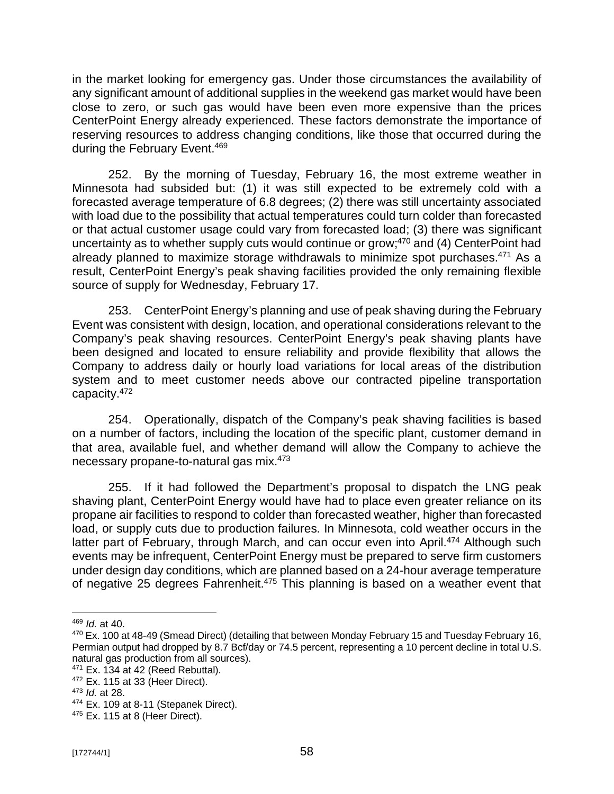in the market looking for emergency gas. Under those circumstances the availability of any significant amount of additional supplies in the weekend gas market would have been close to zero, or such gas would have been even more expensive than the prices CenterPoint Energy already experienced. These factors demonstrate the importance of reserving resources to address changing conditions, like those that occurred during the during the February Event.<sup>469</sup>

252. By the morning of Tuesday, February 16, the most extreme weather in Minnesota had subsided but: (1) it was still expected to be extremely cold with a forecasted average temperature of 6.8 degrees; (2) there was still uncertainty associated with load due to the possibility that actual temperatures could turn colder than forecasted or that actual customer usage could vary from forecasted load; (3) there was significant uncertainty as to whether supply cuts would continue or grow;<sup>470</sup> and (4) CenterPoint had already planned to maximize storage withdrawals to minimize spot purchases.<sup>471</sup> As a result, CenterPoint Energy's peak shaving facilities provided the only remaining flexible source of supply for Wednesday, February 17.

253. CenterPoint Energy's planning and use of peak shaving during the February Event was consistent with design, location, and operational considerations relevant to the Company's peak shaving resources. CenterPoint Energy's peak shaving plants have been designed and located to ensure reliability and provide flexibility that allows the Company to address daily or hourly load variations for local areas of the distribution system and to meet customer needs above our contracted pipeline transportation capacity.<sup>472</sup>

254. Operationally, dispatch of the Company's peak shaving facilities is based on a number of factors, including the location of the specific plant, customer demand in that area, available fuel, and whether demand will allow the Company to achieve the necessary propane-to-natural gas mix.<sup>473</sup>

255. If it had followed the Department's proposal to dispatch the LNG peak shaving plant, CenterPoint Energy would have had to place even greater reliance on its propane air facilities to respond to colder than forecasted weather, higher than forecasted load, or supply cuts due to production failures. In Minnesota, cold weather occurs in the latter part of February, through March, and can occur even into April.<sup>474</sup> Although such events may be infrequent, CenterPoint Energy must be prepared to serve firm customers under design day conditions, which are planned based on a 24-hour average temperature of negative 25 degrees Fahrenheit.<sup>475</sup> This planning is based on a weather event that

<sup>469</sup> *Id.* at 40.

<sup>&</sup>lt;sup>470</sup> Ex. 100 at 48-49 (Smead Direct) (detailing that between Monday February 15 and Tuesday February 16, Permian output had dropped by 8.7 Bcf/day or 74.5 percent, representing a 10 percent decline in total U.S. natural gas production from all sources).

 $471$  Ex. 134 at 42 (Reed Rebuttal).

<sup>472</sup> Ex. 115 at 33 (Heer Direct).

<sup>473</sup> *Id.* at 28.

<sup>&</sup>lt;sup>474</sup> Ex. 109 at 8-11 (Stepanek Direct).

<sup>475</sup> Ex. 115 at 8 (Heer Direct).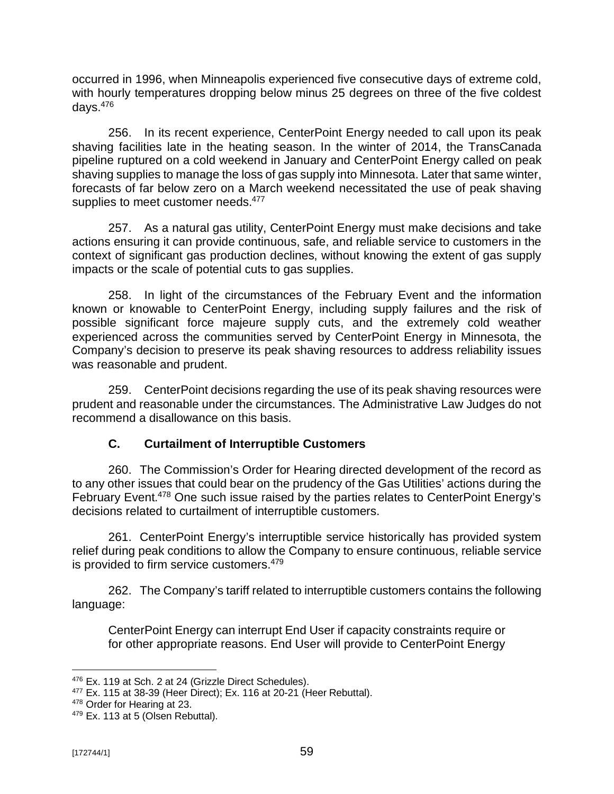occurred in 1996, when Minneapolis experienced five consecutive days of extreme cold, with hourly temperatures dropping below minus 25 degrees on three of the five coldest days.<sup>476</sup>

256. In its recent experience, CenterPoint Energy needed to call upon its peak shaving facilities late in the heating season. In the winter of 2014, the TransCanada pipeline ruptured on a cold weekend in January and CenterPoint Energy called on peak shaving supplies to manage the loss of gas supply into Minnesota. Later that same winter, forecasts of far below zero on a March weekend necessitated the use of peak shaving supplies to meet customer needs.<sup>477</sup>

257. As a natural gas utility, CenterPoint Energy must make decisions and take actions ensuring it can provide continuous, safe, and reliable service to customers in the context of significant gas production declines, without knowing the extent of gas supply impacts or the scale of potential cuts to gas supplies.

258. In light of the circumstances of the February Event and the information known or knowable to CenterPoint Energy, including supply failures and the risk of possible significant force majeure supply cuts, and the extremely cold weather experienced across the communities served by CenterPoint Energy in Minnesota, the Company's decision to preserve its peak shaving resources to address reliability issues was reasonable and prudent.

259. CenterPoint decisions regarding the use of its peak shaving resources were prudent and reasonable under the circumstances. The Administrative Law Judges do not recommend a disallowance on this basis.

# **C. Curtailment of Interruptible Customers**

260. The Commission's Order for Hearing directed development of the record as to any other issues that could bear on the prudency of the Gas Utilities' actions during the February Event.<sup>478</sup> One such issue raised by the parties relates to CenterPoint Energy's decisions related to curtailment of interruptible customers.

261. CenterPoint Energy's interruptible service historically has provided system relief during peak conditions to allow the Company to ensure continuous, reliable service is provided to firm service customers.<sup>479</sup>

262. The Company's tariff related to interruptible customers contains the following language:

CenterPoint Energy can interrupt End User if capacity constraints require or for other appropriate reasons. End User will provide to CenterPoint Energy

<sup>&</sup>lt;sup>476</sup> Ex. 119 at Sch. 2 at 24 (Grizzle Direct Schedules).

<sup>477</sup> Ex. 115 at 38-39 (Heer Direct); Ex. 116 at 20-21 (Heer Rebuttal).

<sup>478</sup> Order for Hearing at 23.

<sup>&</sup>lt;sup>479</sup> Ex. 113 at 5 (Olsen Rebuttal).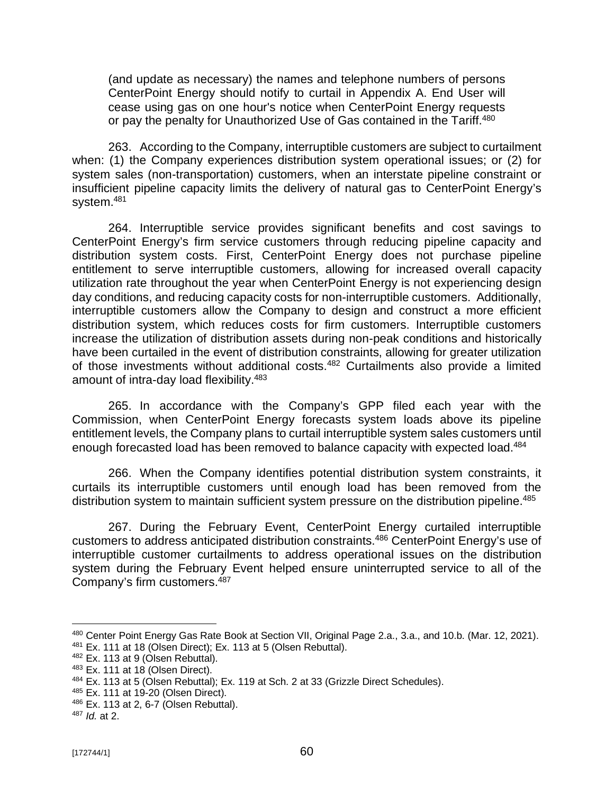(and update as necessary) the names and telephone numbers of persons CenterPoint Energy should notify to curtail in Appendix A. End User will cease using gas on one hour's notice when CenterPoint Energy requests or pay the penalty for Unauthorized Use of Gas contained in the Tariff.<sup>480</sup>

263. According to the Company, interruptible customers are subject to curtailment when: (1) the Company experiences distribution system operational issues; or (2) for system sales (non-transportation) customers, when an interstate pipeline constraint or insufficient pipeline capacity limits the delivery of natural gas to CenterPoint Energy's system.<sup>481</sup>

264. Interruptible service provides significant benefits and cost savings to CenterPoint Energy's firm service customers through reducing pipeline capacity and distribution system costs. First, CenterPoint Energy does not purchase pipeline entitlement to serve interruptible customers, allowing for increased overall capacity utilization rate throughout the year when CenterPoint Energy is not experiencing design day conditions, and reducing capacity costs for non-interruptible customers. Additionally, interruptible customers allow the Company to design and construct a more efficient distribution system, which reduces costs for firm customers. Interruptible customers increase the utilization of distribution assets during non-peak conditions and historically have been curtailed in the event of distribution constraints, allowing for greater utilization of those investments without additional costs.<sup>482</sup> Curtailments also provide a limited amount of intra-day load flexibility.<sup>483</sup>

265. In accordance with the Company's GPP filed each year with the Commission, when CenterPoint Energy forecasts system loads above its pipeline entitlement levels, the Company plans to curtail interruptible system sales customers until enough forecasted load has been removed to balance capacity with expected load.<sup>484</sup>

266. When the Company identifies potential distribution system constraints, it curtails its interruptible customers until enough load has been removed from the distribution system to maintain sufficient system pressure on the distribution pipeline.<sup>485</sup>

267. During the February Event, CenterPoint Energy curtailed interruptible customers to address anticipated distribution constraints.<sup>486</sup> CenterPoint Energy's use of interruptible customer curtailments to address operational issues on the distribution system during the February Event helped ensure uninterrupted service to all of the Company's firm customers. 487

<sup>480</sup> Center Point Energy Gas Rate Book at Section VII, Original Page 2.a., 3.a., and 10.b. (Mar. 12, 2021). <sup>481</sup> Ex. 111 at 18 (Olsen Direct); Ex. 113 at 5 (Olsen Rebuttal).

<sup>482</sup> Ex. 113 at 9 (Olsen Rebuttal).

<sup>483</sup> Ex. 111 at 18 (Olsen Direct).

<sup>484</sup> Ex. 113 at 5 (Olsen Rebuttal); Ex. 119 at Sch. 2 at 33 (Grizzle Direct Schedules).

<sup>485</sup> Ex. 111 at 19-20 (Olsen Direct).

<sup>486</sup> Ex. 113 at 2, 6-7 (Olsen Rebuttal).

<sup>487</sup> *Id.* at 2.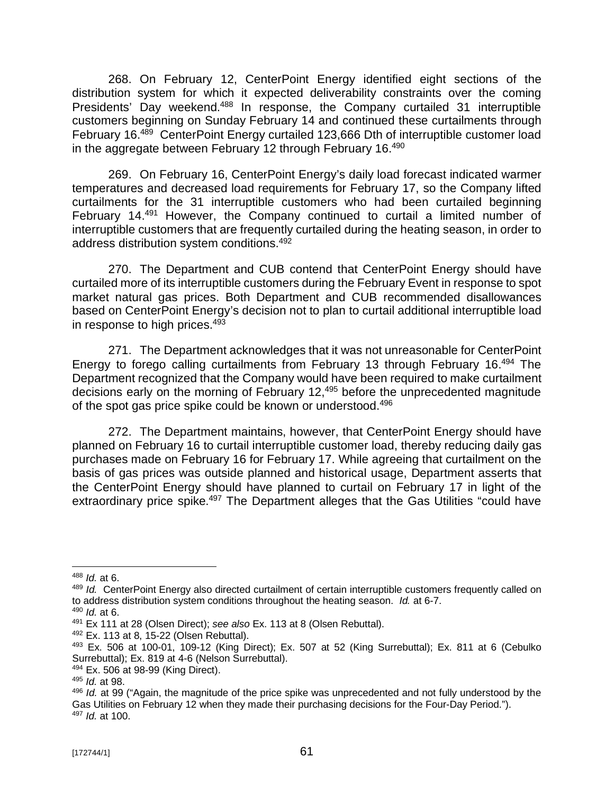268. On February 12, CenterPoint Energy identified eight sections of the distribution system for which it expected deliverability constraints over the coming Presidents' Day weekend.<sup>488</sup> In response, the Company curtailed 31 interruptible customers beginning on Sunday February 14 and continued these curtailments through February 16.<sup>489</sup> CenterPoint Energy curtailed 123,666 Dth of interruptible customer load in the aggregate between February 12 through February 16. $490$ 

269. On February 16, CenterPoint Energy's daily load forecast indicated warmer temperatures and decreased load requirements for February 17, so the Company lifted curtailments for the 31 interruptible customers who had been curtailed beginning February 14.<sup>491</sup> However, the Company continued to curtail a limited number of interruptible customers that are frequently curtailed during the heating season, in order to address distribution system conditions.<sup>492</sup>

270. The Department and CUB contend that CenterPoint Energy should have curtailed more of its interruptible customers during the February Event in response to spot market natural gas prices. Both Department and CUB recommended disallowances based on CenterPoint Energy's decision not to plan to curtail additional interruptible load in response to high prices.<sup>493</sup>

271. The Department acknowledges that it was not unreasonable for CenterPoint Energy to forego calling curtailments from February 13 through February 16. <sup>494</sup> The Department recognized that the Company would have been required to make curtailment decisions early on the morning of February 12,<sup>495</sup> before the unprecedented magnitude of the spot gas price spike could be known or understood.<sup>496</sup>

272. The Department maintains, however, that CenterPoint Energy should have planned on February 16 to curtail interruptible customer load, thereby reducing daily gas purchases made on February 16 for February 17. While agreeing that curtailment on the basis of gas prices was outside planned and historical usage, Department asserts that the CenterPoint Energy should have planned to curtail on February 17 in light of the extraordinary price spike.<sup>497</sup> The Department alleges that the Gas Utilities "could have

<sup>488</sup> *Id.* at 6.

<sup>489</sup> *Id.* CenterPoint Energy also directed curtailment of certain interruptible customers frequently called on to address distribution system conditions throughout the heating season. *Id.* at 6-7.

<sup>490</sup> *Id.* at 6.

<sup>491</sup> Ex 111 at 28 (Olsen Direct); *see also* Ex. 113 at 8 (Olsen Rebuttal).

<sup>492</sup> Ex. 113 at 8, 15-22 (Olsen Rebuttal).

<sup>493</sup> Ex. 506 at 100-01, 109-12 (King Direct); Ex. 507 at 52 (King Surrebuttal); Ex. 811 at 6 (Cebulko Surrebuttal); Ex. 819 at 4-6 (Nelson Surrebuttal).

<sup>494</sup> Ex. 506 at 98-99 (King Direct).

<sup>495</sup> *Id.* at 98.

<sup>496</sup> *Id.* at 99 ("Again, the magnitude of the price spike was unprecedented and not fully understood by the Gas Utilities on February 12 when they made their purchasing decisions for the Four-Day Period."). <sup>497</sup> *Id.* at 100.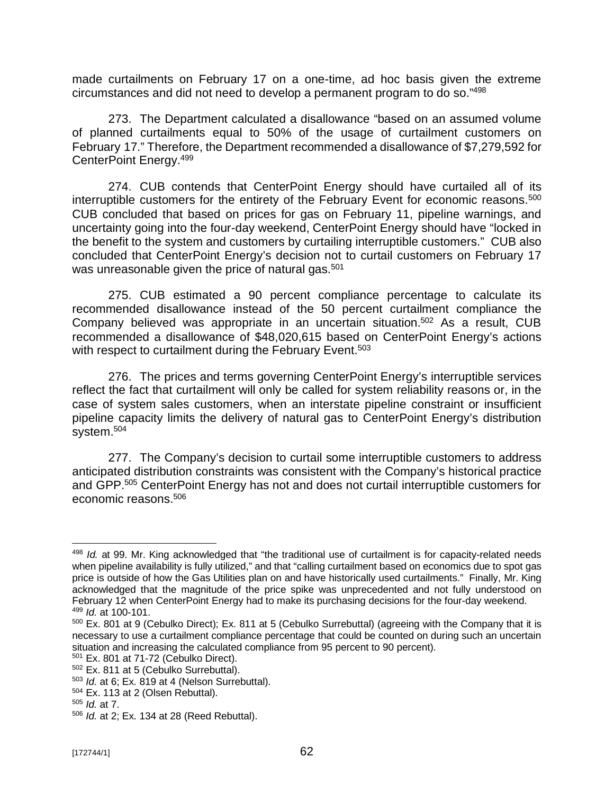made curtailments on February 17 on a one-time, ad hoc basis given the extreme circumstances and did not need to develop a permanent program to do so." 498

273. The Department calculated a disallowance "based on an assumed volume of planned curtailments equal to 50% of the usage of curtailment customers on February 17." Therefore, the Department recommended a disallowance of \$7,279,592 for CenterPoint Energy.<sup>499</sup>

274. CUB contends that CenterPoint Energy should have curtailed all of its interruptible customers for the entirety of the February Event for economic reasons.<sup>500</sup> CUB concluded that based on prices for gas on February 11, pipeline warnings, and uncertainty going into the four-day weekend, CenterPoint Energy should have "locked in the benefit to the system and customers by curtailing interruptible customers." CUB also concluded that CenterPoint Energy's decision not to curtail customers on February 17 was unreasonable given the price of natural gas.<sup>501</sup>

275. CUB estimated a 90 percent compliance percentage to calculate its recommended disallowance instead of the 50 percent curtailment compliance the Company believed was appropriate in an uncertain situation. <sup>502</sup> As a result, CUB recommended a disallowance of \$48,020,615 based on CenterPoint Energy's actions with respect to curtailment during the February Event.<sup>503</sup>

276. The prices and terms governing CenterPoint Energy's interruptible services reflect the fact that curtailment will only be called for system reliability reasons or, in the case of system sales customers, when an interstate pipeline constraint or insufficient pipeline capacity limits the delivery of natural gas to CenterPoint Energy's distribution system.<sup>504</sup>

277. The Company's decision to curtail some interruptible customers to address anticipated distribution constraints was consistent with the Company's historical practice and GPP. <sup>505</sup> CenterPoint Energy has not and does not curtail interruptible customers for economic reasons.<sup>506</sup>

<sup>498</sup> *Id.* at 99. Mr. King acknowledged that "the traditional use of curtailment is for capacity-related needs when pipeline availability is fully utilized," and that "calling curtailment based on economics due to spot gas price is outside of how the Gas Utilities plan on and have historically used curtailments." Finally, Mr. King acknowledged that the magnitude of the price spike was unprecedented and not fully understood on February 12 when CenterPoint Energy had to make its purchasing decisions for the four-day weekend. <sup>499</sup> *Id.* at 100-101.

<sup>500</sup> Ex. 801 at 9 (Cebulko Direct); Ex. 811 at 5 (Cebulko Surrebuttal) (agreeing with the Company that it is necessary to use a curtailment compliance percentage that could be counted on during such an uncertain situation and increasing the calculated compliance from 95 percent to 90 percent).

<sup>501</sup> Ex. 801 at 71-72 (Cebulko Direct).

<sup>502</sup> Ex. 811 at 5 (Cebulko Surrebuttal).

<sup>503</sup> *Id.* at 6; Ex. 819 at 4 (Nelson Surrebuttal).

<sup>504</sup> Ex. 113 at 2 (Olsen Rebuttal).

<sup>505</sup> *Id.* at 7.

<sup>506</sup> *Id.* at 2; Ex. 134 at 28 (Reed Rebuttal).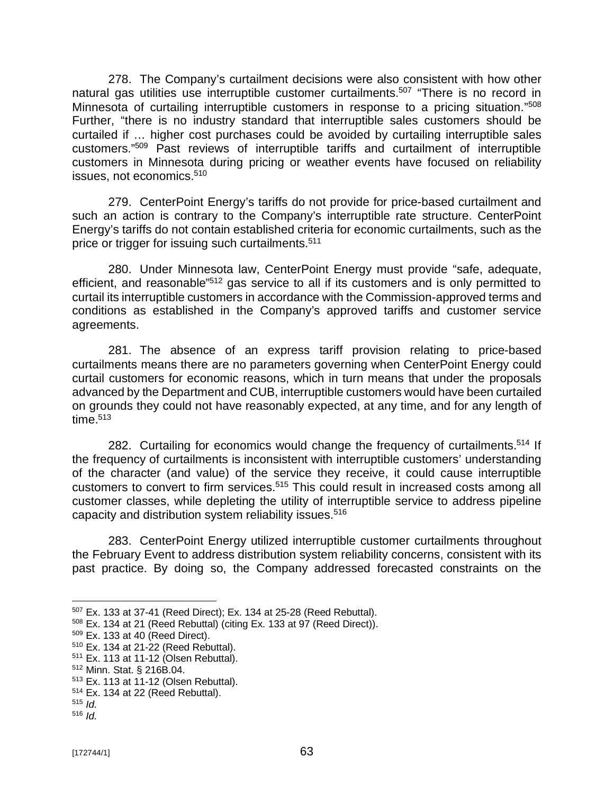278. The Company's curtailment decisions were also consistent with how other natural gas utilities use interruptible customer curtailments.<sup>507</sup> "There is no record in Minnesota of curtailing interruptible customers in response to a pricing situation."<sup>508</sup> Further, "there is no industry standard that interruptible sales customers should be curtailed if … higher cost purchases could be avoided by curtailing interruptible sales customers." <sup>509</sup> Past reviews of interruptible tariffs and curtailment of interruptible customers in Minnesota during pricing or weather events have focused on reliability issues, not economics.<sup>510</sup>

279. CenterPoint Energy's tariffs do not provide for price-based curtailment and such an action is contrary to the Company's interruptible rate structure. CenterPoint Energy's tariffs do not contain established criteria for economic curtailments, such as the price or trigger for issuing such curtailments.<sup>511</sup>

280. Under Minnesota law, CenterPoint Energy must provide "safe, adequate, efficient, and reasonable"<sup>512</sup> gas service to all if its customers and is only permitted to curtail its interruptible customers in accordance with the Commission-approved terms and conditions as established in the Company's approved tariffs and customer service agreements.

281. The absence of an express tariff provision relating to price-based curtailments means there are no parameters governing when CenterPoint Energy could curtail customers for economic reasons, which in turn means that under the proposals advanced by the Department and CUB, interruptible customers would have been curtailed on grounds they could not have reasonably expected, at any time, and for any length of time. $^{\rm 513}$ 

282. Curtailing for economics would change the frequency of curtailments.<sup>514</sup> If the frequency of curtailments is inconsistent with interruptible customers' understanding of the character (and value) of the service they receive, it could cause interruptible customers to convert to firm services.<sup>515</sup> This could result in increased costs among all customer classes, while depleting the utility of interruptible service to address pipeline capacity and distribution system reliability issues.<sup>516</sup>

283. CenterPoint Energy utilized interruptible customer curtailments throughout the February Event to address distribution system reliability concerns, consistent with its past practice. By doing so, the Company addressed forecasted constraints on the

<sup>507</sup> Ex. 133 at 37-41 (Reed Direct); Ex. 134 at 25-28 (Reed Rebuttal).

<sup>508</sup> Ex. 134 at 21 (Reed Rebuttal) (citing Ex. 133 at 97 (Reed Direct)).

<sup>509</sup> Ex. 133 at 40 (Reed Direct).

<sup>510</sup> Ex. 134 at 21-22 (Reed Rebuttal).

<sup>511</sup> Ex. 113 at 11-12 (Olsen Rebuttal).

<sup>512</sup> Minn. Stat. § 216B.04.

<sup>513</sup> Ex. 113 at 11-12 (Olsen Rebuttal).

<sup>514</sup> Ex. 134 at 22 (Reed Rebuttal).

<sup>515</sup> *Id.* <sup>516</sup> *Id.*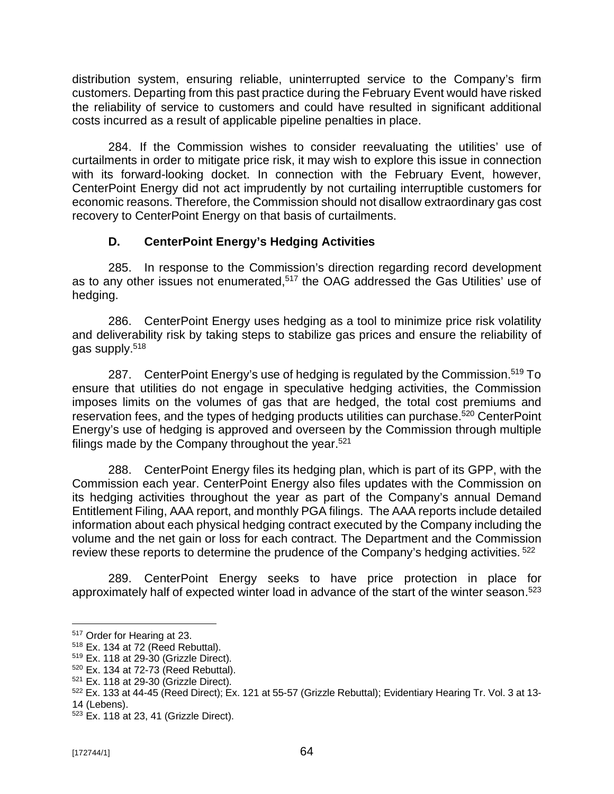distribution system, ensuring reliable, uninterrupted service to the Company's firm customers. Departing from this past practice during the February Event would have risked the reliability of service to customers and could have resulted in significant additional costs incurred as a result of applicable pipeline penalties in place.

284. If the Commission wishes to consider reevaluating the utilities' use of curtailments in order to mitigate price risk, it may wish to explore this issue in connection with its forward-looking docket. In connection with the February Event, however, CenterPoint Energy did not act imprudently by not curtailing interruptible customers for economic reasons. Therefore, the Commission should not disallow extraordinary gas cost recovery to CenterPoint Energy on that basis of curtailments.

## **D. CenterPoint Energy's Hedging Activities**

285. In response to the Commission's direction regarding record development as to any other issues not enumerated,<sup>517</sup> the OAG addressed the Gas Utilities' use of hedging.

286. CenterPoint Energy uses hedging as a tool to minimize price risk volatility and deliverability risk by taking steps to stabilize gas prices and ensure the reliability of gas supply.<sup>518</sup>

287. CenterPoint Energy's use of hedging is regulated by the Commission.<sup>519</sup> To ensure that utilities do not engage in speculative hedging activities, the Commission imposes limits on the volumes of gas that are hedged, the total cost premiums and reservation fees, and the types of hedging products utilities can purchase.<sup>520</sup> CenterPoint Energy's use of hedging is approved and overseen by the Commission through multiple filings made by the Company throughout the year. $521$ 

288. CenterPoint Energy files its hedging plan, which is part of its GPP, with the Commission each year. CenterPoint Energy also files updates with the Commission on its hedging activities throughout the year as part of the Company's annual Demand Entitlement Filing, AAA report, and monthly PGA filings. The AAA reports include detailed information about each physical hedging contract executed by the Company including the volume and the net gain or loss for each contract. The Department and the Commission review these reports to determine the prudence of the Company's hedging activities. <sup>522</sup>

289. CenterPoint Energy seeks to have price protection in place for approximately half of expected winter load in advance of the start of the winter season.<sup>523</sup>

<sup>517</sup> Order for Hearing at 23.

<sup>518</sup> Ex. 134 at 72 (Reed Rebuttal).

<sup>519</sup> Ex. 118 at 29-30 (Grizzle Direct).

<sup>520</sup> Ex. 134 at 72-73 (Reed Rebuttal).

<sup>521</sup> Ex. 118 at 29-30 (Grizzle Direct).

<sup>522</sup> Ex. 133 at 44-45 (Reed Direct); Ex. 121 at 55-57 (Grizzle Rebuttal); Evidentiary Hearing Tr. Vol. 3 at 13- 14 (Lebens).

 $523$  Ex. 118 at 23, 41 (Grizzle Direct).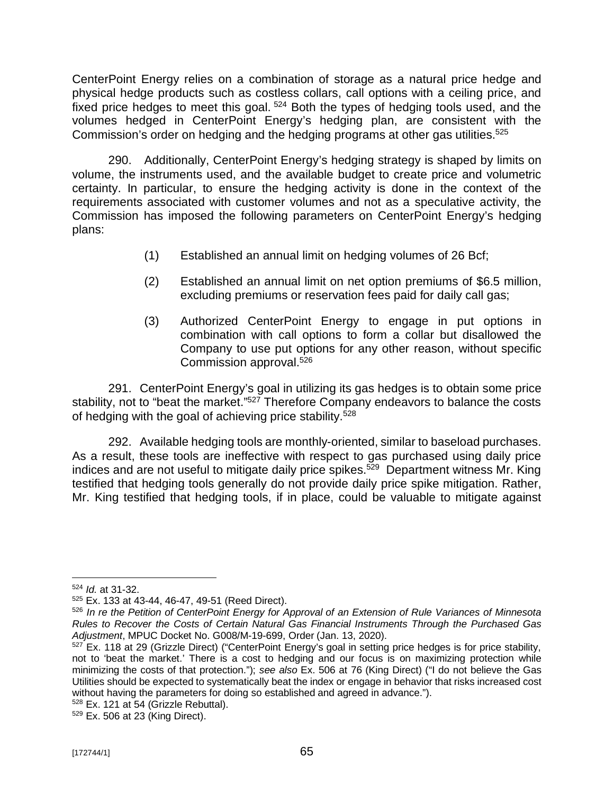CenterPoint Energy relies on a combination of storage as a natural price hedge and physical hedge products such as costless collars, call options with a ceiling price, and fixed price hedges to meet this goal.<sup>524</sup> Both the types of hedging tools used, and the volumes hedged in CenterPoint Energy's hedging plan, are consistent with the Commission's order on hedging and the hedging programs at other gas utilities.<sup>525</sup>

290. Additionally, CenterPoint Energy's hedging strategy is shaped by limits on volume, the instruments used, and the available budget to create price and volumetric certainty. In particular, to ensure the hedging activity is done in the context of the requirements associated with customer volumes and not as a speculative activity, the Commission has imposed the following parameters on CenterPoint Energy's hedging plans:

- (1) Established an annual limit on hedging volumes of 26 Bcf;
- (2) Established an annual limit on net option premiums of \$6.5 million, excluding premiums or reservation fees paid for daily call gas;
- (3) Authorized CenterPoint Energy to engage in put options in combination with call options to form a collar but disallowed the Company to use put options for any other reason, without specific Commission approval.<sup>526</sup>

291. CenterPoint Energy's goal in utilizing its gas hedges is to obtain some price stability, not to "beat the market."<sup>527</sup> Therefore Company endeavors to balance the costs of hedging with the goal of achieving price stability.<sup>528</sup>

292. Available hedging tools are monthly-oriented, similar to baseload purchases. As a result, these tools are ineffective with respect to gas purchased using daily price indices and are not useful to mitigate daily price spikes.<sup>529</sup> Department witness Mr. King testified that hedging tools generally do not provide daily price spike mitigation. Rather, Mr. King testified that hedging tools, if in place, could be valuable to mitigate against

<sup>524</sup> *Id.* at 31-32.

<sup>525</sup> Ex. 133 at 43-44, 46-47, 49-51 (Reed Direct).

<sup>526</sup> *In re the Petition of CenterPoint Energy for Approval of an Extension of Rule Variances of Minnesota Rules to Recover the Costs of Certain Natural Gas Financial Instruments Through the Purchased Gas Adjustment*, MPUC Docket No. G008/M-19-699, Order (Jan. 13, 2020).

 $527$  Ex. 118 at 29 (Grizzle Direct) ("CenterPoint Energy's goal in setting price hedges is for price stability, not to 'beat the market.' There is a cost to hedging and our focus is on maximizing protection while minimizing the costs of that protection."); *see also* Ex. 506 at 76 (King Direct) ("I do not believe the Gas Utilities should be expected to systematically beat the index or engage in behavior that risks increased cost without having the parameters for doing so established and agreed in advance.").

<sup>528</sup> Ex. 121 at 54 (Grizzle Rebuttal).

<sup>529</sup> Ex. 506 at 23 (King Direct).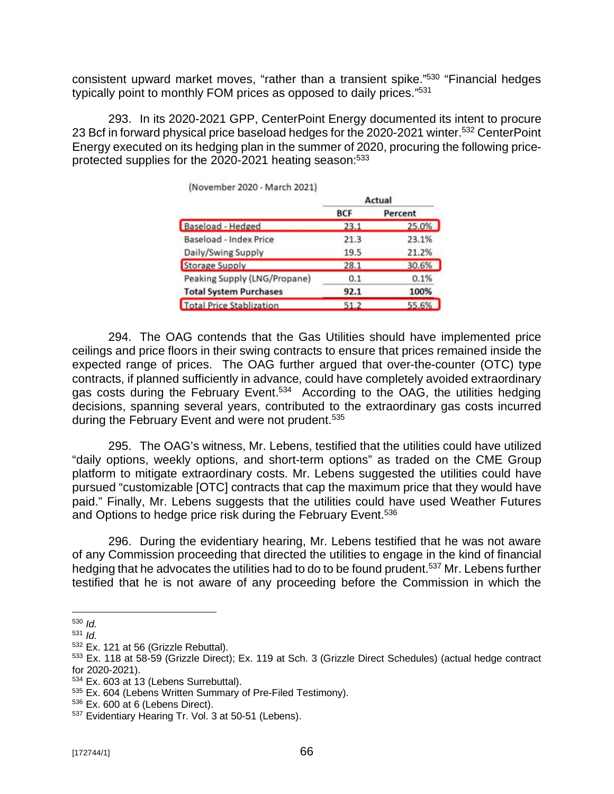consistent upward market moves, "rather than a transient spike."<sup>530</sup> "Financial hedges typically point to monthly FOM prices as opposed to daily prices."<sup>531</sup>

293. In its 2020-2021 GPP, CenterPoint Energy documented its intent to procure 23 Bcf in forward physical price baseload hedges for the 2020-2021 winter.<sup>532</sup> CenterPoint Energy executed on its hedging plan in the summer of 2020, procuring the following priceprotected supplies for the 2020-2021 heating season:<sup>533</sup>

|                                 | Actual     |         |
|---------------------------------|------------|---------|
|                                 | <b>BCF</b> | Percent |
| Baseload - Hedged               | 23.1       | 25.0%   |
| Baseload - Index Price          | 21.3       | 23.1%   |
| Daily/Swing Supply              | 19.5       | 21.2%   |
| <b>Storage Supply</b>           | 28.1       | 30.6%   |
| Peaking Supply (LNG/Propane)    | 0.1        | 0.1%    |
| <b>Total System Purchases</b>   | 92.1       | 100%    |
| <b>Total Price Stablization</b> | 51.2       | 55.6%   |

(November 2020 - March 2021)

294. The OAG contends that the Gas Utilities should have implemented price ceilings and price floors in their swing contracts to ensure that prices remained inside the expected range of prices. The OAG further argued that over-the-counter (OTC) type contracts, if planned sufficiently in advance, could have completely avoided extraordinary gas costs during the February Event.<sup>534</sup> According to the OAG, the utilities hedging decisions, spanning several years, contributed to the extraordinary gas costs incurred during the February Event and were not prudent.<sup>535</sup>

295. The OAG's witness, Mr. Lebens, testified that the utilities could have utilized "daily options, weekly options, and short-term options" as traded on the CME Group platform to mitigate extraordinary costs. Mr. Lebens suggested the utilities could have pursued "customizable [OTC] contracts that cap the maximum price that they would have paid." Finally, Mr. Lebens suggests that the utilities could have used Weather Futures and Options to hedge price risk during the February Event.<sup>536</sup>

296. During the evidentiary hearing, Mr. Lebens testified that he was not aware of any Commission proceeding that directed the utilities to engage in the kind of financial hedging that he advocates the utilities had to do to be found prudent.<sup>537</sup> Mr. Lebens further testified that he is not aware of any proceeding before the Commission in which the

<sup>530</sup> *Id.*

 $531$  *Id.* 

<sup>532</sup> Ex. 121 at 56 (Grizzle Rebuttal).

<sup>533</sup> Ex. 118 at 58-59 (Grizzle Direct); Ex. 119 at Sch. 3 (Grizzle Direct Schedules) (actual hedge contract for 2020-2021).

<sup>534</sup> Ex. 603 at 13 (Lebens Surrebuttal).

<sup>535</sup> Ex. 604 (Lebens Written Summary of Pre-Filed Testimony).

<sup>536</sup> Ex. 600 at 6 (Lebens Direct).

<sup>537</sup> Evidentiary Hearing Tr. Vol. 3 at 50-51 (Lebens).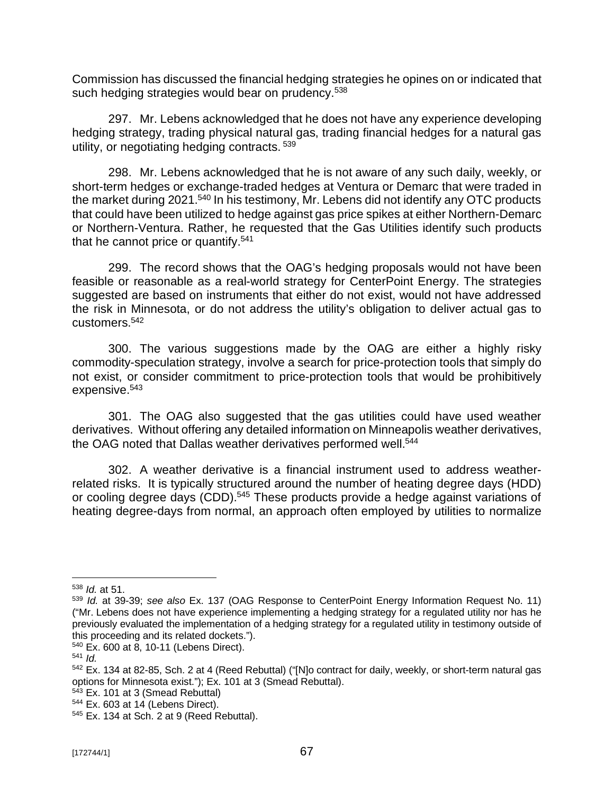Commission has discussed the financial hedging strategies he opines on or indicated that such hedging strategies would bear on prudency.<sup>538</sup>

297. Mr. Lebens acknowledged that he does not have any experience developing hedging strategy, trading physical natural gas, trading financial hedges for a natural gas utility, or negotiating hedging contracts. <sup>539</sup>

298. Mr. Lebens acknowledged that he is not aware of any such daily, weekly, or short-term hedges or exchange-traded hedges at Ventura or Demarc that were traded in the market during 2021.<sup>540</sup> In his testimony, Mr. Lebens did not identify any OTC products that could have been utilized to hedge against gas price spikes at either Northern-Demarc or Northern-Ventura. Rather, he requested that the Gas Utilities identify such products that he cannot price or quantify.<sup>541</sup>

299. The record shows that the OAG's hedging proposals would not have been feasible or reasonable as a real-world strategy for CenterPoint Energy. The strategies suggested are based on instruments that either do not exist, would not have addressed the risk in Minnesota, or do not address the utility's obligation to deliver actual gas to customers.<sup>542</sup>

300. The various suggestions made by the OAG are either a highly risky commodity-speculation strategy, involve a search for price-protection tools that simply do not exist, or consider commitment to price-protection tools that would be prohibitively expensive.<sup>543</sup>

301. The OAG also suggested that the gas utilities could have used weather derivatives. Without offering any detailed information on Minneapolis weather derivatives, the OAG noted that Dallas weather derivatives performed well.<sup>544</sup>

302. A weather derivative is a financial instrument used to address weatherrelated risks. It is typically structured around the number of heating degree days (HDD) or cooling degree days (CDD).<sup>545</sup> These products provide a hedge against variations of heating degree-days from normal, an approach often employed by utilities to normalize

<sup>538</sup> *Id.* at 51.

<sup>539</sup> *Id.* at 39-39; *see also* Ex. 137 (OAG Response to CenterPoint Energy Information Request No. 11) ("Mr. Lebens does not have experience implementing a hedging strategy for a regulated utility nor has he previously evaluated the implementation of a hedging strategy for a regulated utility in testimony outside of this proceeding and its related dockets.").

<sup>540</sup> Ex. 600 at 8, 10-11 (Lebens Direct).

<sup>541</sup> *Id.*

<sup>542</sup> Ex. 134 at 82-85, Sch. 2 at 4 (Reed Rebuttal) ("[N]o contract for daily, weekly, or short-term natural gas options for Minnesota exist."); Ex. 101 at 3 (Smead Rebuttal).

 $543$  Ex. 101 at 3 (Smead Rebuttal)

<sup>544</sup> Ex. 603 at 14 (Lebens Direct).

<sup>545</sup> Ex. 134 at Sch. 2 at 9 (Reed Rebuttal).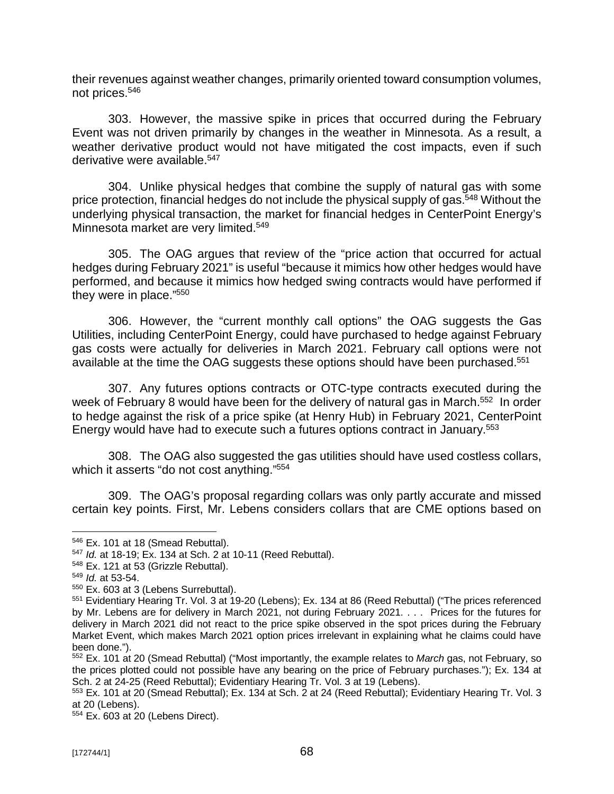their revenues against weather changes, primarily oriented toward consumption volumes, not prices.<sup>546</sup>

303. However, the massive spike in prices that occurred during the February Event was not driven primarily by changes in the weather in Minnesota. As a result, a weather derivative product would not have mitigated the cost impacts, even if such derivative were available.<sup>547</sup>

304. Unlike physical hedges that combine the supply of natural gas with some price protection, financial hedges do not include the physical supply of gas.<sup>548</sup> Without the underlying physical transaction, the market for financial hedges in CenterPoint Energy's Minnesota market are very limited.<sup>549</sup>

305. The OAG argues that review of the "price action that occurred for actual hedges during February 2021" is useful "because it mimics how other hedges would have performed, and because it mimics how hedged swing contracts would have performed if they were in place." 550

306. However, the "current monthly call options" the OAG suggests the Gas Utilities, including CenterPoint Energy, could have purchased to hedge against February gas costs were actually for deliveries in March 2021. February call options were not available at the time the OAG suggests these options should have been purchased.<sup>551</sup>

307. Any futures options contracts or OTC-type contracts executed during the week of February 8 would have been for the delivery of natural gas in March.<sup>552</sup> In order to hedge against the risk of a price spike (at Henry Hub) in February 2021, CenterPoint Energy would have had to execute such a futures options contract in January.<sup>553</sup>

308. The OAG also suggested the gas utilities should have used costless collars, which it asserts "do not cost anything." 554

309. The OAG's proposal regarding collars was only partly accurate and missed certain key points. First, Mr. Lebens considers collars that are CME options based on

<sup>546</sup> Ex. 101 at 18 (Smead Rebuttal).

<sup>547</sup> *Id.* at 18-19; Ex. 134 at Sch. 2 at 10-11 (Reed Rebuttal).

<sup>548</sup> Ex. 121 at 53 (Grizzle Rebuttal).

<sup>549</sup> *Id.* at 53-54.

<sup>550</sup> Ex. 603 at 3 (Lebens Surrebuttal).

<sup>551</sup> Evidentiary Hearing Tr. Vol. 3 at 19-20 (Lebens); Ex. 134 at 86 (Reed Rebuttal) ("The prices referenced by Mr. Lebens are for delivery in March 2021, not during February 2021. . . . Prices for the futures for delivery in March 2021 did not react to the price spike observed in the spot prices during the February Market Event, which makes March 2021 option prices irrelevant in explaining what he claims could have been done.").

<sup>552</sup> Ex. 101 at 20 (Smead Rebuttal) ("Most importantly, the example relates to *March* gas, not February, so the prices plotted could not possible have any bearing on the price of February purchases."); Ex. 134 at Sch. 2 at 24-25 (Reed Rebuttal); Evidentiary Hearing Tr. Vol. 3 at 19 (Lebens).

<sup>553</sup> Ex. 101 at 20 (Smead Rebuttal); Ex. 134 at Sch. 2 at 24 (Reed Rebuttal); Evidentiary Hearing Tr. Vol. 3 at 20 (Lebens).

<sup>554</sup> Ex. 603 at 20 (Lebens Direct).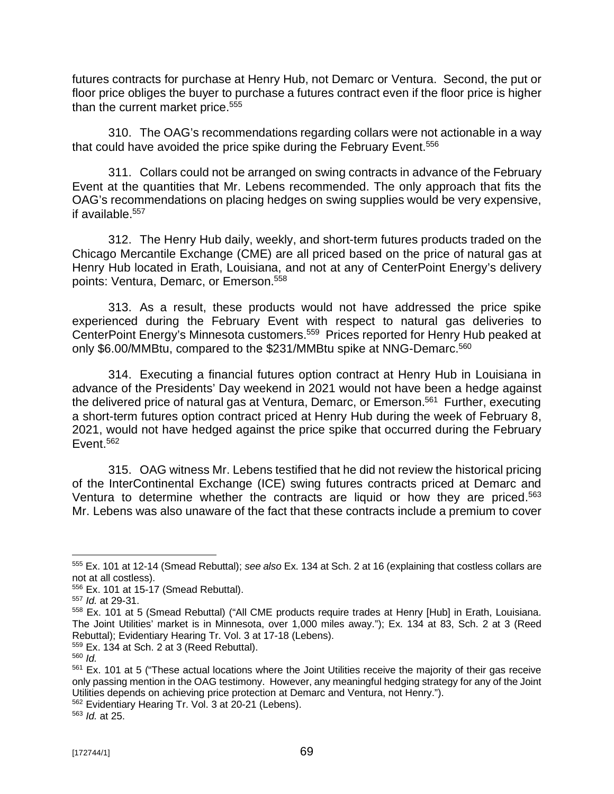futures contracts for purchase at Henry Hub, not Demarc or Ventura. Second, the put or floor price obliges the buyer to purchase a futures contract even if the floor price is higher than the current market price.<sup>555</sup>

310. The OAG's recommendations regarding collars were not actionable in a way that could have avoided the price spike during the February Event.<sup>556</sup>

311. Collars could not be arranged on swing contracts in advance of the February Event at the quantities that Mr. Lebens recommended. The only approach that fits the OAG's recommendations on placing hedges on swing supplies would be very expensive, if available.<sup>557</sup>

312. The Henry Hub daily, weekly, and short-term futures products traded on the Chicago Mercantile Exchange (CME) are all priced based on the price of natural gas at Henry Hub located in Erath, Louisiana, and not at any of CenterPoint Energy's delivery points: Ventura, Demarc, or Emerson.<sup>558</sup>

313. As a result, these products would not have addressed the price spike experienced during the February Event with respect to natural gas deliveries to CenterPoint Energy's Minnesota customers.<sup>559</sup> Prices reported for Henry Hub peaked at only \$6.00/MMBtu, compared to the \$231/MMBtu spike at NNG-Demarc.<sup>560</sup>

314. Executing a financial futures option contract at Henry Hub in Louisiana in advance of the Presidents' Day weekend in 2021 would not have been a hedge against the delivered price of natural gas at Ventura, Demarc, or Emerson.<sup>561</sup> Further, executing a short-term futures option contract priced at Henry Hub during the week of February 8, 2021, would not have hedged against the price spike that occurred during the February Event.<sup>562</sup>

315. OAG witness Mr. Lebens testified that he did not review the historical pricing of the InterContinental Exchange (ICE) swing futures contracts priced at Demarc and Ventura to determine whether the contracts are liquid or how they are priced.<sup>563</sup> Mr. Lebens was also unaware of the fact that these contracts include a premium to cover

<sup>562</sup> Evidentiary Hearing Tr. Vol. 3 at 20-21 (Lebens).

<sup>555</sup> Ex. 101 at 12-14 (Smead Rebuttal); *see also* Ex. 134 at Sch. 2 at 16 (explaining that costless collars are not at all costless).

<sup>556</sup> Ex. 101 at 15-17 (Smead Rebuttal).

<sup>557</sup> *Id.* at 29-31.

<sup>558</sup> Ex. 101 at 5 (Smead Rebuttal) ("All CME products require trades at Henry [Hub] in Erath, Louisiana. The Joint Utilities' market is in Minnesota, over 1,000 miles away."); Ex. 134 at 83, Sch. 2 at 3 (Reed Rebuttal); Evidentiary Hearing Tr. Vol. 3 at 17-18 (Lebens).

 $559$  Ex. 134 at Sch. 2 at 3 (Reed Rebuttal).

<sup>560</sup> *Id.*

<sup>&</sup>lt;sup>561</sup> Ex. 101 at 5 ("These actual locations where the Joint Utilities receive the majority of their gas receive only passing mention in the OAG testimony. However, any meaningful hedging strategy for any of the Joint Utilities depends on achieving price protection at Demarc and Ventura, not Henry.").

<sup>563</sup> *Id.* at 25.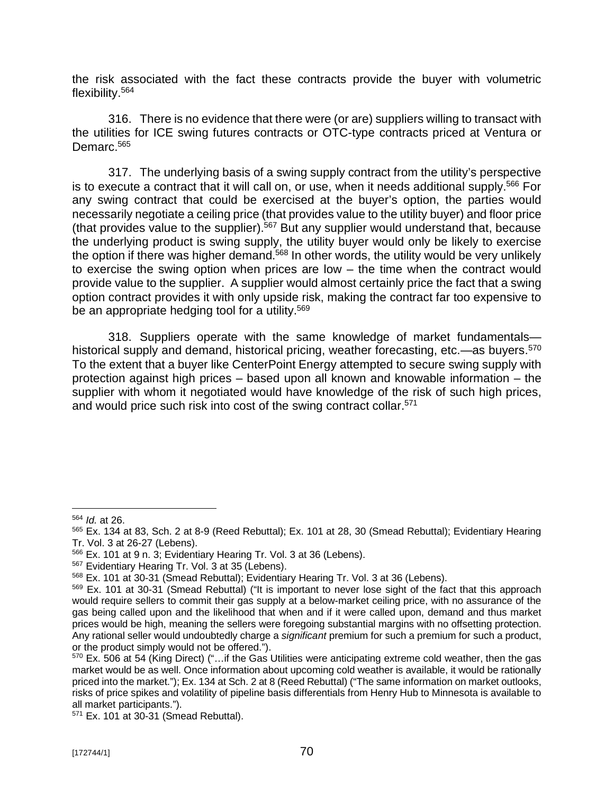the risk associated with the fact these contracts provide the buyer with volumetric flexibility.<sup>564</sup>

316. There is no evidence that there were (or are) suppliers willing to transact with the utilities for ICE swing futures contracts or OTC-type contracts priced at Ventura or Demarc.<sup>565</sup>

317. The underlying basis of a swing supply contract from the utility's perspective is to execute a contract that it will call on, or use, when it needs additional supply.<sup>566</sup> For any swing contract that could be exercised at the buyer's option, the parties would necessarily negotiate a ceiling price (that provides value to the utility buyer) and floor price (that provides value to the supplier). $567$  But any supplier would understand that, because the underlying product is swing supply, the utility buyer would only be likely to exercise the option if there was higher demand.<sup>568</sup> In other words, the utility would be very unlikely to exercise the swing option when prices are low – the time when the contract would provide value to the supplier. A supplier would almost certainly price the fact that a swing option contract provides it with only upside risk, making the contract far too expensive to be an appropriate hedging tool for a utility.<sup>569</sup>

318. Suppliers operate with the same knowledge of market fundamentals historical supply and demand, historical pricing, weather forecasting, etc.—as buyers.<sup>570</sup> To the extent that a buyer like CenterPoint Energy attempted to secure swing supply with protection against high prices – based upon all known and knowable information – the supplier with whom it negotiated would have knowledge of the risk of such high prices, and would price such risk into cost of the swing contract collar.<sup>571</sup>

<sup>564</sup> *Id.* at 26.

<sup>565</sup> Ex. 134 at 83, Sch. 2 at 8-9 (Reed Rebuttal); Ex. 101 at 28, 30 (Smead Rebuttal); Evidentiary Hearing Tr. Vol. 3 at 26-27 (Lebens).

<sup>566</sup> Ex. 101 at 9 n. 3; Evidentiary Hearing Tr. Vol. 3 at 36 (Lebens).

<sup>567</sup> Evidentiary Hearing Tr. Vol. 3 at 35 (Lebens).

<sup>568</sup> Ex. 101 at 30-31 (Smead Rebuttal); Evidentiary Hearing Tr. Vol. 3 at 36 (Lebens).

<sup>569</sup> Ex. 101 at 30-31 (Smead Rebuttal) ("It is important to never lose sight of the fact that this approach would require sellers to commit their gas supply at a below-market ceiling price, with no assurance of the gas being called upon and the likelihood that when and if it were called upon, demand and thus market prices would be high, meaning the sellers were foregoing substantial margins with no offsetting protection. Any rational seller would undoubtedly charge a *significant* premium for such a premium for such a product, or the product simply would not be offered.").

<sup>570</sup> Ex. 506 at 54 (King Direct) ("…if the Gas Utilities were anticipating extreme cold weather, then the gas market would be as well. Once information about upcoming cold weather is available, it would be rationally priced into the market."); Ex. 134 at Sch. 2 at 8 (Reed Rebuttal) ("The same information on market outlooks, risks of price spikes and volatility of pipeline basis differentials from Henry Hub to Minnesota is available to all market participants.").

<sup>571</sup> Ex. 101 at 30-31 (Smead Rebuttal).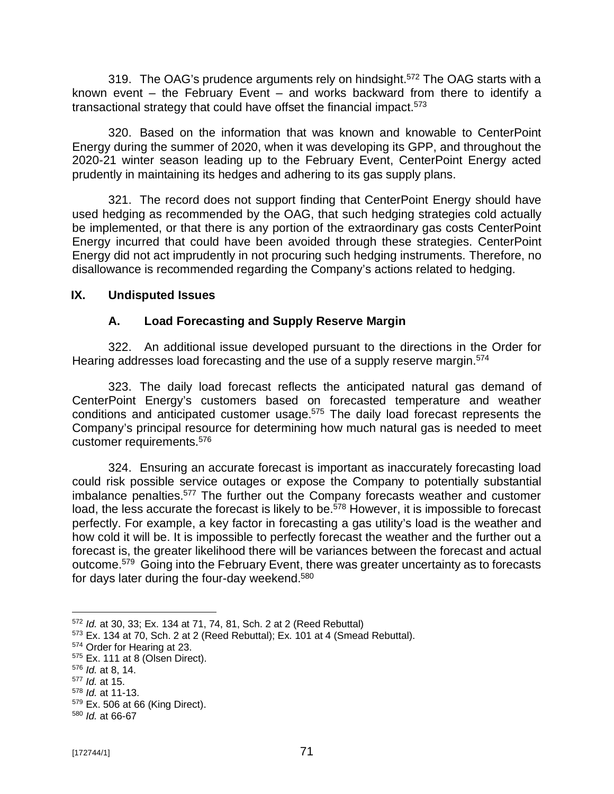319. The OAG's prudence arguments rely on hindsight.<sup>572</sup> The OAG starts with a known event – the February Event – and works backward from there to identify a transactional strategy that could have offset the financial impact.<sup>573</sup>

320. Based on the information that was known and knowable to CenterPoint Energy during the summer of 2020, when it was developing its GPP, and throughout the 2020-21 winter season leading up to the February Event, CenterPoint Energy acted prudently in maintaining its hedges and adhering to its gas supply plans.

321. The record does not support finding that CenterPoint Energy should have used hedging as recommended by the OAG, that such hedging strategies cold actually be implemented, or that there is any portion of the extraordinary gas costs CenterPoint Energy incurred that could have been avoided through these strategies. CenterPoint Energy did not act imprudently in not procuring such hedging instruments. Therefore, no disallowance is recommended regarding the Company's actions related to hedging.

#### **IX. Undisputed Issues**

## **A. Load Forecasting and Supply Reserve Margin**

322. An additional issue developed pursuant to the directions in the Order for Hearing addresses load forecasting and the use of a supply reserve margin.<sup>574</sup>

323. The daily load forecast reflects the anticipated natural gas demand of CenterPoint Energy's customers based on forecasted temperature and weather conditions and anticipated customer usage. <sup>575</sup> The daily load forecast represents the Company's principal resource for determining how much natural gas is needed to meet customer requirements.<sup>576</sup>

324. Ensuring an accurate forecast is important as inaccurately forecasting load could risk possible service outages or expose the Company to potentially substantial imbalance penalties.<sup>577</sup> The further out the Company forecasts weather and customer load, the less accurate the forecast is likely to be.<sup>578</sup> However, it is impossible to forecast perfectly. For example, a key factor in forecasting a gas utility's load is the weather and how cold it will be. It is impossible to perfectly forecast the weather and the further out a forecast is, the greater likelihood there will be variances between the forecast and actual outcome.<sup>579</sup> Going into the February Event, there was greater uncertainty as to forecasts for days later during the four-day weekend.<sup>580</sup>

<sup>572</sup> *Id.* at 30, 33; Ex. 134 at 71, 74, 81, Sch. 2 at 2 (Reed Rebuttal)

<sup>573</sup> Ex. 134 at 70, Sch. 2 at 2 (Reed Rebuttal); Ex. 101 at 4 (Smead Rebuttal).

<sup>574</sup> Order for Hearing at 23.

<sup>575</sup> Ex. 111 at 8 (Olsen Direct).

<sup>576</sup> *Id.* at 8, 14.

<sup>577</sup> *Id.* at 15.

<sup>578</sup> *Id.* at 11-13.

<sup>579</sup> Ex. 506 at 66 (King Direct).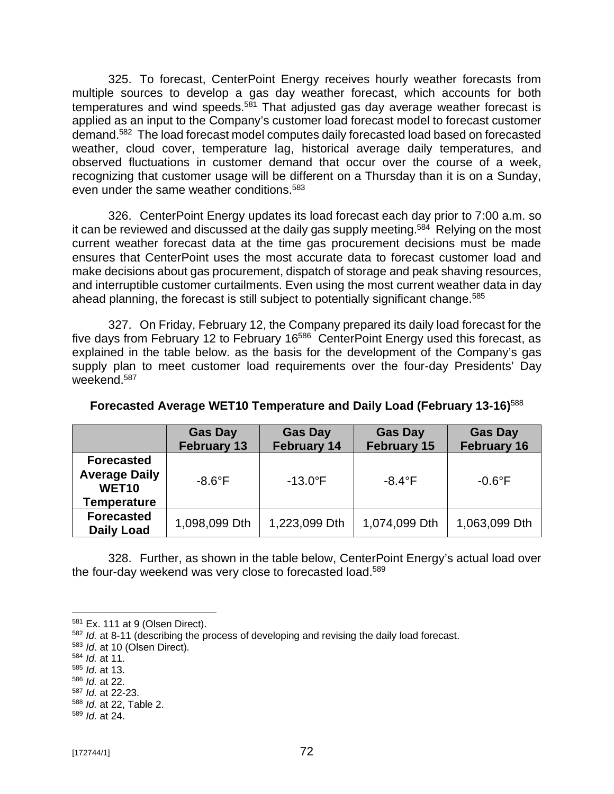325. To forecast, CenterPoint Energy receives hourly weather forecasts from multiple sources to develop a gas day weather forecast, which accounts for both temperatures and wind speeds.<sup>581</sup> That adjusted gas day average weather forecast is applied as an input to the Company's customer load forecast model to forecast customer demand.<sup>582</sup> The load forecast model computes daily forecasted load based on forecasted weather, cloud cover, temperature lag, historical average daily temperatures, and observed fluctuations in customer demand that occur over the course of a week, recognizing that customer usage will be different on a Thursday than it is on a Sunday, even under the same weather conditions.<sup>583</sup>

326. CenterPoint Energy updates its load forecast each day prior to 7:00 a.m. so it can be reviewed and discussed at the daily gas supply meeting.<sup>584</sup> Relying on the most current weather forecast data at the time gas procurement decisions must be made ensures that CenterPoint uses the most accurate data to forecast customer load and make decisions about gas procurement, dispatch of storage and peak shaving resources, and interruptible customer curtailments. Even using the most current weather data in day ahead planning, the forecast is still subject to potentially significant change.<sup>585</sup>

327. On Friday, February 12, the Company prepared its daily load forecast for the five days from February 12 to February 16<sup>586</sup> CenterPoint Energy used this forecast, as explained in the table below. as the basis for the development of the Company's gas supply plan to meet customer load requirements over the four-day Presidents' Day weekend.<sup>587</sup>

|                                                                                      | <b>Gas Day</b><br><b>February 13</b> | <b>Gas Day</b><br><b>February 14</b> | <b>Gas Day</b><br><b>February 15</b> | <b>Gas Day</b><br><b>February 16</b> |
|--------------------------------------------------------------------------------------|--------------------------------------|--------------------------------------|--------------------------------------|--------------------------------------|
| <b>Forecasted</b><br><b>Average Daily</b><br>WET <sub>10</sub><br><b>Temperature</b> | $-8.6^{\circ}$ F                     | $-13.0^{\circ}$ F                    | $-8.4^{\circ}$ F                     | $-0.6^{\circ}$ F                     |
| <b>Forecasted</b><br><b>Daily Load</b>                                               | 1,098,099 Dth                        | 1,223,099 Dth                        | 1,074,099 Dth                        | 1,063,099 Dth                        |

#### **Forecasted Average WET10 Temperature and Daily Load (February 13-16)**<sup>588</sup>

328. Further, as shown in the table below, CenterPoint Energy's actual load over the four-day weekend was very close to forecasted load.<sup>589</sup>

<sup>583</sup> *Id*. at 10 (Olsen Direct).

- <sup>585</sup> *Id.* at 13.
- <sup>586</sup> *Id.* at 22.

<sup>581</sup> Ex. 111 at 9 (Olsen Direct).

<sup>582</sup> *Id.* at 8-11 (describing the process of developing and revising the daily load forecast.

<sup>584</sup> *Id.* at 11.

<sup>587</sup> *Id.* at 22-23.

<sup>588</sup> *Id.* at 22, Table 2.

<sup>589</sup> *Id.* at 24.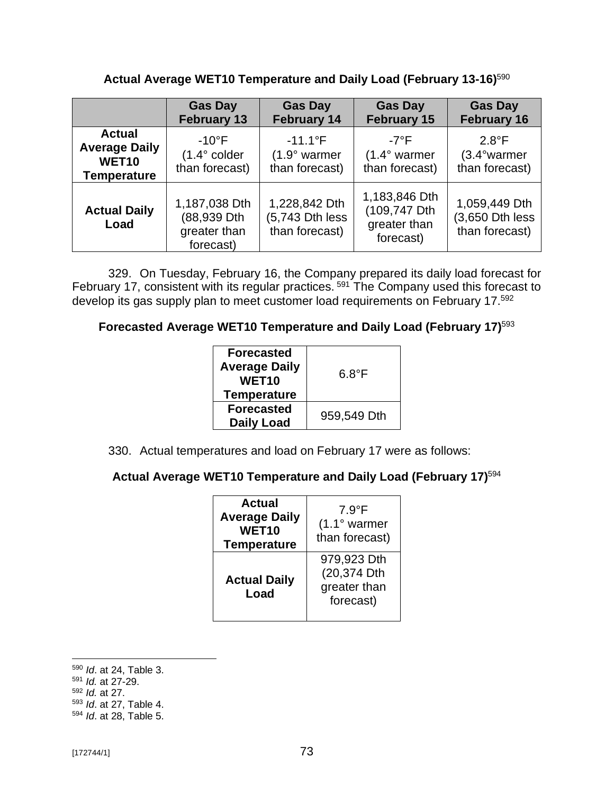**Actual Average WET10 Temperature and Daily Load (February 13-16)**<sup>590</sup>

|                                                                                  | <b>Gas Day</b><br><b>February 13</b>                       | <b>Gas Day</b><br><b>February 14</b>                 | <b>Gas Day</b><br><b>February 15</b>                       | <b>Gas Day</b><br><b>February 16</b>               |
|----------------------------------------------------------------------------------|------------------------------------------------------------|------------------------------------------------------|------------------------------------------------------------|----------------------------------------------------|
| <b>Actual</b><br><b>Average Daily</b><br>WET <sub>10</sub><br><b>Temperature</b> | $-10^{\circ}$ F<br>$(1.4^{\circ}$ colder<br>than forecast) | $-11.1^{\circ}F$<br>$(1.9°$ warmer<br>than forecast) | -7°F<br>$(1.4^{\circ}$ warmer<br>than forecast)            | $2.8^{\circ}F$<br>$(3.4°$ warmer<br>than forecast) |
| <b>Actual Daily</b><br>Load                                                      | 1,187,038 Dth<br>(88,939 Dth<br>greater than<br>forecast)  | 1,228,842 Dth<br>(5,743 Dth less<br>than forecast)   | 1,183,846 Dth<br>(109,747 Dth<br>greater than<br>forecast) | 1,059,449 Dth<br>(3,650 Dth less<br>than forecast) |

329. On Tuesday, February 16, the Company prepared its daily load forecast for February 17, consistent with its regular practices. <sup>591</sup> The Company used this forecast to develop its gas supply plan to meet customer load requirements on February 17.592

## **Forecasted Average WET10 Temperature and Daily Load (February 17)** 593

| <b>Forecasted</b><br><b>Average Daily</b><br>WET <sub>10</sub><br><b>Temperature</b> | 6.8°F       |  |
|--------------------------------------------------------------------------------------|-------------|--|
| <b>Forecasted</b><br><b>Daily Load</b>                                               | 959,549 Dth |  |

330. Actual temperatures and load on February 17 were as follows:

# **Actual Average WET10 Temperature and Daily Load (February 17)** 594

| Actual<br><b>Average Daily</b><br>WET <sub>10</sub><br><b>Temperature</b> | 7.9°F<br>$(1.1°$ warmer<br>than forecast)               |
|---------------------------------------------------------------------------|---------------------------------------------------------|
| <b>Actual Daily</b><br>Load                                               | 979,923 Dth<br>(20,374 Dth<br>greater than<br>forecast) |

<sup>590</sup> *Id*. at 24, Table 3.

<sup>591</sup> *Id.* at 27-29.

<sup>592</sup> *Id.* at 27.

<sup>593</sup> *Id*. at 27, Table 4.

<sup>594</sup> *Id*. at 28, Table 5.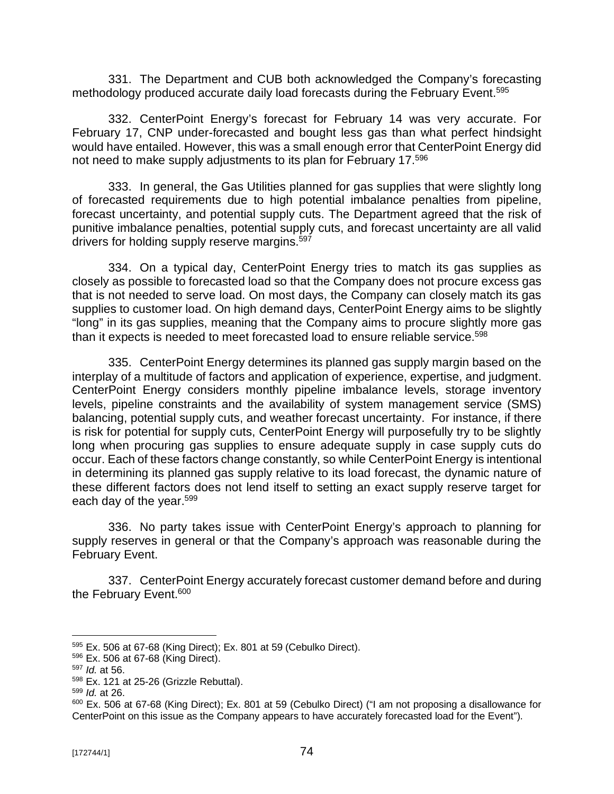331. The Department and CUB both acknowledged the Company's forecasting methodology produced accurate daily load forecasts during the February Event.<sup>595</sup>

332. CenterPoint Energy's forecast for February 14 was very accurate. For February 17, CNP under-forecasted and bought less gas than what perfect hindsight would have entailed. However, this was a small enough error that CenterPoint Energy did not need to make supply adjustments to its plan for February 17.<sup>596</sup>

333. In general, the Gas Utilities planned for gas supplies that were slightly long of forecasted requirements due to high potential imbalance penalties from pipeline, forecast uncertainty, and potential supply cuts. The Department agreed that the risk of punitive imbalance penalties, potential supply cuts, and forecast uncertainty are all valid drivers for holding supply reserve margins.<sup>597</sup>

334. On a typical day, CenterPoint Energy tries to match its gas supplies as closely as possible to forecasted load so that the Company does not procure excess gas that is not needed to serve load. On most days, the Company can closely match its gas supplies to customer load. On high demand days, CenterPoint Energy aims to be slightly "long" in its gas supplies, meaning that the Company aims to procure slightly more gas than it expects is needed to meet forecasted load to ensure reliable service.<sup>598</sup>

335. CenterPoint Energy determines its planned gas supply margin based on the interplay of a multitude of factors and application of experience, expertise, and judgment. CenterPoint Energy considers monthly pipeline imbalance levels, storage inventory levels, pipeline constraints and the availability of system management service (SMS) balancing, potential supply cuts, and weather forecast uncertainty. For instance, if there is risk for potential for supply cuts, CenterPoint Energy will purposefully try to be slightly long when procuring gas supplies to ensure adequate supply in case supply cuts do occur. Each of these factors change constantly, so while CenterPoint Energy is intentional in determining its planned gas supply relative to its load forecast, the dynamic nature of these different factors does not lend itself to setting an exact supply reserve target for each day of the year.<sup>599</sup>

336. No party takes issue with CenterPoint Energy's approach to planning for supply reserves in general or that the Company's approach was reasonable during the February Event.

337. CenterPoint Energy accurately forecast customer demand before and during the February Event.<sup>600</sup>

<sup>595</sup> Ex. 506 at 67-68 (King Direct); Ex. 801 at 59 (Cebulko Direct).

<sup>596</sup> Ex. 506 at 67-68 (King Direct).

<sup>597</sup> *Id.* at 56.

<sup>598</sup> Ex. 121 at 25-26 (Grizzle Rebuttal).

<sup>599</sup> *Id.* at 26.

<sup>&</sup>lt;sup>600</sup> Ex. 506 at 67-68 (King Direct); Ex. 801 at 59 (Cebulko Direct) ("I am not proposing a disallowance for CenterPoint on this issue as the Company appears to have accurately forecasted load for the Event").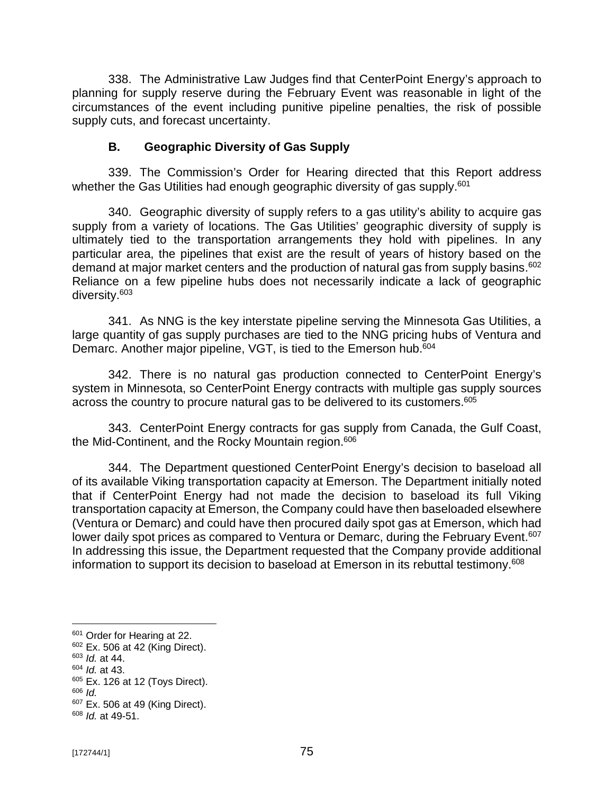338. The Administrative Law Judges find that CenterPoint Energy's approach to planning for supply reserve during the February Event was reasonable in light of the circumstances of the event including punitive pipeline penalties, the risk of possible supply cuts, and forecast uncertainty.

#### **B. Geographic Diversity of Gas Supply**

339. The Commission's Order for Hearing directed that this Report address whether the Gas Utilities had enough geographic diversity of gas supply.<sup>601</sup>

340. Geographic diversity of supply refers to a gas utility's ability to acquire gas supply from a variety of locations. The Gas Utilities' geographic diversity of supply is ultimately tied to the transportation arrangements they hold with pipelines. In any particular area, the pipelines that exist are the result of years of history based on the demand at major market centers and the production of natural gas from supply basins.<sup>602</sup> Reliance on a few pipeline hubs does not necessarily indicate a lack of geographic diversity.<sup>603</sup>

341. As NNG is the key interstate pipeline serving the Minnesota Gas Utilities, a large quantity of gas supply purchases are tied to the NNG pricing hubs of Ventura and Demarc. Another major pipeline, VGT, is tied to the Emerson hub.<sup>604</sup>

342. There is no natural gas production connected to CenterPoint Energy's system in Minnesota, so CenterPoint Energy contracts with multiple gas supply sources across the country to procure natural gas to be delivered to its customers.<sup>605</sup>

343. CenterPoint Energy contracts for gas supply from Canada, the Gulf Coast, the Mid-Continent, and the Rocky Mountain region.<sup>606</sup>

344. The Department questioned CenterPoint Energy's decision to baseload all of its available Viking transportation capacity at Emerson. The Department initially noted that if CenterPoint Energy had not made the decision to baseload its full Viking transportation capacity at Emerson, the Company could have then baseloaded elsewhere (Ventura or Demarc) and could have then procured daily spot gas at Emerson, which had lower daily spot prices as compared to Ventura or Demarc, during the February Event.<sup>607</sup> In addressing this issue, the Department requested that the Company provide additional information to support its decision to baseload at Emerson in its rebuttal testimony.<sup>608</sup>

<sup>&</sup>lt;sup>601</sup> Order for Hearing at 22.

<sup>602</sup> Ex. 506 at 42 (King Direct).

<sup>603</sup> *Id.* at 44.

<sup>604</sup> *Id.* at 43.

<sup>605</sup> Ex. 126 at 12 (Toys Direct).

<sup>606</sup> *Id.*

<sup>&</sup>lt;sup>607</sup> Ex. 506 at 49 (King Direct).

<sup>608</sup> *Id.* at 49-51.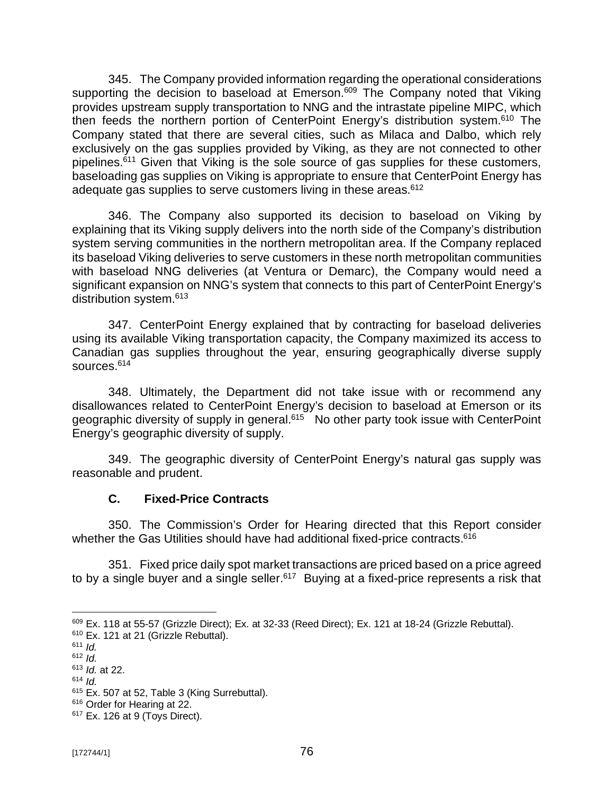345. The Company provided information regarding the operational considerations supporting the decision to baseload at Emerson.<sup>609</sup> The Company noted that Viking provides upstream supply transportation to NNG and the intrastate pipeline MIPC, which then feeds the northern portion of CenterPoint Energy's distribution system.<sup>610</sup> The Company stated that there are several cities, such as Milaca and Dalbo, which rely exclusively on the gas supplies provided by Viking, as they are not connected to other pipelines.<sup>611</sup> Given that Viking is the sole source of gas supplies for these customers, baseloading gas supplies on Viking is appropriate to ensure that CenterPoint Energy has adequate gas supplies to serve customers living in these areas.<sup>612</sup>

346. The Company also supported its decision to baseload on Viking by explaining that its Viking supply delivers into the north side of the Company's distribution system serving communities in the northern metropolitan area. If the Company replaced its baseload Viking deliveries to serve customers in these north metropolitan communities with baseload NNG deliveries (at Ventura or Demarc), the Company would need a significant expansion on NNG's system that connects to this part of CenterPoint Energy's distribution system.<sup>613</sup>

347. CenterPoint Energy explained that by contracting for baseload deliveries using its available Viking transportation capacity, the Company maximized its access to Canadian gas supplies throughout the year, ensuring geographically diverse supply sources.<sup>614</sup>

348. Ultimately, the Department did not take issue with or recommend any disallowances related to CenterPoint Energy's decision to baseload at Emerson or its geographic diversity of supply in general.<sup>615</sup> No other party took issue with CenterPoint Energy's geographic diversity of supply.

349. The geographic diversity of CenterPoint Energy's natural gas supply was reasonable and prudent.

## **C. Fixed-Price Contracts**

350. The Commission's Order for Hearing directed that this Report consider whether the Gas Utilities should have had additional fixed-price contracts. 616

351. Fixed price daily spot market transactions are priced based on a price agreed to by a single buyer and a single seller.<sup>617</sup> Buying at a fixed-price represents a risk that

<sup>609</sup> Ex. 118 at 55-57 (Grizzle Direct); Ex. at 32-33 (Reed Direct); Ex. 121 at 18-24 (Grizzle Rebuttal). <sup>610</sup> Ex. 121 at 21 (Grizzle Rebuttal).

<sup>611</sup> *Id.*

<sup>612</sup> *Id.*

<sup>613</sup> *Id.* at 22.

<sup>614</sup> *Id.*

<sup>615</sup> Ex. 507 at 52, Table 3 (King Surrebuttal).

<sup>&</sup>lt;sup>616</sup> Order for Hearing at 22.

<sup>617</sup> Ex. 126 at 9 (Toys Direct).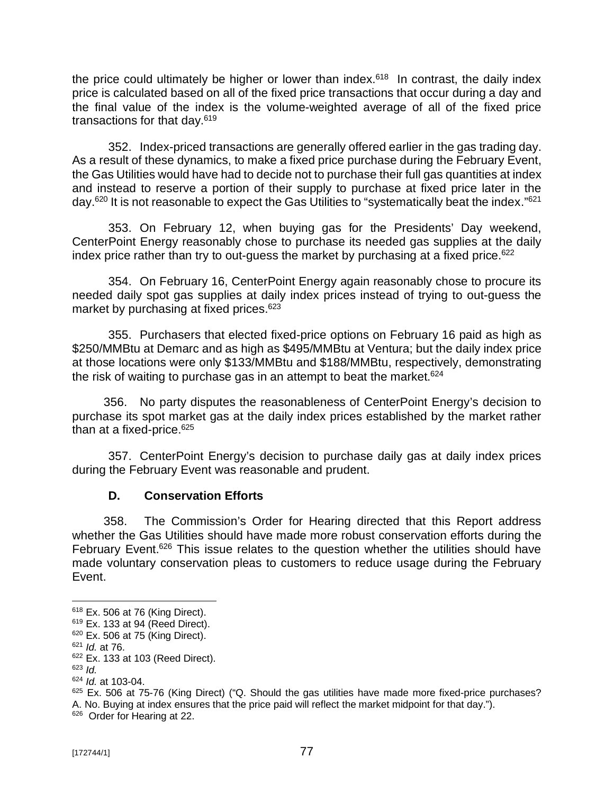the price could ultimately be higher or lower than index.<sup>618</sup> In contrast, the daily index price is calculated based on all of the fixed price transactions that occur during a day and the final value of the index is the volume-weighted average of all of the fixed price transactions for that day.<sup>619</sup>

352. Index-priced transactions are generally offered earlier in the gas trading day. As a result of these dynamics, to make a fixed price purchase during the February Event, the Gas Utilities would have had to decide not to purchase their full gas quantities at index and instead to reserve a portion of their supply to purchase at fixed price later in the day.<sup>620</sup> It is not reasonable to expect the Gas Utilities to "systematically beat the index."<sup>621</sup>

353. On February 12, when buying gas for the Presidents' Day weekend, CenterPoint Energy reasonably chose to purchase its needed gas supplies at the daily index price rather than try to out-quess the market by purchasing at a fixed price.<sup>622</sup>

354. On February 16, CenterPoint Energy again reasonably chose to procure its needed daily spot gas supplies at daily index prices instead of trying to out-guess the market by purchasing at fixed prices.<sup>623</sup>

355. Purchasers that elected fixed-price options on February 16 paid as high as \$250/MMBtu at Demarc and as high as \$495/MMBtu at Ventura; but the daily index price at those locations were only \$133/MMBtu and \$188/MMBtu, respectively, demonstrating the risk of waiting to purchase gas in an attempt to beat the market. $624$ 

356. No party disputes the reasonableness of CenterPoint Energy's decision to purchase its spot market gas at the daily index prices established by the market rather than at a fixed-price.<sup>625</sup>

357. CenterPoint Energy's decision to purchase daily gas at daily index prices during the February Event was reasonable and prudent.

## **D. Conservation Efforts**

358. The Commission's Order for Hearing directed that this Report address whether the Gas Utilities should have made more robust conservation efforts during the February Event.<sup>626</sup> This issue relates to the question whether the utilities should have made voluntary conservation pleas to customers to reduce usage during the February Event.

<sup>618</sup> Ex. 506 at 76 (King Direct).

<sup>619</sup> Ex. 133 at 94 (Reed Direct).

<sup>620</sup> Ex. 506 at 75 (King Direct).

<sup>621</sup> *Id.* at 76.

<sup>622</sup> Ex. 133 at 103 (Reed Direct).

<sup>623</sup> *Id.*

<sup>624</sup> *Id.* at 103-04.

 $625$  Ex. 506 at 75-76 (King Direct) ("Q. Should the gas utilities have made more fixed-price purchases? A. No. Buying at index ensures that the price paid will reflect the market midpoint for that day.").

<sup>&</sup>lt;sup>626</sup> Order for Hearing at 22.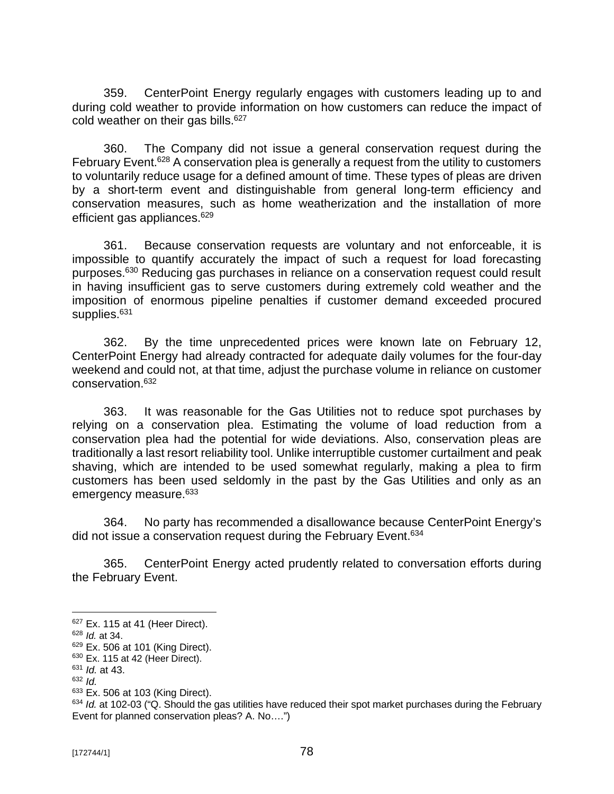359. CenterPoint Energy regularly engages with customers leading up to and during cold weather to provide information on how customers can reduce the impact of cold weather on their gas bills.<sup>627</sup>

360. The Company did not issue a general conservation request during the February Event.<sup>628</sup> A conservation plea is generally a request from the utility to customers to voluntarily reduce usage for a defined amount of time. These types of pleas are driven by a short-term event and distinguishable from general long-term efficiency and conservation measures, such as home weatherization and the installation of more efficient gas appliances.<sup>629</sup>

361. Because conservation requests are voluntary and not enforceable, it is impossible to quantify accurately the impact of such a request for load forecasting purposes.<sup>630</sup> Reducing gas purchases in reliance on a conservation request could result in having insufficient gas to serve customers during extremely cold weather and the imposition of enormous pipeline penalties if customer demand exceeded procured supplies.<sup>631</sup>

362. By the time unprecedented prices were known late on February 12, CenterPoint Energy had already contracted for adequate daily volumes for the four-day weekend and could not, at that time, adjust the purchase volume in reliance on customer conservation.<sup>632</sup>

363. It was reasonable for the Gas Utilities not to reduce spot purchases by relying on a conservation plea. Estimating the volume of load reduction from a conservation plea had the potential for wide deviations. Also, conservation pleas are traditionally a last resort reliability tool. Unlike interruptible customer curtailment and peak shaving, which are intended to be used somewhat regularly, making a plea to firm customers has been used seldomly in the past by the Gas Utilities and only as an emergency measure.<sup>633</sup>

364. No party has recommended a disallowance because CenterPoint Energy's did not issue a conservation request during the February Event.<sup>634</sup>

365. CenterPoint Energy acted prudently related to conversation efforts during the February Event.

<sup>628</sup> *Id.* at 34.

<sup>627</sup> Ex. 115 at 41 (Heer Direct).

<sup>629</sup> Ex. 506 at 101 (King Direct).

 $630$  Ex. 115 at 42 (Heer Direct).

<sup>631</sup> *Id.* at 43.

<sup>632</sup> *Id.*

<sup>633</sup> Ex. 506 at 103 (King Direct).

<sup>&</sup>lt;sup>634</sup> *Id.* at 102-03 ("Q. Should the gas utilities have reduced their spot market purchases during the February Event for planned conservation pleas? A. No….")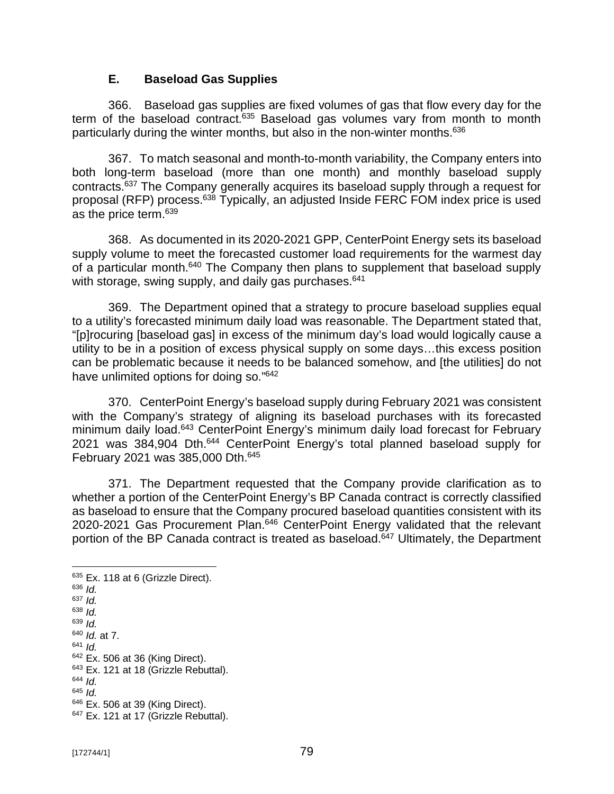#### **E. Baseload Gas Supplies**

366. Baseload gas supplies are fixed volumes of gas that flow every day for the term of the baseload contract. $635$  Baseload gas volumes vary from month to month particularly during the winter months, but also in the non-winter months.<sup>636</sup>

367. To match seasonal and month-to-month variability, the Company enters into both long-term baseload (more than one month) and monthly baseload supply contracts.<sup>637</sup> The Company generally acquires its baseload supply through a request for proposal (RFP) process.<sup>638</sup> Typically, an adjusted Inside FERC FOM index price is used as the price term.<sup>639</sup>

368. As documented in its 2020-2021 GPP, CenterPoint Energy sets its baseload supply volume to meet the forecasted customer load requirements for the warmest day of a particular month.<sup>640</sup> The Company then plans to supplement that baseload supply with storage, swing supply, and daily gas purchases.<sup>641</sup>

369. The Department opined that a strategy to procure baseload supplies equal to a utility's forecasted minimum daily load was reasonable. The Department stated that, "[p]rocuring [baseload gas] in excess of the minimum day's load would logically cause a utility to be in a position of excess physical supply on some days…this excess position can be problematic because it needs to be balanced somehow, and [the utilities] do not have unlimited options for doing so."<sup>642</sup>

370. CenterPoint Energy's baseload supply during February 2021 was consistent with the Company's strategy of aligning its baseload purchases with its forecasted minimum daily load.<sup>643</sup> CenterPoint Energy's minimum daily load forecast for February 2021 was 384,904 Dth.<sup>644</sup> CenterPoint Energy's total planned baseload supply for February 2021 was 385,000 Dth.<sup>645</sup>

371. The Department requested that the Company provide clarification as to whether a portion of the CenterPoint Energy's BP Canada contract is correctly classified as baseload to ensure that the Company procured baseload quantities consistent with its 2020-2021 Gas Procurement Plan.<sup>646</sup> CenterPoint Energy validated that the relevant portion of the BP Canada contract is treated as baseload.<sup>647</sup> Ultimately, the Department

<sup>635</sup> Ex. 118 at 6 (Grizzle Direct). <sup>636</sup> *Id.* <sup>637</sup> *Id.* <sup>638</sup> *Id.* <sup>639</sup> *Id.* <sup>640</sup> *Id.* at 7. <sup>641</sup> *Id.* <sup>642</sup> Ex. 506 at 36 (King Direct). <sup>643</sup> Ex. 121 at 18 (Grizzle Rebuttal). <sup>644</sup> *Id.* <sup>645</sup> *Id.*

<sup>646</sup> Ex. 506 at 39 (King Direct). <sup>647</sup> Ex. 121 at 17 (Grizzle Rebuttal).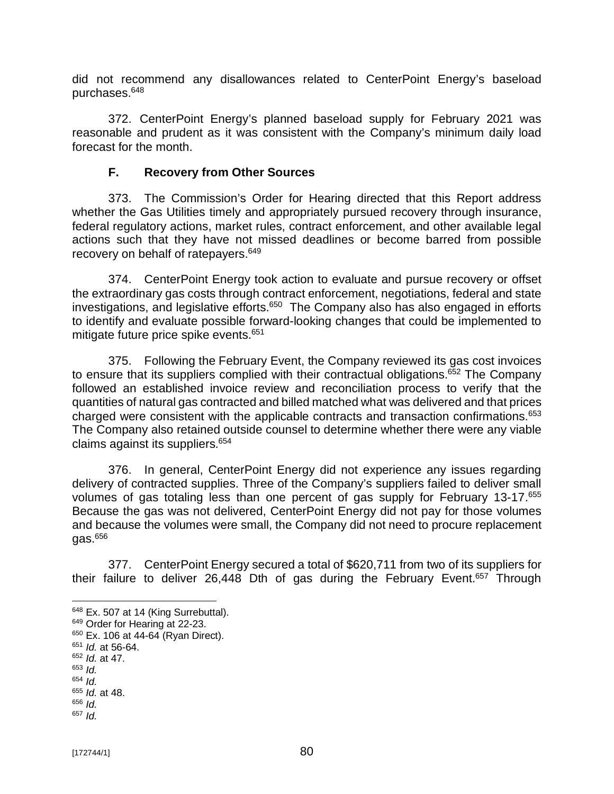did not recommend any disallowances related to CenterPoint Energy's baseload purchases.<sup>648</sup>

372. CenterPoint Energy's planned baseload supply for February 2021 was reasonable and prudent as it was consistent with the Company's minimum daily load forecast for the month.

#### **F. Recovery from Other Sources**

373. The Commission's Order for Hearing directed that this Report address whether the Gas Utilities timely and appropriately pursued recovery through insurance, federal regulatory actions, market rules, contract enforcement, and other available legal actions such that they have not missed deadlines or become barred from possible recovery on behalf of ratepayers.<sup>649</sup>

374. CenterPoint Energy took action to evaluate and pursue recovery or offset the extraordinary gas costs through contract enforcement, negotiations, federal and state investigations, and legislative efforts.<sup>650</sup> The Company also has also engaged in efforts to identify and evaluate possible forward-looking changes that could be implemented to mitigate future price spike events.<sup>651</sup>

375. Following the February Event, the Company reviewed its gas cost invoices to ensure that its suppliers complied with their contractual obligations.<sup>652</sup> The Company followed an established invoice review and reconciliation process to verify that the quantities of natural gas contracted and billed matched what was delivered and that prices charged were consistent with the applicable contracts and transaction confirmations.<sup>653</sup> The Company also retained outside counsel to determine whether there were any viable claims against its suppliers.<sup>654</sup>

376. In general, CenterPoint Energy did not experience any issues regarding delivery of contracted supplies. Three of the Company's suppliers failed to deliver small volumes of gas totaling less than one percent of gas supply for February 13-17.<sup>655</sup> Because the gas was not delivered, CenterPoint Energy did not pay for those volumes and because the volumes were small, the Company did not need to procure replacement  $gas.<sup>656</sup>$ 

377. CenterPoint Energy secured a total of \$620,711 from two of its suppliers for their failure to deliver 26,448 Dth of gas during the February Event.<sup>657</sup> Through

<sup>&</sup>lt;sup>648</sup> Ex. 507 at 14 (King Surrebuttal).

<sup>649</sup> Order for Hearing at 22-23.

<sup>&</sup>lt;sup>650</sup> Ex. 106 at 44-64 (Ryan Direct).

<sup>651</sup> *Id.* at 56-64.

<sup>652</sup> *Id.* at 47.

<sup>653</sup> *Id.*

<sup>654</sup> *Id.* <sup>655</sup> *Id.* at 48.

<sup>656</sup> *Id.*

<sup>657</sup> *Id.*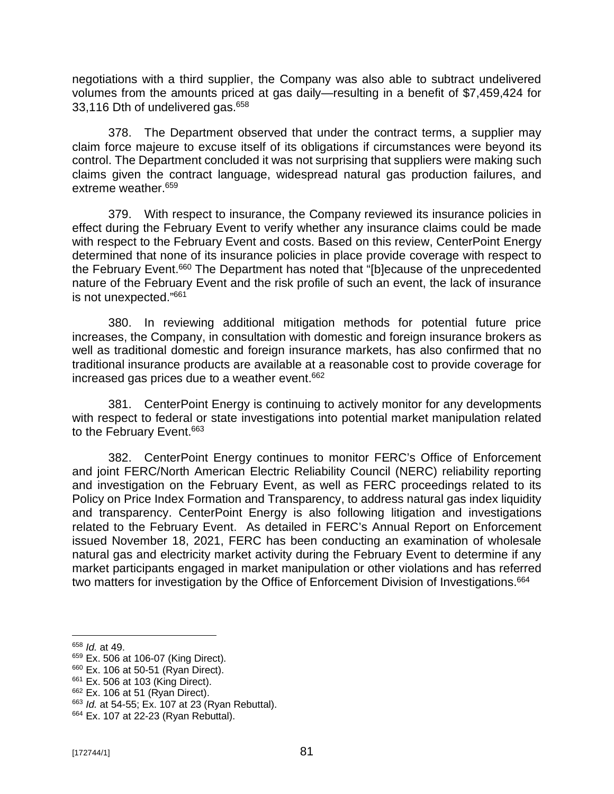negotiations with a third supplier, the Company was also able to subtract undelivered volumes from the amounts priced at gas daily—resulting in a benefit of \$7,459,424 for 33,116 Dth of undelivered gas.<sup>658</sup>

378. The Department observed that under the contract terms, a supplier may claim force majeure to excuse itself of its obligations if circumstances were beyond its control. The Department concluded it was not surprising that suppliers were making such claims given the contract language, widespread natural gas production failures, and extreme weather.<sup>659</sup>

379. With respect to insurance, the Company reviewed its insurance policies in effect during the February Event to verify whether any insurance claims could be made with respect to the February Event and costs. Based on this review, CenterPoint Energy determined that none of its insurance policies in place provide coverage with respect to the February Event.<sup>660</sup> The Department has noted that "[b]ecause of the unprecedented nature of the February Event and the risk profile of such an event, the lack of insurance is not unexpected." 661

380. In reviewing additional mitigation methods for potential future price increases, the Company, in consultation with domestic and foreign insurance brokers as well as traditional domestic and foreign insurance markets, has also confirmed that no traditional insurance products are available at a reasonable cost to provide coverage for increased gas prices due to a weather event. $662$ 

381. CenterPoint Energy is continuing to actively monitor for any developments with respect to federal or state investigations into potential market manipulation related to the February Event.<sup>663</sup>

382. CenterPoint Energy continues to monitor FERC's Office of Enforcement and joint FERC/North American Electric Reliability Council (NERC) reliability reporting and investigation on the February Event, as well as FERC proceedings related to its Policy on Price Index Formation and Transparency, to address natural gas index liquidity and transparency. CenterPoint Energy is also following litigation and investigations related to the February Event. As detailed in FERC's Annual Report on Enforcement issued November 18, 2021, FERC has been conducting an examination of wholesale natural gas and electricity market activity during the February Event to determine if any market participants engaged in market manipulation or other violations and has referred two matters for investigation by the Office of Enforcement Division of Investigations.<sup>664</sup>

<sup>658</sup> *Id.* at 49.

<sup>659</sup> Ex. 506 at 106-07 (King Direct).

<sup>660</sup> Ex. 106 at 50-51 (Ryan Direct).

<sup>661</sup> Ex. 506 at 103 (King Direct).

<sup>662</sup> Ex. 106 at 51 (Ryan Direct).

<sup>663</sup> *Id.* at 54-55; Ex. 107 at 23 (Ryan Rebuttal).

<sup>664</sup> Ex. 107 at 22-23 (Ryan Rebuttal).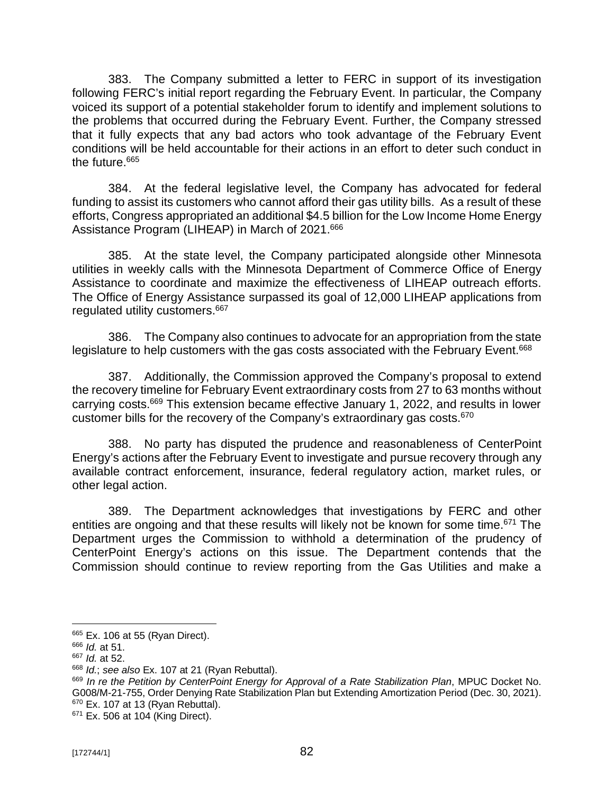383. The Company submitted a letter to FERC in support of its investigation following FERC's initial report regarding the February Event. In particular, the Company voiced its support of a potential stakeholder forum to identify and implement solutions to the problems that occurred during the February Event. Further, the Company stressed that it fully expects that any bad actors who took advantage of the February Event conditions will be held accountable for their actions in an effort to deter such conduct in the future.<sup>665</sup>

384. At the federal legislative level, the Company has advocated for federal funding to assist its customers who cannot afford their gas utility bills. As a result of these efforts, Congress appropriated an additional \$4.5 billion for the Low Income Home Energy Assistance Program (LIHEAP) in March of 2021.<sup>666</sup>

385. At the state level, the Company participated alongside other Minnesota utilities in weekly calls with the Minnesota Department of Commerce Office of Energy Assistance to coordinate and maximize the effectiveness of LIHEAP outreach efforts. The Office of Energy Assistance surpassed its goal of 12,000 LIHEAP applications from regulated utility customers.<sup>667</sup>

386. The Company also continues to advocate for an appropriation from the state legislature to help customers with the gas costs associated with the February Event.<sup>668</sup>

387. Additionally, the Commission approved the Company's proposal to extend the recovery timeline for February Event extraordinary costs from 27 to 63 months without carrying costs.<sup>669</sup> This extension became effective January 1, 2022, and results in lower customer bills for the recovery of the Company's extraordinary gas costs.<sup>670</sup>

388. No party has disputed the prudence and reasonableness of CenterPoint Energy's actions after the February Event to investigate and pursue recovery through any available contract enforcement, insurance, federal regulatory action, market rules, or other legal action.

389. The Department acknowledges that investigations by FERC and other entities are ongoing and that these results will likely not be known for some time.<sup>671</sup> The Department urges the Commission to withhold a determination of the prudency of CenterPoint Energy's actions on this issue. The Department contends that the Commission should continue to review reporting from the Gas Utilities and make a

<sup>&</sup>lt;sup>665</sup> Ex. 106 at 55 (Ryan Direct).

<sup>666</sup> *Id.* at 51.

<sup>667</sup> *Id.* at 52.

<sup>668</sup> *Id.*; *see also* Ex. 107 at 21 (Ryan Rebuttal).

<sup>669</sup> *In re the Petition by CenterPoint Energy for Approval of a Rate Stabilization Plan*, MPUC Docket No. G008/M-21-755, Order Denying Rate Stabilization Plan but Extending Amortization Period (Dec. 30, 2021).  $670$  Ex. 107 at 13 (Ryan Rebuttal).

<sup>&</sup>lt;sup>671</sup> Ex. 506 at 104 (King Direct).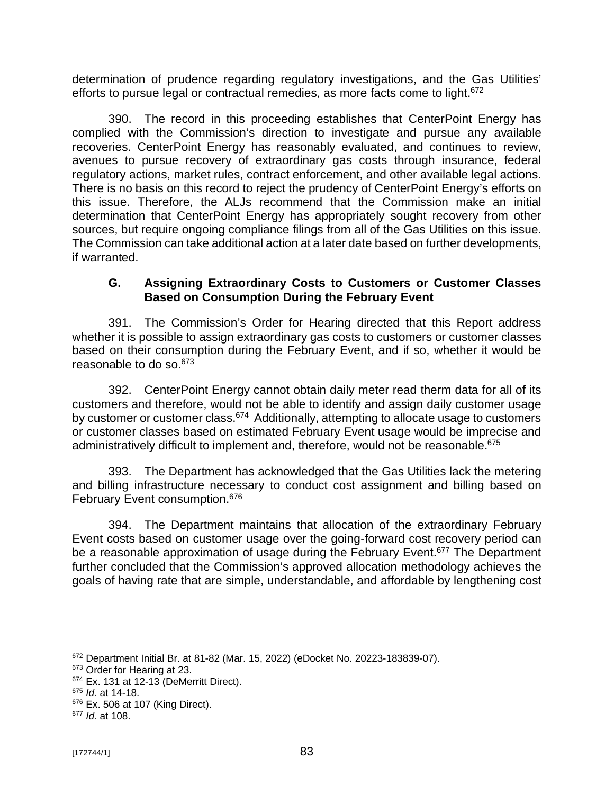determination of prudence regarding regulatory investigations, and the Gas Utilities' efforts to pursue legal or contractual remedies, as more facts come to light.<sup>672</sup>

390. The record in this proceeding establishes that CenterPoint Energy has complied with the Commission's direction to investigate and pursue any available recoveries. CenterPoint Energy has reasonably evaluated, and continues to review, avenues to pursue recovery of extraordinary gas costs through insurance, federal regulatory actions, market rules, contract enforcement, and other available legal actions. There is no basis on this record to reject the prudency of CenterPoint Energy's efforts on this issue. Therefore, the ALJs recommend that the Commission make an initial determination that CenterPoint Energy has appropriately sought recovery from other sources, but require ongoing compliance filings from all of the Gas Utilities on this issue. The Commission can take additional action at a later date based on further developments, if warranted.

#### **G. Assigning Extraordinary Costs to Customers or Customer Classes Based on Consumption During the February Event**

391. The Commission's Order for Hearing directed that this Report address whether it is possible to assign extraordinary gas costs to customers or customer classes based on their consumption during the February Event, and if so, whether it would be reasonable to do so.<sup>673</sup>

392. CenterPoint Energy cannot obtain daily meter read therm data for all of its customers and therefore, would not be able to identify and assign daily customer usage by customer or customer class.<sup>674</sup> Additionally, attempting to allocate usage to customers or customer classes based on estimated February Event usage would be imprecise and administratively difficult to implement and, therefore, would not be reasonable. 675

393. The Department has acknowledged that the Gas Utilities lack the metering and billing infrastructure necessary to conduct cost assignment and billing based on February Event consumption.<sup>676</sup>

394. The Department maintains that allocation of the extraordinary February Event costs based on customer usage over the going-forward cost recovery period can be a reasonable approximation of usage during the February Event.<sup>677</sup> The Department further concluded that the Commission's approved allocation methodology achieves the goals of having rate that are simple, understandable, and affordable by lengthening cost

<sup>672</sup> Department Initial Br. at 81-82 (Mar. 15, 2022) (eDocket No. 20223-183839-07).

<sup>&</sup>lt;sup>673</sup> Order for Hearing at 23.

<sup>674</sup> Ex. 131 at 12-13 (DeMerritt Direct).

<sup>675</sup> *Id.* at 14-18.

<sup>676</sup> Ex. 506 at 107 (King Direct).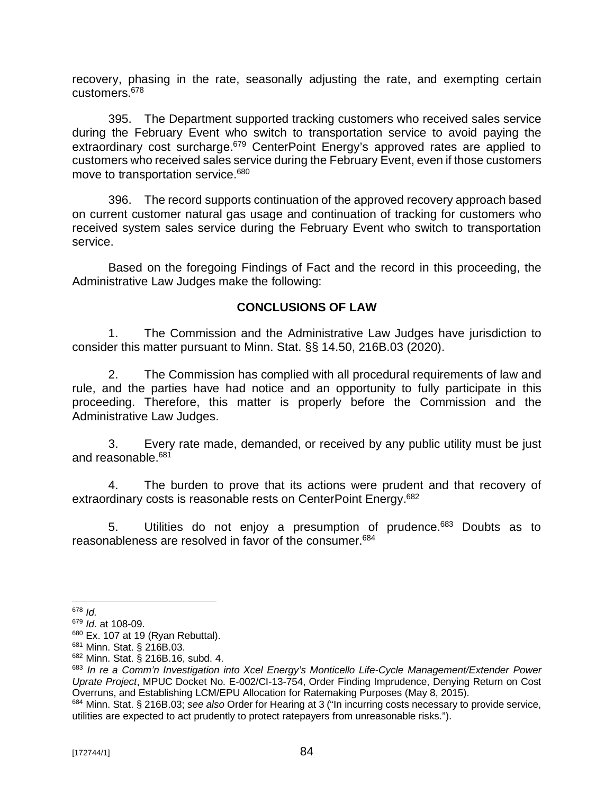recovery, phasing in the rate, seasonally adjusting the rate, and exempting certain customers.<sup>678</sup>

395. The Department supported tracking customers who received sales service during the February Event who switch to transportation service to avoid paying the extraordinary cost surcharge.<sup>679</sup> CenterPoint Energy's approved rates are applied to customers who received sales service during the February Event, even if those customers move to transportation service.<sup>680</sup>

396. The record supports continuation of the approved recovery approach based on current customer natural gas usage and continuation of tracking for customers who received system sales service during the February Event who switch to transportation service.

Based on the foregoing Findings of Fact and the record in this proceeding, the Administrative Law Judges make the following:

#### **CONCLUSIONS OF LAW**

1. The Commission and the Administrative Law Judges have jurisdiction to consider this matter pursuant to Minn. Stat. §§ 14.50, 216B.03 (2020).

2. The Commission has complied with all procedural requirements of law and rule, and the parties have had notice and an opportunity to fully participate in this proceeding. Therefore, this matter is properly before the Commission and the Administrative Law Judges.

3. Every rate made, demanded, or received by any public utility must be just and reasonable.<sup>681</sup>

4. The burden to prove that its actions were prudent and that recovery of extraordinary costs is reasonable rests on CenterPoint Energy.<sup>682</sup>

5. Utilities do not enjoy a presumption of prudence.<sup>683</sup> Doubts as to reasonableness are resolved in favor of the consumer.<sup>684</sup>

<sup>678</sup> *Id.*

<sup>679</sup> *Id.* at 108-09.

 $680$  Ex. 107 at 19 (Ryan Rebuttal).

<sup>681</sup> Minn. Stat. § 216B.03.

<sup>682</sup> Minn. Stat. § 216B.16, subd. 4.

<sup>683</sup> *In re a Comm'n Investigation into Xcel Energy's Monticello Life-Cycle Management/Extender Power Uprate Project*, MPUC Docket No. E-002/CI-13-754, Order Finding Imprudence, Denying Return on Cost Overruns, and Establishing LCM/EPU Allocation for Ratemaking Purposes (May 8, 2015).

<sup>684</sup> Minn. Stat. § 216B.03; *see also* Order for Hearing at 3 ("In incurring costs necessary to provide service, utilities are expected to act prudently to protect ratepayers from unreasonable risks.").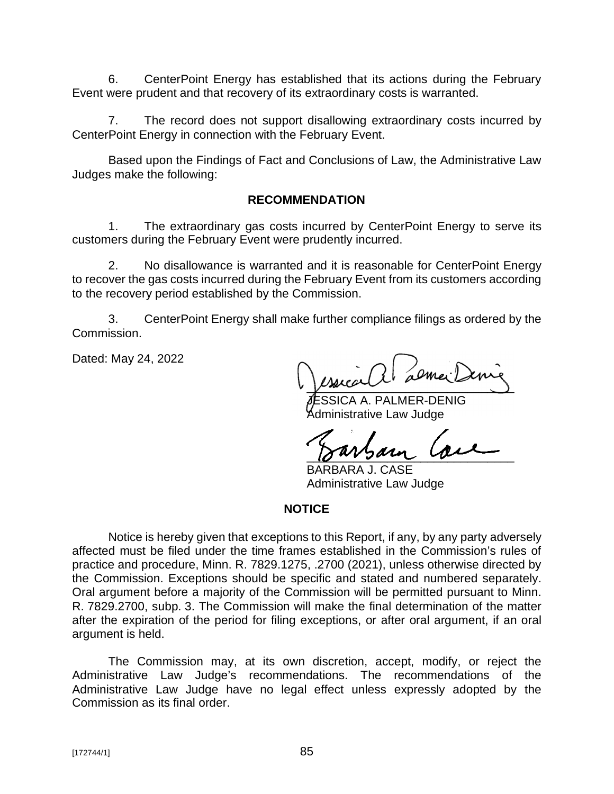6. CenterPoint Energy has established that its actions during the February Event were prudent and that recovery of its extraordinary costs is warranted.

7. The record does not support disallowing extraordinary costs incurred by CenterPoint Energy in connection with the February Event.

Based upon the Findings of Fact and Conclusions of Law, the Administrative Law Judges make the following:

#### **RECOMMENDATION**

1. The extraordinary gas costs incurred by CenterPoint Energy to serve its customers during the February Event were prudently incurred.

2. No disallowance is warranted and it is reasonable for CenterPoint Energy to recover the gas costs incurred during the February Event from its customers according to the recovery period established by the Commission.

3. CenterPoint Energy shall make further compliance filings as ordered by the Commission.

Dated: May 24, 2022

 $\sqrt{2}$ 

SSICA A. PALMER-DENIG dministrative Law Judge

 $18003$ arn  $1000$ 

BARBARA J. CASE Administrative Law Judge

#### **NOTICE**

Notice is hereby given that exceptions to this Report, if any, by any party adversely affected must be filed under the time frames established in the Commission's rules of practice and procedure, Minn. R. 7829.1275, .2700 (2021), unless otherwise directed by the Commission. Exceptions should be specific and stated and numbered separately. Oral argument before a majority of the Commission will be permitted pursuant to Minn. R. 7829.2700, subp. 3. The Commission will make the final determination of the matter after the expiration of the period for filing exceptions, or after oral argument, if an oral argument is held.

The Commission may, at its own discretion, accept, modify, or reject the Administrative Law Judge's recommendations. The recommendations of the Administrative Law Judge have no legal effect unless expressly adopted by the Commission as its final order.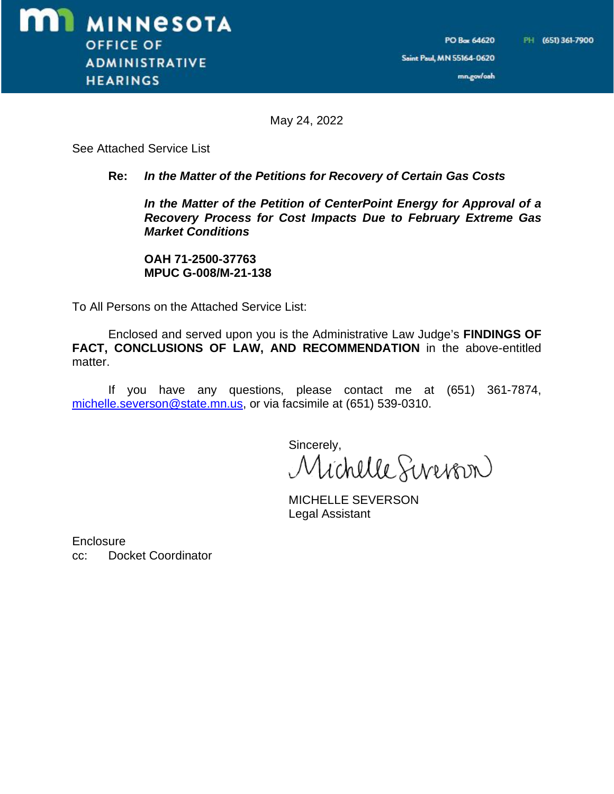Saint Paul, MN 55164-0620

mn.gov/oah

May 24, 2022

See Attached Service List

#### **Re:** *In the Matter of the Petitions for Recovery of Certain Gas Costs*

*In the Matter of the Petition of CenterPoint Energy for Approval of a Recovery Process for Cost Impacts Due to February Extreme Gas Market Conditions*

**OAH 71-2500-37763 MPUC G-008/M-21-138**

To All Persons on the Attached Service List:

Enclosed and served upon you is the Administrative Law Judge's **FINDINGS OF FACT, CONCLUSIONS OF LAW, AND RECOMMENDATION** in the above-entitled matter.

If you have any questions, please contact me at (651) 361-7874, [michelle.severson@state.mn.us,](mailto:michelle.severson@state.mn.us,) or via facsimile at (651) 539-0310.

sincerely,<br>Michelle Serverbon

MICHELLE SEVERSON Legal Assistant

**Enclosure** cc: Docket Coordinator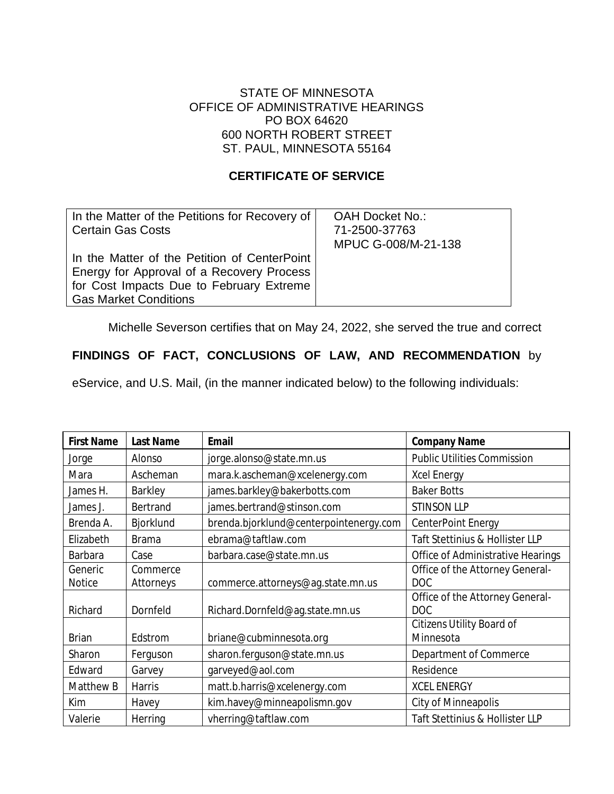#### STATE OF MINNESOTA OFFICE OF ADMINISTRATIVE HEARINGS PO BOX 64620 600 NORTH ROBERT STREET ST. PAUL, MINNESOTA 55164

#### **CERTIFICATE OF SERVICE**

| In the Matter of the Petitions for Recovery of | <b>OAH Docket No.:</b> |
|------------------------------------------------|------------------------|
| <b>Certain Gas Costs</b>                       | 71-2500-37763          |
|                                                | MPUC G-008/M-21-138    |
| In the Matter of the Petition of CenterPoint   |                        |
| Energy for Approval of a Recovery Process      |                        |
| for Cost Impacts Due to February Extreme       |                        |
| <b>Gas Market Conditions</b>                   |                        |

Michelle Severson certifies that on May 24, 2022, she served the true and correct

### **FINDINGS OF FACT, CONCLUSIONS OF LAW, AND RECOMMENDATION** by

eService, and U.S. Mail, (in the manner indicated below) to the following individuals:

| <b>First Name</b> | <b>Last Name</b> | <b>Email</b>                           | <b>Company Name</b>                           |
|-------------------|------------------|----------------------------------------|-----------------------------------------------|
| Jorge             | Alonso           | jorge.alonso@state.mn.us               | <b>Public Utilities Commission</b>            |
| Mara              | Ascheman         | mara.k.ascheman@xcelenergy.com         | <b>Xcel Energy</b>                            |
| James H.          | Barkley          | james.barkley@bakerbotts.com           | <b>Baker Botts</b>                            |
| James J.          | Bertrand         | james.bertrand@stinson.com             | <b>STINSON LLP</b>                            |
| Brenda A.         | Bjorklund        | brenda.bjorklund@centerpointenergy.com | CenterPoint Energy                            |
| Elizabeth         | <b>Brama</b>     | ebrama@taftlaw.com                     | Taft Stettinius & Hollister LLP               |
| Barbara           | Case             | barbara.case@state.mn.us               | Office of Administrative Hearings             |
| Generic           | Commerce         |                                        | Office of the Attorney General-               |
| <b>Notice</b>     | Attorneys        | commerce.attorneys@ag.state.mn.us      | <b>DOC</b>                                    |
| Richard           | Dornfeld         | Richard.Dornfeld@ag.state.mn.us        | Office of the Attorney General-<br><b>DOC</b> |
|                   |                  |                                        | <b>Citizens Utility Board of</b>              |
| <b>Brian</b>      | Edstrom          | briane@cubminnesota.org                | Minnesota                                     |
| Sharon            | Ferguson         | sharon.ferguson@state.mn.us            | Department of Commerce                        |
| Edward            | Garvey           | garveyed@aol.com                       | Residence                                     |
| Matthew B         | Harris           | matt.b.harris@xcelenergy.com           | <b>XCEL ENERGY</b>                            |
| Kim               | Havey            | kim.havey@minneapolismn.gov            | City of Minneapolis                           |
| Valerie           | Herring          | vherring@taftlaw.com                   | Taft Stettinius & Hollister LLP               |